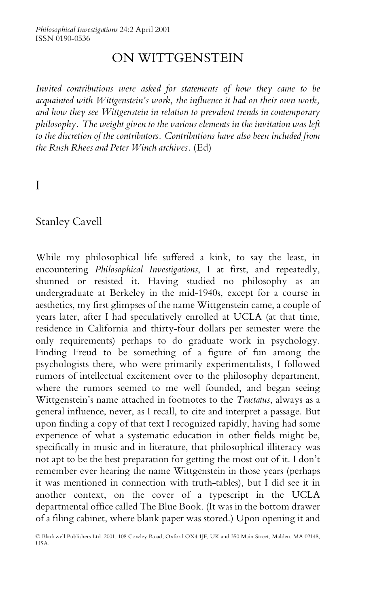# ON WITTGENSTEIN

Invited contributions were asked for statements of how they came to be acquainted with Wittgenstein's work, the influence it had on their own work, and how they see Wittgenstein in relation to prevalent trends in contemporary philosophy. The weight given to the various elements in the invitation was left to the discretion of the contributors. Contributions have also been included from the Rush Rhees and Peter Winch archives. (Ed)

# I

# Stanley Cavell

While my philosophical life suffered a kink, to say the least, in encountering Philosophical Investigations, I at first, and repeatedly, shunned or resisted it. Having studied no philosophy as an undergraduate at Berkeley in the mid-1940s, except for a course in aesthetics, my first glimpses of the name Wittgenstein came, a couple of years later, after I had speculatively enrolled at UCLA (at that time, residence in California and thirty-four dollars per semester were the only requirements) perhaps to do graduate work in psychology. Finding Freud to be something of a figure of fun among the psychologists there, who were primarily experimentalists, I followed rumors of intellectual excitement over to the philosophy department, where the rumors seemed to me well founded, and began seeing Wittgenstein's name attached in footnotes to the Tractatus, always as a general influence, never, as I recall, to cite and interpret a passage. But upon finding a copy of that text I recognized rapidly, having had some experience of what a systematic education in other fields might be, specifically in music and in literature, that philosophical illiteracy was not apt to be the best preparation for getting the most out of it. I don't remember ever hearing the name Wittgenstein in those years (perhaps it was mentioned in connection with truth-tables), but I did see it in another context, on the cover of a typescript in the UCLA departmental office called The Blue Book. (It was in the bottom drawer of a filing cabinet, where blank paper was stored.) Upon opening it and

ß Blackwell Publishers Ltd. 2001, 108 Cowley Road, Oxford OX4 1JF, UK and 350 Main Street, Malden, MA 02148, USA.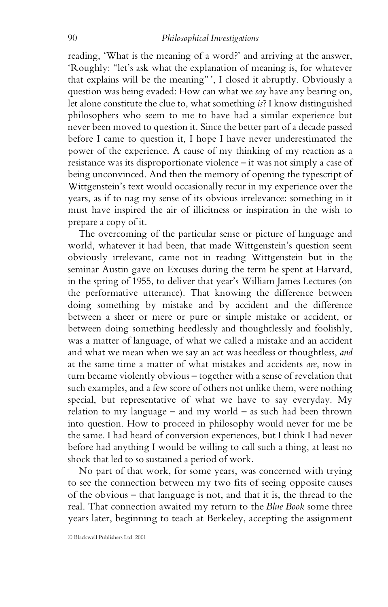reading, `What is the meaning of a word?' and arriving at the answer, `Roughly: ``let's ask what the explanation of meaning is, for whatever that explains will be the meaning'' ', I closed it abruptly. Obviously a question was being evaded: How can what we say have any bearing on, let alone constitute the clue to, what something is? I know distinguished philosophers who seem to me to have had a similar experience but never been moved to question it. Since the better part of a decade passed before I came to question it, I hope I have never underestimated the power of the experience. A cause of my thinking of my reaction as a resistance was its disproportionate violence - it was not simply a case of being unconvinced. And then the memory of opening the typescript of Wittgenstein's text would occasionally recur in my experience over the years, as if to nag my sense of its obvious irrelevance: something in it must have inspired the air of illicitness or inspiration in the wish to prepare a copy of it.

The overcoming of the particular sense or picture of language and world, whatever it had been, that made Wittgenstein's question seem obviously irrelevant, came not in reading Wittgenstein but in the seminar Austin gave on Excuses during the term he spent at Harvard, in the spring of 1955, to deliver that year's William James Lectures (on the performative utterance). That knowing the difference between doing something by mistake and by accident and the difference between a sheer or mere or pure or simple mistake or accident, or between doing something heedlessly and thoughtlessly and foolishly, was a matter of language, of what we called a mistake and an accident and what we mean when we say an act was heedless or thoughtless, and at the same time a matter of what mistakes and accidents are, now in turn became violently obvious - together with a sense of revelation that such examples, and a few score of others not unlike them, were nothing special, but representative of what we have to say everyday. My relation to my language  $-$  and my world  $-$  as such had been thrown into question. How to proceed in philosophy would never for me be the same. I had heard of conversion experiences, but I think I had never before had anything I would be willing to call such a thing, at least no shock that led to so sustained a period of work.

No part of that work, for some years, was concerned with trying to see the connection between my two fits of seeing opposite causes of the obvious – that language is not, and that it is, the thread to the real. That connection awaited my return to the Blue Book some three years later, beginning to teach at Berkeley, accepting the assignment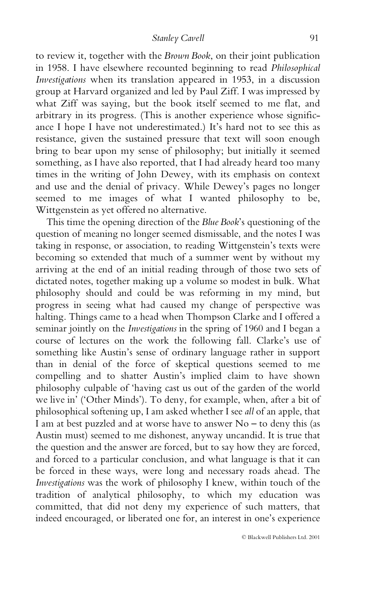to review it, together with the Brown Book, on their joint publication in 1958. I have elsewhere recounted beginning to read Philosophical Investigations when its translation appeared in 1953, in a discussion group at Harvard organized and led by Paul Ziff. I was impressed by what Ziff was saying, but the book itself seemed to me flat, and arbitrary in its progress. (This is another experience whose significance I hope I have not underestimated.) It's hard not to see this as resistance, given the sustained pressure that text will soon enough bring to bear upon my sense of philosophy; but initially it seemed something, as I have also reported, that I had already heard too many times in the writing of John Dewey, with its emphasis on context and use and the denial of privacy. While Dewey's pages no longer seemed to me images of what I wanted philosophy to be, Wittgenstein as yet offered no alternative.

This time the opening direction of the *Blue Book*'s questioning of the question of meaning no longer seemed dismissable, and the notes I was taking in response, or association, to reading Wittgenstein's texts were becoming so extended that much of a summer went by without my arriving at the end of an initial reading through of those two sets of dictated notes, together making up a volume so modest in bulk. What philosophy should and could be was reforming in my mind, but progress in seeing what had caused my change of perspective was halting. Things came to a head when Thompson Clarke and I offered a seminar jointly on the Investigations in the spring of 1960 and I began a course of lectures on the work the following fall. Clarke's use of something like Austin's sense of ordinary language rather in support than in denial of the force of skeptical questions seemed to me compelling and to shatter Austin's implied claim to have shown philosophy culpable of `having cast us out of the garden of the world we live in' (`Other Minds'). To deny, for example, when, after a bit of philosophical softening up, I am asked whether I see all of an apple, that I am at best puzzled and at worse have to answer  $No -$  to deny this (as Austin must) seemed to me dishonest, anyway uncandid. It is true that the question and the answer are forced, but to say how they are forced, and forced to a particular conclusion, and what language is that it can be forced in these ways, were long and necessary roads ahead. The Investigations was the work of philosophy I knew, within touch of the tradition of analytical philosophy, to which my education was committed, that did not deny my experience of such matters, that indeed encouraged, or liberated one for, an interest in one's experience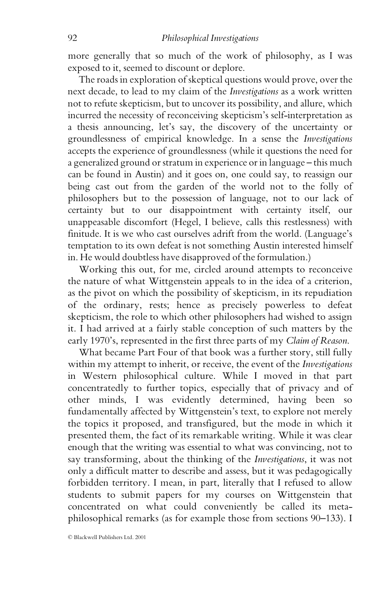more generally that so much of the work of philosophy, as I was exposed to it, seemed to discount or deplore.

The roads in exploration of skeptical questions would prove, over the next decade, to lead to my claim of the Investigations as a work written not to refute skepticism, but to uncover its possibility, and allure, which incurred the necessity of reconceiving skepticism's self-interpretation as a thesis announcing, let's say, the discovery of the uncertainty or groundlessness of empirical knowledge. In a sense the Investigations accepts the experience of groundlessness (while it questions the need for a generalized ground or stratum in experience or in language – this much can be found in Austin) and it goes on, one could say, to reassign our being cast out from the garden of the world not to the folly of philosophers but to the possession of language, not to our lack of certainty but to our disappointment with certainty itself, our unappeasable discomfort (Hegel, I believe, calls this restlessness) with finitude. It is we who cast ourselves adrift from the world. (Language's temptation to its own defeat is not something Austin interested himself in. He would doubtless have disapproved of the formulation.)

Working this out, for me, circled around attempts to reconceive the nature of what Wittgenstein appeals to in the idea of a criterion, as the pivot on which the possibility of skepticism, in its repudiation of the ordinary, rests; hence as precisely powerless to defeat skepticism, the role to which other philosophers had wished to assign it. I had arrived at a fairly stable conception of such matters by the early 1970's, represented in the first three parts of my Claim of Reason.

What became Part Four of that book was a further story, still fully within my attempt to inherit, or receive, the event of the Investigations in Western philosophical culture. While I moved in that part concentratedly to further topics, especially that of privacy and of other minds, I was evidently determined, having been so fundamentally affected by Wittgenstein's text, to explore not merely the topics it proposed, and transfigured, but the mode in which it presented them, the fact of its remarkable writing. While it was clear enough that the writing was essential to what was convincing, not to say transforming, about the thinking of the Investigations, it was not only a difficult matter to describe and assess, but it was pedagogically forbidden territory. I mean, in part, literally that I refused to allow students to submit papers for my courses on Wittgenstein that concentrated on what could conveniently be called its metaphilosophical remarks (as for example those from sections 90-133). I

ß Blackwell Publishers Ltd. 2001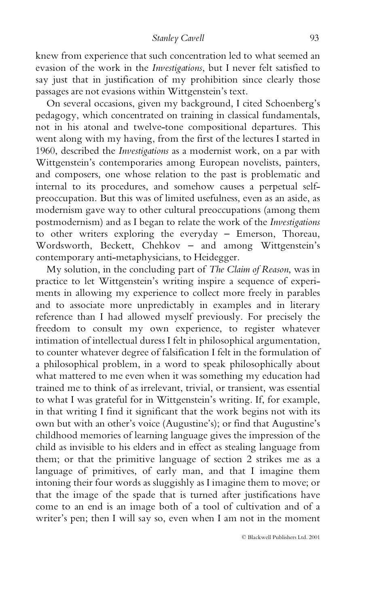knew from experience that such concentration led to what seemed an evasion of the work in the Investigations, but I never felt satisfied to say just that in justification of my prohibition since clearly those passages are not evasions within Wittgenstein's text.

On several occasions, given my background, I cited Schoenberg's pedagogy, which concentrated on training in classical fundamentals, not in his atonal and twelve-tone compositional departures. This went along with my having, from the first of the lectures I started in 1960, described the Investigations as a modernist work, on a par with Wittgenstein's contemporaries among European novelists, painters, and composers, one whose relation to the past is problematic and internal to its procedures, and somehow causes a perpetual selfpreoccupation. But this was of limited usefulness, even as an aside, as modernism gave way to other cultural preoccupations (among them postmodernism) and as I began to relate the work of the Investigations to other writers exploring the everyday  $-$  Emerson, Thoreau, Wordsworth, Beckett, Chehkov – and among Wittgenstein's contemporary anti-metaphysicians, to Heidegger.

My solution, in the concluding part of The Claim of Reason, was in practice to let Wittgenstein's writing inspire a sequence of experiments in allowing my experience to collect more freely in parables and to associate more unpredictably in examples and in literary reference than I had allowed myself previously. For precisely the freedom to consult my own experience, to register whatever intimation of intellectual duress I felt in philosophical argumentation, to counter whatever degree of falsification I felt in the formulation of a philosophical problem, in a word to speak philosophically about what mattered to me even when it was something my education had trained me to think of as irrelevant, trivial, or transient, was essential to what I was grateful for in Wittgenstein's writing. If, for example, in that writing I find it significant that the work begins not with its own but with an other's voice (Augustine's); or find that Augustine's childhood memories of learning language gives the impression of the child as invisible to his elders and in effect as stealing language from them; or that the primitive language of section 2 strikes me as a language of primitives, of early man, and that I imagine them intoning their four words as sluggishly as I imagine them to move; or that the image of the spade that is turned after justifications have come to an end is an image both of a tool of cultivation and of a writer's pen; then I will say so, even when I am not in the moment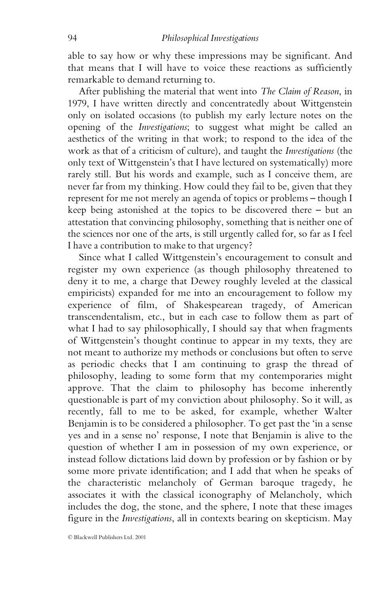able to say how or why these impressions may be significant. And that means that I will have to voice these reactions as sufficiently remarkable to demand returning to.

After publishing the material that went into The Claim of Reason, in 1979, I have written directly and concentratedly about Wittgenstein only on isolated occasions (to publish my early lecture notes on the opening of the Investigations; to suggest what might be called an aesthetics of the writing in that work; to respond to the idea of the work as that of a criticism of culture), and taught the Investigations (the only text of Wittgenstein's that I have lectured on systematically) more rarely still. But his words and example, such as I conceive them, are never far from my thinking. How could they fail to be, given that they represent for me not merely an agenda of topics or problems - though I keep being astonished at the topics to be discovered there  $-$  but an attestation that convincing philosophy, something that is neither one of the sciences nor one of the arts, is still urgently called for, so far as I feel I have a contribution to make to that urgency?

Since what I called Wittgenstein's encouragement to consult and register my own experience (as though philosophy threatened to deny it to me, a charge that Dewey roughly leveled at the classical empiricists) expanded for me into an encouragement to follow my experience of film, of Shakespearean tragedy, of American transcendentalism, etc., but in each case to follow them as part of what I had to say philosophically, I should say that when fragments of Wittgenstein's thought continue to appear in my texts, they are not meant to authorize my methods or conclusions but often to serve as periodic checks that I am continuing to grasp the thread of philosophy, leading to some form that my contemporaries might approve. That the claim to philosophy has become inherently questionable is part of my conviction about philosophy. So it will, as recently, fall to me to be asked, for example, whether Walter Benjamin is to be considered a philosopher. To get past the 'in a sense yes and in a sense no' response, I note that Benjamin is alive to the question of whether I am in possession of my own experience, or instead follow dictations laid down by profession or by fashion or by some more private identification; and I add that when he speaks of the characteristic melancholy of German baroque tragedy, he associates it with the classical iconography of Melancholy, which includes the dog, the stone, and the sphere, I note that these images figure in the Investigations, all in contexts bearing on skepticism. May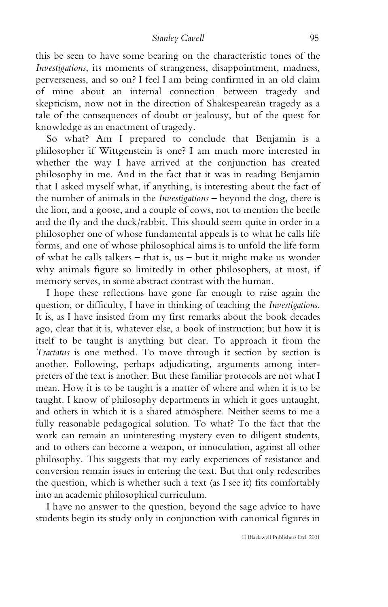this be seen to have some bearing on the characteristic tones of the Investigations, its moments of strangeness, disappointment, madness, perverseness, and so on? I feel I am being confirmed in an old claim of mine about an internal connection between tragedy and skepticism, now not in the direction of Shakespearean tragedy as a tale of the consequences of doubt or jealousy, but of the quest for knowledge as an enactment of tragedy.

So what? Am I prepared to conclude that Benjamin is a philosopher if Wittgenstein is one? I am much more interested in whether the way I have arrived at the conjunction has created philosophy in me. And in the fact that it was in reading Benjamin that I asked myself what, if anything, is interesting about the fact of the number of animals in the *Investigations* - beyond the dog, there is the lion, and a goose, and a couple of cows, not to mention the beetle and the fly and the duck/rabbit. This should seem quite in order in a philosopher one of whose fundamental appeals is to what he calls life forms, and one of whose philosophical aims is to unfold the life form of what he calls talkers  $-$  that is, us  $-$  but it might make us wonder why animals figure so limitedly in other philosophers, at most, if memory serves, in some abstract contrast with the human.

I hope these reflections have gone far enough to raise again the question, or difficulty, I have in thinking of teaching the Investigations. It is, as I have insisted from my first remarks about the book decades ago, clear that it is, whatever else, a book of instruction; but how it is itself to be taught is anything but clear. To approach it from the Tractatus is one method. To move through it section by section is another. Following, perhaps adjudicating, arguments among interpreters of the text is another. But these familiar protocols are not what I mean. How it is to be taught is a matter of where and when it is to be taught. I know of philosophy departments in which it goes untaught, and others in which it is a shared atmosphere. Neither seems to me a fully reasonable pedagogical solution. To what? To the fact that the work can remain an uninteresting mystery even to diligent students, and to others can become a weapon, or innoculation, against all other philosophy. This suggests that my early experiences of resistance and conversion remain issues in entering the text. But that only redescribes the question, which is whether such a text (as I see it) fits comfortably into an academic philosophical curriculum.

I have no answer to the question, beyond the sage advice to have students begin its study only in conjunction with canonical figures in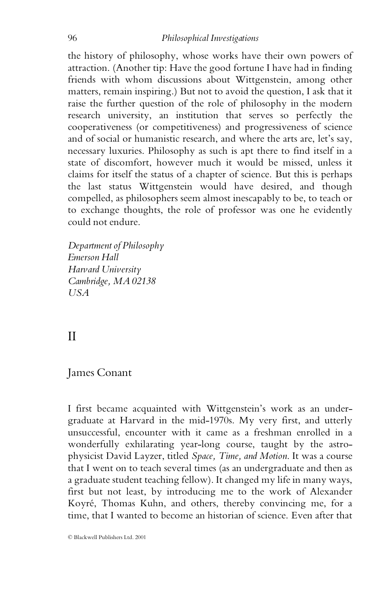the history of philosophy, whose works have their own powers of attraction. (Another tip: Have the good fortune I have had in finding friends with whom discussions about Wittgenstein, among other matters, remain inspiring.) But not to avoid the question, I ask that it raise the further question of the role of philosophy in the modern research university, an institution that serves so perfectly the cooperativeness (or competitiveness) and progressiveness of science and of social or humanistic research, and where the arts are, let's say, necessary luxuries. Philosophy as such is apt there to find itself in a state of discomfort, however much it would be missed, unless it claims for itself the status of a chapter of science. But this is perhaps the last status Wittgenstein would have desired, and though compelled, as philosophers seem almost inescapably to be, to teach or to exchange thoughts, the role of professor was one he evidently could not endure.

Department of Philosophy Emerson Hall Harvard University Cambridge, MA 02138 USA

## II

## James Conant

I first became acquainted with Wittgenstein's work as an undergraduate at Harvard in the mid-1970s. My very first, and utterly unsuccessful, encounter with it came as a freshman enrolled in a wonderfully exhilarating year-long course, taught by the astrophysicist David Layzer, titled Space, Time, and Motion. It was a course that I went on to teach several times (as an undergraduate and then as a graduate student teaching fellow). It changed my life in many ways, first but not least, by introducing me to the work of Alexander Koyré, Thomas Kuhn, and others, thereby convincing me, for a time, that I wanted to become an historian of science. Even after that

ß Blackwell Publishers Ltd. 2001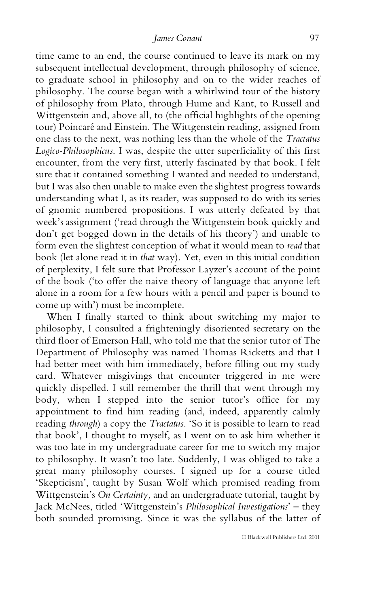time came to an end, the course continued to leave its mark on my subsequent intellectual development, through philosophy of science, to graduate school in philosophy and on to the wider reaches of philosophy. The course began with a whirlwind tour of the history of philosophy from Plato, through Hume and Kant, to Russell and Wittgenstein and, above all, to (the official highlights of the opening tour) Poincaré and Einstein. The Wittgenstein reading, assigned from one class to the next, was nothing less than the whole of the Tractatus Logico-Philosophicus. I was, despite the utter superficiality of this first encounter, from the very first, utterly fascinated by that book. I felt sure that it contained something I wanted and needed to understand, but I was also then unable to make even the slightest progress towards understanding what I, as its reader, was supposed to do with its series of gnomic numbered propositions. I was utterly defeated by that week's assignment ('read through the Wittgenstein book quickly and don't get bogged down in the details of his theory') and unable to form even the slightest conception of what it would mean to read that book (let alone read it in that way). Yet, even in this initial condition of perplexity, I felt sure that Professor Layzer's account of the point of the book (`to offer the naive theory of language that anyone left alone in a room for a few hours with a pencil and paper is bound to come up with') must be incomplete.

When I finally started to think about switching my major to philosophy, I consulted a frighteningly disoriented secretary on the third floor of Emerson Hall, who told me that the senior tutor of The Department of Philosophy was named Thomas Ricketts and that I had better meet with him immediately, before filling out my study card. Whatever misgivings that encounter triggered in me were quickly dispelled. I still remember the thrill that went through my body, when I stepped into the senior tutor's office for my appointment to find him reading (and, indeed, apparently calmly reading through) a copy the *Tractatus*. 'So it is possible to learn to read that book', I thought to myself, as I went on to ask him whether it was too late in my undergraduate career for me to switch my major to philosophy. It wasn't too late. Suddenly, I was obliged to take a great many philosophy courses. I signed up for a course titled `Skepticism', taught by Susan Wolf which promised reading from Wittgenstein's On Certainty, and an undergraduate tutorial, taught by Jack McNees, titled 'Wittgenstein's *Philosophical Investigations*' – they both sounded promising. Since it was the syllabus of the latter of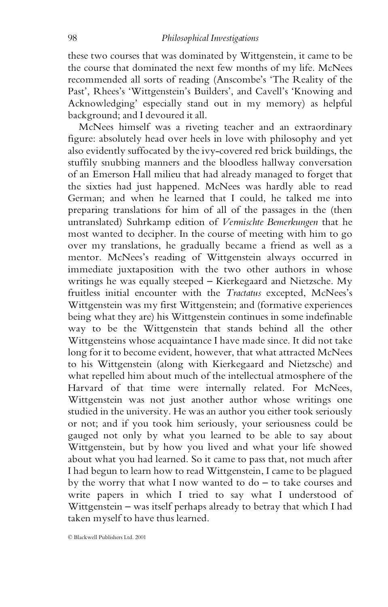these two courses that was dominated by Wittgenstein, it came to be the course that dominated the next few months of my life. McNees recommended all sorts of reading (Anscombe's `The Reality of the Past', Rhees's 'Wittgenstein's Builders', and Cavell's 'Knowing and Acknowledging' especially stand out in my memory) as helpful background; and I devoured it all.

McNees himself was a riveting teacher and an extraordinary figure: absolutely head over heels in love with philosophy and yet also evidently suffocated by the ivy-covered red brick buildings, the stuffily snubbing manners and the bloodless hallway conversation of an Emerson Hall milieu that had already managed to forget that the sixties had just happened. McNees was hardly able to read German; and when he learned that I could, he talked me into preparing translations for him of all of the passages in the (then untranslated) Suhrkamp edition of Vermischte Bemerkungen that he most wanted to decipher. In the course of meeting with him to go over my translations, he gradually became a friend as well as a mentor. McNees's reading of Wittgenstein always occurred in immediate juxtaposition with the two other authors in whose writings he was equally steeped - Kierkegaard and Nietzsche. My fruitless initial encounter with the Tractatus excepted, McNees's Wittgenstein was my first Wittgenstein; and (formative experiences being what they are) his Wittgenstein continues in some indefinable way to be the Wittgenstein that stands behind all the other Wittgensteins whose acquaintance I have made since. It did not take long for it to become evident, however, that what attracted McNees to his Wittgenstein (along with Kierkegaard and Nietzsche) and what repelled him about much of the intellectual atmosphere of the Harvard of that time were internally related. For McNees, Wittgenstein was not just another author whose writings one studied in the university. He was an author you either took seriously or not; and if you took him seriously, your seriousness could be gauged not only by what you learned to be able to say about Wittgenstein, but by how you lived and what your life showed about what you had learned. So it came to pass that, not much after I had begun to learn how to read Wittgenstein, I came to be plagued by the worry that what I now wanted to  $do - to$  take courses and write papers in which I tried to say what I understood of Wittgenstein  $-$  was itself perhaps already to betray that which I had taken myself to have thus learned.

ß Blackwell Publishers Ltd. 2001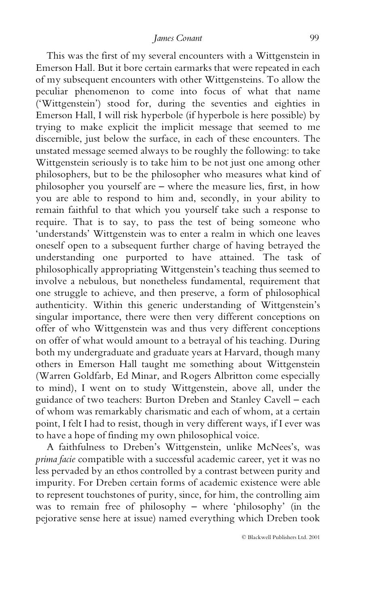This was the first of my several encounters with a Wittgenstein in Emerson Hall. But it bore certain earmarks that were repeated in each of my subsequent encounters with other Wittgensteins. To allow the peculiar phenomenon to come into focus of what that name (`Wittgenstein') stood for, during the seventies and eighties in Emerson Hall, I will risk hyperbole (if hyperbole is here possible) by trying to make explicit the implicit message that seemed to me discernible, just below the surface, in each of these encounters. The unstated message seemed always to be roughly the following: to take Wittgenstein seriously is to take him to be not just one among other philosophers, but to be the philosopher who measures what kind of philosopher you yourself are - where the measure lies, first, in how you are able to respond to him and, secondly, in your ability to remain faithful to that which you yourself take such a response to require. That is to say, to pass the test of being someone who `understands' Wittgenstein was to enter a realm in which one leaves oneself open to a subsequent further charge of having betrayed the understanding one purported to have attained. The task of philosophically appropriating Wittgenstein's teaching thus seemed to involve a nebulous, but nonetheless fundamental, requirement that one struggle to achieve, and then preserve, a form of philosophical authenticity. Within this generic understanding of Wittgenstein's singular importance, there were then very different conceptions on offer of who Wittgenstein was and thus very different conceptions on offer of what would amount to a betrayal of his teaching. During both my undergraduate and graduate years at Harvard, though many others in Emerson Hall taught me something about Wittgenstein (Warren Goldfarb, Ed Minar, and Rogers Albritton come especially to mind), I went on to study Wittgenstein, above all, under the guidance of two teachers: Burton Dreben and Stanley Cavell - each of whom was remarkably charismatic and each of whom, at a certain point, I felt I had to resist, though in very different ways, if I ever was to have a hope of finding my own philosophical voice.

A faithfulness to Dreben's Wittgenstein, unlike McNees's, was prima facie compatible with a successful academic career, yet it was no less pervaded by an ethos controlled by a contrast between purity and impurity. For Dreben certain forms of academic existence were able to represent touchstones of purity, since, for him, the controlling aim was to remain free of philosophy  $-$  where 'philosophy' (in the pejorative sense here at issue) named everything which Dreben took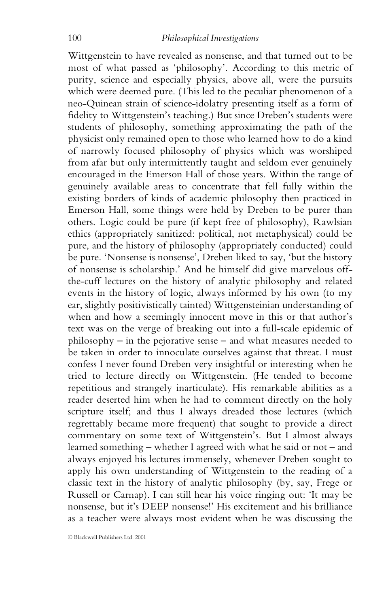Wittgenstein to have revealed as nonsense, and that turned out to be most of what passed as `philosophy'. According to this metric of purity, science and especially physics, above all, were the pursuits which were deemed pure. (This led to the peculiar phenomenon of a neo-Quinean strain of science-idolatry presenting itself as a form of fidelity to Wittgenstein's teaching.) But since Dreben's students were students of philosophy, something approximating the path of the physicist only remained open to those who learned how to do a kind of narrowly focused philosophy of physics which was worshiped from afar but only intermittently taught and seldom ever genuinely encouraged in the Emerson Hall of those years. Within the range of genuinely available areas to concentrate that fell fully within the existing borders of kinds of academic philosophy then practiced in Emerson Hall, some things were held by Dreben to be purer than others. Logic could be pure (if kept free of philosophy), Rawlsian ethics (appropriately sanitized: political, not metaphysical) could be pure, and the history of philosophy (appropriately conducted) could be pure. `Nonsense is nonsense', Dreben liked to say, `but the history of nonsense is scholarship.' And he himself did give marvelous offthe-cuff lectures on the history of analytic philosophy and related events in the history of logic, always informed by his own (to my ear, slightly positivistically tainted) Wittgensteinian understanding of when and how a seemingly innocent move in this or that author's text was on the verge of breaking out into a full-scale epidemic of  $philosophy - in the pejorative sense - and what measures needed to$ be taken in order to innoculate ourselves against that threat. I must confess I never found Dreben very insightful or interesting when he tried to lecture directly on Wittgenstein. (He tended to become repetitious and strangely inarticulate). His remarkable abilities as a reader deserted him when he had to comment directly on the holy scripture itself; and thus I always dreaded those lectures (which regrettably became more frequent) that sought to provide a direct commentary on some text of Wittgenstein's. But I almost always learned something  $-$  whether I agreed with what he said or not  $-$  and always enjoyed his lectures immensely, whenever Dreben sought to apply his own understanding of Wittgenstein to the reading of a classic text in the history of analytic philosophy (by, say, Frege or Russell or Carnap). I can still hear his voice ringing out: `It may be nonsense, but it's DEEP nonsense!' His excitement and his brilliance as a teacher were always most evident when he was discussing the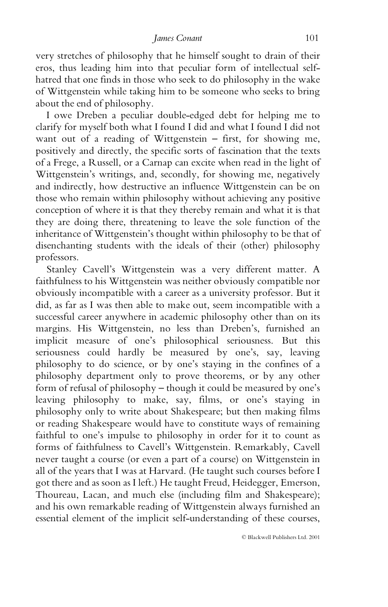very stretches of philosophy that he himself sought to drain of their eros, thus leading him into that peculiar form of intellectual selfhatred that one finds in those who seek to do philosophy in the wake of Wittgenstein while taking him to be someone who seeks to bring about the end of philosophy.

I owe Dreben a peculiar double-edged debt for helping me to clarify for myself both what I found I did and what I found I did not want out of a reading of Wittgenstein  $-$  first, for showing me, positively and directly, the specific sorts of fascination that the texts of a Frege, a Russell, or a Carnap can excite when read in the light of Wittgenstein's writings, and, secondly, for showing me, negatively and indirectly, how destructive an influence Wittgenstein can be on those who remain within philosophy without achieving any positive conception of where it is that they thereby remain and what it is that they are doing there, threatening to leave the sole function of the inheritance of Wittgenstein's thought within philosophy to be that of disenchanting students with the ideals of their (other) philosophy professors.

Stanley Cavell's Wittgenstein was a very different matter. A faithfulness to his Wittgenstein was neither obviously compatible nor obviously incompatible with a career as a university professor. But it did, as far as I was then able to make out, seem incompatible with a successful career anywhere in academic philosophy other than on its margins. His Wittgenstein, no less than Dreben's, furnished an implicit measure of one's philosophical seriousness. But this seriousness could hardly be measured by one's, say, leaving philosophy to do science, or by one's staying in the confines of a philosophy department only to prove theorems, or by any other form of refusal of philosophy - though it could be measured by one's leaving philosophy to make, say, films, or one's staying in philosophy only to write about Shakespeare; but then making films or reading Shakespeare would have to constitute ways of remaining faithful to one's impulse to philosophy in order for it to count as forms of faithfulness to Cavell's Wittgenstein. Remarkably, Cavell never taught a course (or even a part of a course) on Wittgenstein in all of the years that I was at Harvard. (He taught such courses before I got there and as soon as I left.) He taught Freud, Heidegger, Emerson, Thoureau, Lacan, and much else (including film and Shakespeare); and his own remarkable reading of Wittgenstein always furnished an essential element of the implicit self-understanding of these courses,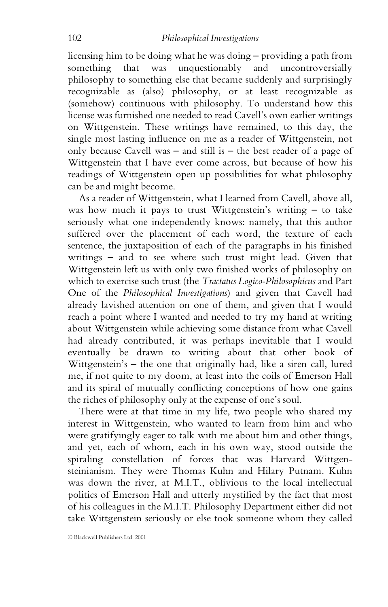licensing him to be doing what he was doing – providing a path from something that was unquestionably and uncontroversially philosophy to something else that became suddenly and surprisingly recognizable as (also) philosophy, or at least recognizable as (somehow) continuous with philosophy. To understand how this license was furnished one needed to read Cavell's own earlier writings on Wittgenstein. These writings have remained, to this day, the single most lasting influence on me as a reader of Wittgenstein, not only because Cavell was  $-$  and still is  $-$  the best reader of a page of Wittgenstein that I have ever come across, but because of how his readings of Wittgenstein open up possibilities for what philosophy can be and might become.

As a reader of Wittgenstein, what I learned from Cavell, above all, was how much it pays to trust Wittgenstein's writing  $-$  to take seriously what one independently knows: namely, that this author suffered over the placement of each word, the texture of each sentence, the juxtaposition of each of the paragraphs in his finished writings - and to see where such trust might lead. Given that Wittgenstein left us with only two finished works of philosophy on which to exercise such trust (the Tractatus Logico-Philosophicus and Part One of the Philosophical Investigations) and given that Cavell had already lavished attention on one of them, and given that I would reach a point where I wanted and needed to try my hand at writing about Wittgenstein while achieving some distance from what Cavell had already contributed, it was perhaps inevitable that I would eventually be drawn to writing about that other book of Wittgenstein's  $-$  the one that originally had, like a siren call, lured me, if not quite to my doom, at least into the coils of Emerson Hall and its spiral of mutually conflicting conceptions of how one gains the riches of philosophy only at the expense of one's soul.

There were at that time in my life, two people who shared my interest in Wittgenstein, who wanted to learn from him and who were gratifyingly eager to talk with me about him and other things, and yet, each of whom, each in his own way, stood outside the spiraling constellation of forces that was Harvard Wittgensteinianism. They were Thomas Kuhn and Hilary Putnam. Kuhn was down the river, at M.I.T., oblivious to the local intellectual politics of Emerson Hall and utterly mystified by the fact that most of his colleagues in the M.I.T. Philosophy Department either did not take Wittgenstein seriously or else took someone whom they called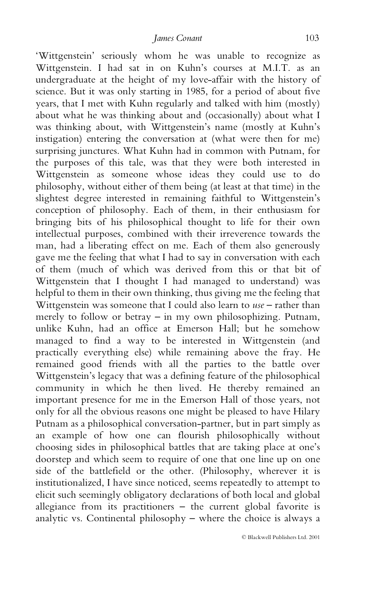`Wittgenstein' seriously whom he was unable to recognize as Wittgenstein. I had sat in on Kuhn's courses at M.I.T. as an undergraduate at the height of my love-affair with the history of science. But it was only starting in 1985, for a period of about five years, that I met with Kuhn regularly and talked with him (mostly) about what he was thinking about and (occasionally) about what I was thinking about, with Wittgenstein's name (mostly at Kuhn's instigation) entering the conversation at (what were then for me) surprising junctures. What Kuhn had in common with Putnam, for the purposes of this tale, was that they were both interested in Wittgenstein as someone whose ideas they could use to do philosophy, without either of them being (at least at that time) in the slightest degree interested in remaining faithful to Wittgenstein's conception of philosophy. Each of them, in their enthusiasm for bringing bits of his philosophical thought to life for their own intellectual purposes, combined with their irreverence towards the man, had a liberating effect on me. Each of them also generously gave me the feeling that what I had to say in conversation with each of them (much of which was derived from this or that bit of Wittgenstein that I thought I had managed to understand) was helpful to them in their own thinking, thus giving me the feeling that Wittgenstein was someone that I could also learn to  $use -$  rather than merely to follow or betray  $-\text{ in }$  my own philosophizing. Putnam, unlike Kuhn, had an office at Emerson Hall; but he somehow managed to find a way to be interested in Wittgenstein (and practically everything else) while remaining above the fray. He remained good friends with all the parties to the battle over Wittgenstein's legacy that was a defining feature of the philosophical community in which he then lived. He thereby remained an important presence for me in the Emerson Hall of those years, not only for all the obvious reasons one might be pleased to have Hilary Putnam as a philosophical conversation-partner, but in part simply as an example of how one can flourish philosophically without choosing sides in philosophical battles that are taking place at one's doorstep and which seem to require of one that one line up on one side of the battlefield or the other. (Philosophy, wherever it is institutionalized, I have since noticed, seems repeatedly to attempt to elicit such seemingly obligatory declarations of both local and global allegiance from its practitioners  $-$  the current global favorite is analytic vs. Continental philosophy  $-$  where the choice is always a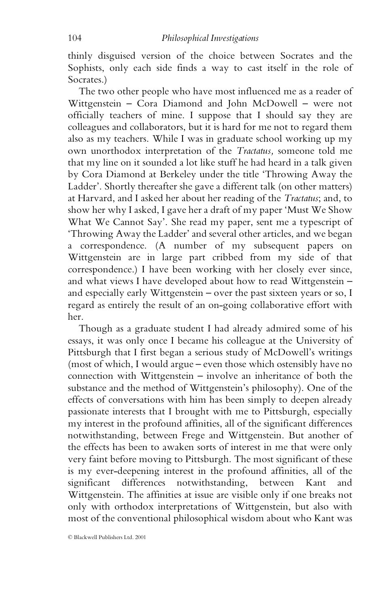thinly disguised version of the choice between Socrates and the Sophists, only each side finds a way to cast itself in the role of Socrates.)

The two other people who have most influenced me as a reader of Wittgenstein  $-$  Cora Diamond and John McDowell  $-$  were not officially teachers of mine. I suppose that I should say they are colleagues and collaborators, but it is hard for me not to regard them also as my teachers. While I was in graduate school working up my own unorthodox interpretation of the Tractatus, someone told me that my line on it sounded a lot like stuff he had heard in a talk given by Cora Diamond at Berkeley under the title `Throwing Away the Ladder'. Shortly thereafter she gave a different talk (on other matters) at Harvard, and I asked her about her reading of the Tractatus; and, to show her why I asked, I gave her a draft of my paper `Must We Show What We Cannot Say'. She read my paper, sent me a typescript of `Throwing Away the Ladder' and several other articles, and we began a correspondence. (A number of my subsequent papers on Wittgenstein are in large part cribbed from my side of that correspondence.) I have been working with her closely ever since, and what views I have developed about how to read Wittgenstein  $$ and especially early Wittgenstein  $-\overline{o}$  over the past sixteen years or so, I regard as entirely the result of an on-going collaborative effort with her.

Though as a graduate student I had already admired some of his essays, it was only once I became his colleague at the University of Pittsburgh that I first began a serious study of McDowell's writings (most of which, I would argue  $-\epsilon$  even those which ostensibly have no connection with Wittgenstein  $-$  involve an inheritance of both the substance and the method of Wittgenstein's philosophy). One of the effects of conversations with him has been simply to deepen already passionate interests that I brought with me to Pittsburgh, especially my interest in the profound affinities, all of the significant differences notwithstanding, between Frege and Wittgenstein. But another of the effects has been to awaken sorts of interest in me that were only very faint before moving to Pittsburgh. The most significant of these is my ever-deepening interest in the profound affinities, all of the significant differences notwithstanding, between Kant and Wittgenstein. The affinities at issue are visible only if one breaks not only with orthodox interpretations of Wittgenstein, but also with most of the conventional philosophical wisdom about who Kant was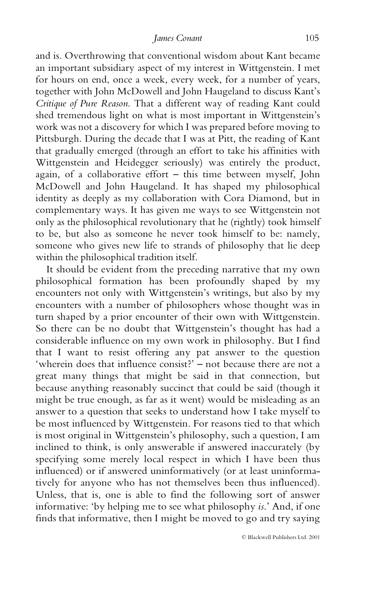and is. Overthrowing that conventional wisdom about Kant became an important subsidiary aspect of my interest in Wittgenstein. I met for hours on end, once a week, every week, for a number of years, together with John McDowell and John Haugeland to discuss Kant's Critique of Pure Reason. That a different way of reading Kant could shed tremendous light on what is most important in Wittgenstein's work was not a discovery for which I was prepared before moving to Pittsburgh. During the decade that I was at Pitt, the reading of Kant that gradually emerged (through an effort to take his affinities with Wittgenstein and Heidegger seriously) was entirely the product, again, of a collaborative effort  $-$  this time between myself, John McDowell and John Haugeland. It has shaped my philosophical identity as deeply as my collaboration with Cora Diamond, but in complementary ways. It has given me ways to see Wittgenstein not only as the philosophical revolutionary that he (rightly) took himself to be, but also as someone he never took himself to be: namely, someone who gives new life to strands of philosophy that lie deep within the philosophical tradition itself.

It should be evident from the preceding narrative that my own philosophical formation has been profoundly shaped by my encounters not only with Wittgenstein's writings, but also by my encounters with a number of philosophers whose thought was in turn shaped by a prior encounter of their own with Wittgenstein. So there can be no doubt that Wittgenstein's thought has had a considerable influence on my own work in philosophy. But I find that I want to resist offering any pat answer to the question 'wherein does that influence consist?' - not because there are not a great many things that might be said in that connection, but because anything reasonably succinct that could be said (though it might be true enough, as far as it went) would be misleading as an answer to a question that seeks to understand how I take myself to be most influenced by Wittgenstein. For reasons tied to that which is most original in Wittgenstein's philosophy, such a question, I am inclined to think, is only answerable if answered inaccurately (by specifying some merely local respect in which I have been thus influenced) or if answered uninformatively (or at least uninformatively for anyone who has not themselves been thus influenced). Unless, that is, one is able to find the following sort of answer informative: 'by helping me to see what philosophy *is*.' And, if one finds that informative, then I might be moved to go and try saying

ß Blackwell Publishers Ltd. 2001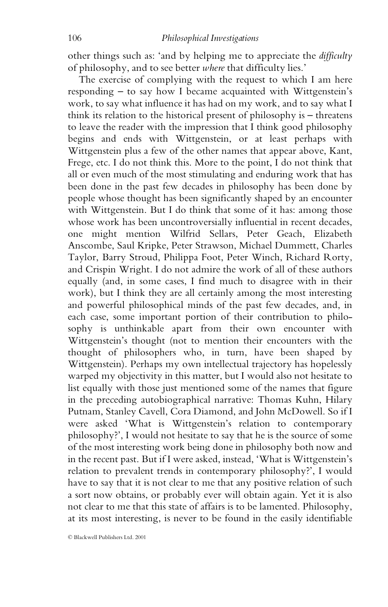other things such as: `and by helping me to appreciate the difficulty of philosophy, and to see better where that difficulty lies.'

The exercise of complying with the request to which I am here responding - to say how I became acquainted with Wittgenstein's work, to say what influence it has had on my work, and to say what I think its relation to the historical present of philosophy is  $-$  threatens to leave the reader with the impression that I think good philosophy begins and ends with Wittgenstein, or at least perhaps with Wittgenstein plus a few of the other names that appear above, Kant, Frege, etc. I do not think this. More to the point, I do not think that all or even much of the most stimulating and enduring work that has been done in the past few decades in philosophy has been done by people whose thought has been significantly shaped by an encounter with Wittgenstein. But I do think that some of it has: among those whose work has been uncontroversially influential in recent decades, one might mention Wilfrid Sellars, Peter Geach, Elizabeth Anscombe, Saul Kripke, Peter Strawson, Michael Dummett, Charles Taylor, Barry Stroud, Philippa Foot, Peter Winch, Richard Rorty, and Crispin Wright. I do not admire the work of all of these authors equally (and, in some cases, I find much to disagree with in their work), but I think they are all certainly among the most interesting and powerful philosophical minds of the past few decades, and, in each case, some important portion of their contribution to philosophy is unthinkable apart from their own encounter with Wittgenstein's thought (not to mention their encounters with the thought of philosophers who, in turn, have been shaped by Wittgenstein). Perhaps my own intellectual trajectory has hopelessly warped my objectivity in this matter, but I would also not hesitate to list equally with those just mentioned some of the names that figure in the preceding autobiographical narrative: Thomas Kuhn, Hilary Putnam, Stanley Cavell, Cora Diamond, and John McDowell. So if I were asked `What is Wittgenstein's relation to contemporary philosophy?', I would not hesitate to say that he is the source of some of the most interesting work being done in philosophy both now and in the recent past. But if I were asked, instead, `What is Wittgenstein's relation to prevalent trends in contemporary philosophy?', I would have to say that it is not clear to me that any positive relation of such a sort now obtains, or probably ever will obtain again. Yet it is also not clear to me that this state of affairs is to be lamented. Philosophy, at its most interesting, is never to be found in the easily identifiable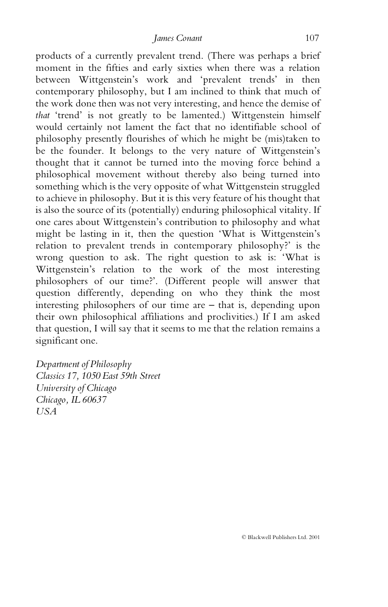products of a currently prevalent trend. (There was perhaps a brief moment in the fifties and early sixties when there was a relation between Wittgenstein's work and `prevalent trends' in then contemporary philosophy, but I am inclined to think that much of the work done then was not very interesting, and hence the demise of that 'trend' is not greatly to be lamented.) Wittgenstein himself would certainly not lament the fact that no identifiable school of philosophy presently flourishes of which he might be (mis)taken to be the founder. It belongs to the very nature of Wittgenstein's thought that it cannot be turned into the moving force behind a philosophical movement without thereby also being turned into something which is the very opposite of what Wittgenstein struggled to achieve in philosophy. But it is this very feature of his thought that is also the source of its (potentially) enduring philosophical vitality. If one cares about Wittgenstein's contribution to philosophy and what might be lasting in it, then the question `What is Wittgenstein's relation to prevalent trends in contemporary philosophy?' is the wrong question to ask. The right question to ask is: 'What is Wittgenstein's relation to the work of the most interesting philosophers of our time?'. (Different people will answer that question differently, depending on who they think the most interesting philosophers of our time are  $-\theta$  that is, depending upon their own philosophical affiliations and proclivities.) If I am asked that question, I will say that it seems to me that the relation remains a significant one.

Department of Philosophy Classics 17, 1050 East 59th Street University of Chicago Chicago, IL 60637 USA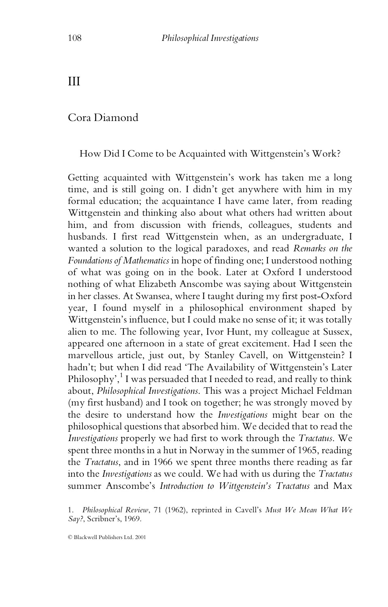# III

### Cora Diamond

#### How Did I Come to be Acquainted with Wittgenstein's Work?

Getting acquainted with Wittgenstein's work has taken me a long time, and is still going on. I didn't get anywhere with him in my formal education; the acquaintance I have came later, from reading Wittgenstein and thinking also about what others had written about him, and from discussion with friends, colleagues, students and husbands. I first read Wittgenstein when, as an undergraduate, I wanted a solution to the logical paradoxes, and read Remarks on the Foundations of Mathematics in hope of finding one; I understood nothing of what was going on in the book. Later at Oxford I understood nothing of what Elizabeth Anscombe was saying about Wittgenstein in her classes. At Swansea, where I taught during my first post-Oxford year, I found myself in a philosophical environment shaped by Wittgenstein's influence, but I could make no sense of it; it was totally alien to me. The following year, Ivor Hunt, my colleague at Sussex, appeared one afternoon in a state of great excitement. Had I seen the marvellous article, just out, by Stanley Cavell, on Wittgenstein? I hadn't; but when I did read 'The Availability of Wittgenstein's Later Philosophy', $1$  I was persuaded that I needed to read, and really to think about, Philosophical Investigations. This was a project Michael Feldman (my first husband) and I took on together; he was strongly moved by the desire to understand how the Investigations might bear on the philosophical questions that absorbed him. We decided that to read the Investigations properly we had first to work through the Tractatus. We spent three months in a hut in Norway in the summer of 1965, reading the Tractatus, and in 1966 we spent three months there reading as far into the Investigations as we could. We had with us during the Tractatus summer Anscombe's Introduction to Wittgenstein's Tractatus and Max

<sup>1.</sup> Philosophical Review, 71 (1962), reprinted in Cavell's Must We Mean What We Say?, Scribner's, 1969.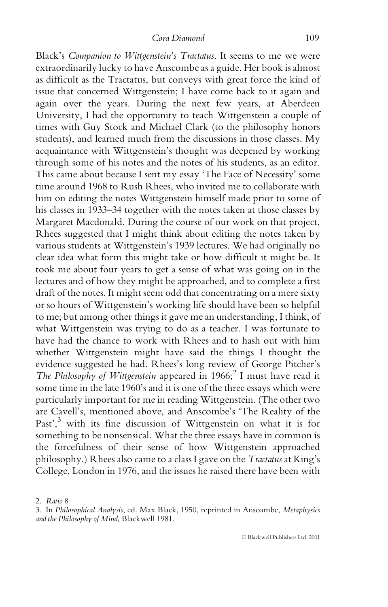Black's Companion to Wittgenstein's Tractatus. It seems to me we were extraordinarily lucky to have Anscombe as a guide. Her book is almost as difficult as the Tractatus, but conveys with great force the kind of issue that concerned Wittgenstein; I have come back to it again and again over the years. During the next few years, at Aberdeen University, I had the opportunity to teach Wittgenstein a couple of times with Guy Stock and Michael Clark (to the philosophy honors students), and learned much from the discussions in those classes. My acquaintance with Wittgenstein's thought was deepened by working through some of his notes and the notes of his students, as an editor. This came about because I sent my essay 'The Face of Necessity' some time around 1968 to Rush Rhees, who invited me to collaborate with him on editing the notes Wittgenstein himself made prior to some of his classes in 1933–34 together with the notes taken at those classes by Margaret Macdonald. During the course of our work on that project, Rhees suggested that I might think about editing the notes taken by various students at Wittgenstein's 1939 lectures. We had originally no clear idea what form this might take or how difficult it might be. It took me about four years to get a sense of what was going on in the lectures and of how they might be approached, and to complete a first draft of the notes. It might seem odd that concentrating on a mere sixty or so hours of Wittgenstein's working life should have been so helpful to me; but among other things it gave me an understanding, I think, of what Wittgenstein was trying to do as a teacher. I was fortunate to have had the chance to work with Rhees and to hash out with him whether Wittgenstein might have said the things I thought the evidence suggested he had. Rhees's long review of George Pitcher's The Philosophy of Wittgenstein appeared in  $1966$ ;<sup>2</sup> I must have read it some time in the late 1960's and it is one of the three essays which were particularly important for me in reading Wittgenstein. (The other two are Cavell's, mentioned above, and Anscombe's `The Reality of the Past',<sup>3</sup> with its fine discussion of Wittgenstein on what it is for something to be nonsensical. What the three essays have in common is the forcefulness of their sense of how Wittgenstein approached philosophy.) Rhees also came to a class I gave on the Tractatus at King's College, London in 1976, and the issues he raised there have been with

2. Ratio 8

<sup>3.</sup> In Philosophical Analysis, ed. Max Black, 1950, reprinted in Anscombe, Metaphysics and the Philosophy of Mind, Blackwell 1981.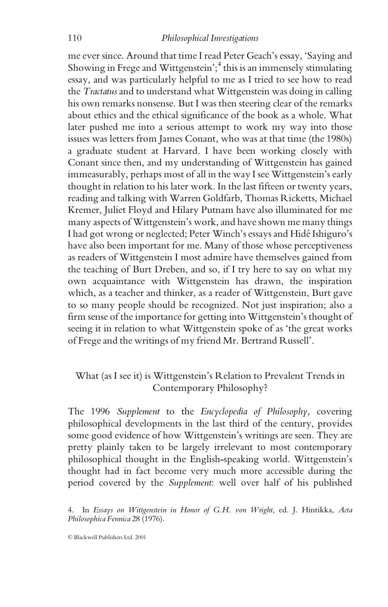#### 110 Philosophical Investigations

me ever since. Around that time I read Peter Geach's essay, `Saying and Showing in Frege and Wittgenstein';<sup>4</sup> this is an immensely stimulating essay, and was particularly helpful to me as I tried to see how to read the Tractatus and to understand what Wittgenstein was doing in calling his own remarks nonsense. But I was then steering clear of the remarks about ethics and the ethical significance of the book as a whole. What later pushed me into a serious attempt to work my way into those issues was letters from James Conant, who was at that time (the 1980s) a graduate student at Harvard. I have been working closely with Conant since then, and my understanding of Wittgenstein has gained immeasurably, perhaps most of all in the way I see Wittgenstein's early thought in relation to his later work. In the last fifteen or twenty years, reading and talking with Warren Goldfarb, Thomas Ricketts, Michael Kremer, Juliet Floyd and Hilary Putnam have also illuminated for me many aspects of Wittgenstein's work, and have shown me many things I had got wrong or neglected; Peter Winch's essays and Hidé Ishiguro's have also been important for me. Many of those whose perceptiveness as readers of Wittgenstein I most admire have themselves gained from the teaching of Burt Dreben, and so, if I try here to say on what my own acquaintance with Wittgenstein has drawn, the inspiration which, as a teacher and thinker, as a reader of Wittgenstein, Burt gave to so many people should be recognized. Not just inspiration; also a firm sense of the importance for getting into Wittgenstein's thought of seeing it in relation to what Wittgenstein spoke of as 'the great works of Frege and the writings of my friend Mr. Bertrand Russell'.

# What (as I see it) is Wittgenstein's Relation to Prevalent Trends in Contemporary Philosophy?

The 1996 Supplement to the Encyclopedia of Philosophy, covering philosophical developments in the last third of the century, provides some good evidence of how Wittgenstein's writings are seen. They are pretty plainly taken to be largely irrelevant to most contemporary philosophical thought in the English-speaking world. Wittgenstein's thought had in fact become very much more accessible during the period covered by the Supplement: well over half of his published

ß Blackwell Publishers Ltd. 2001

<sup>4.</sup> In Essays on Wittgenstein in Honor of G.H. von Wright, ed. J. Hintikka, Acta Philosophica Fennica 28 (1976).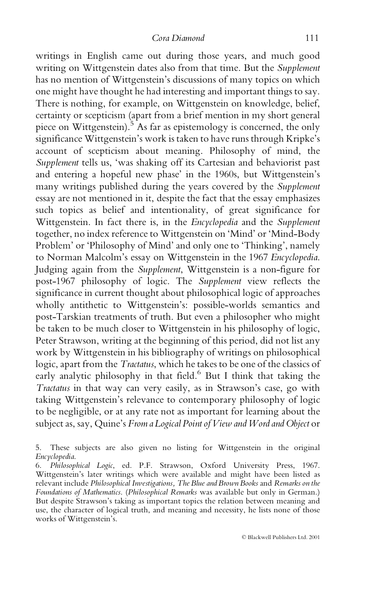writings in English came out during those years, and much good writing on Wittgenstein dates also from that time. But the Supplement has no mention of Wittgenstein's discussions of many topics on which one might have thought he had interesting and important things to say. There is nothing, for example, on Wittgenstein on knowledge, belief, certainty or scepticism (apart from a brief mention in my short general piece on Wittgenstein).<sup>5</sup> As far as epistemology is concerned, the only significance Wittgenstein's work is taken to have runs through Kripke's account of scepticism about meaning. Philosophy of mind, the Supplement tells us, `was shaking off its Cartesian and behaviorist past and entering a hopeful new phase' in the 1960s, but Wittgenstein's many writings published during the years covered by the Supplement essay are not mentioned in it, despite the fact that the essay emphasizes such topics as belief and intentionality, of great significance for Wittgenstein. In fact there is, in the Encyclopedia and the Supplement together, no index reference to Wittgenstein on `Mind' or `Mind-Body Problem' or 'Philosophy of Mind' and only one to 'Thinking', namely to Norman Malcolm's essay on Wittgenstein in the 1967 Encyclopedia. Judging again from the Supplement, Wittgenstein is a non-figure for post-1967 philosophy of logic. The Supplement view reflects the significance in current thought about philosophical logic of approaches wholly antithetic to Wittgenstein's: possible-worlds semantics and post-Tarskian treatments of truth. But even a philosopher who might be taken to be much closer to Wittgenstein in his philosophy of logic, Peter Strawson, writing at the beginning of this period, did not list any work by Wittgenstein in his bibliography of writings on philosophical logic, apart from the Tractatus, which he takes to be one of the classics of early analytic philosophy in that field.<sup>6</sup> But I think that taking the Tractatus in that way can very easily, as in Strawson's case, go with taking Wittgenstein's relevance to contemporary philosophy of logic to be negligible, or at any rate not as important for learning about the subject as, say, Quine's From a Logical Point of View and Word and Object or

<sup>5.</sup> These subjects are also given no listing for Wittgenstein in the original Encyclopedia.

<sup>6.</sup> Philosophical Logic, ed. P.F. Strawson, Oxford University Press, 1967. Wittgenstein's later writings which were available and might have been listed as relevant include Philosophical Investigations, The Blue and Brown Books and Remarks on the Foundations of Mathematics. (Philosophical Remarks was available but only in German.) But despite Strawson's taking as important topics the relation between meaning and use, the character of logical truth, and meaning and necessity, he lists none of those works of Wittgenstein's.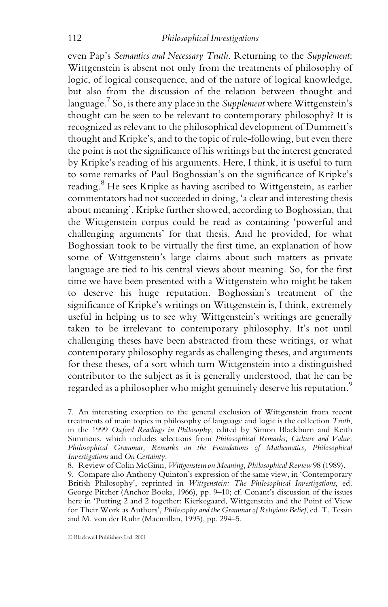even Pap's Semantics and Necessary Truth. Returning to the Supplement: Wittgenstein is absent not only from the treatments of philosophy of logic, of logical consequence, and of the nature of logical knowledge, but also from the discussion of the relation between thought and language.<sup>7</sup> So, is there any place in the *Supplement* where Wittgenstein's thought can be seen to be relevant to contemporary philosophy? It is recognized as relevant to the philosophical development of Dummett's thought and Kripke's, and to the topic of rule-following, but even there the point is not the significance of his writings but the interest generated by Kripke's reading of his arguments. Here, I think, it is useful to turn to some remarks of Paul Boghossian's on the significance of Kripke's reading.<sup>8</sup> He sees Kripke as having ascribed to Wittgenstein, as earlier commentators had not succeeded in doing, `a clear and interesting thesis about meaning'. Kripke further showed, according to Boghossian, that the Wittgenstein corpus could be read as containing `powerful and challenging arguments' for that thesis. And he provided, for what Boghossian took to be virtually the first time, an explanation of how some of Wittgenstein's large claims about such matters as private language are tied to his central views about meaning. So, for the first time we have been presented with a Wittgenstein who might be taken to deserve his huge reputation. Boghossian's treatment of the significance of Kripke's writings on Wittgenstein is, I think, extremely useful in helping us to see why Wittgenstein's writings are generally taken to be irrelevant to contemporary philosophy. It's not until challenging theses have been abstracted from these writings, or what contemporary philosophy regards as challenging theses, and arguments for these theses, of a sort which turn Wittgenstein into a distinguished contributor to the subject as it is generally understood, that he can be regarded as a philosopher who might genuinely deserve his reputation.<sup>9</sup>

8. Review of Colin McGinn, Wittgenstein on Meaning, Philosophical Review 98 (1989).

9. Compare also Anthony Quinton's expression of the same view, in `Contemporary British Philosophy', reprinted in Wittgenstein: The Philosophical Investigations, ed. George Pitcher (Anchor Books, 1966), pp. 9-10; cf. Conant's discussion of the issues here in 'Putting 2 and 2 together: Kierkegaard, Wittgenstein and the Point of View for Their Work as Authors', Philosophy and the Grammar of Religious Belief, ed. T. Tessin and M. von der Ruhr (Macmillan, 1995), pp. 294-5.

 $© Blackwell Publishers Ltd. 2001$ 

<sup>7.</sup> An interesting exception to the general exclusion of Wittgenstein from recent treatments of main topics in philosophy of language and logic is the collection Truth, in the 1999 Oxford Readings in Philosophy, edited by Simon Blackburn and Keith Simmons, which includes selections from Philosophical Remarks, Culture and Value, Philosophical Grammar, Remarks on the Foundations of Mathematics, Philosophical Investigations and On Certainty.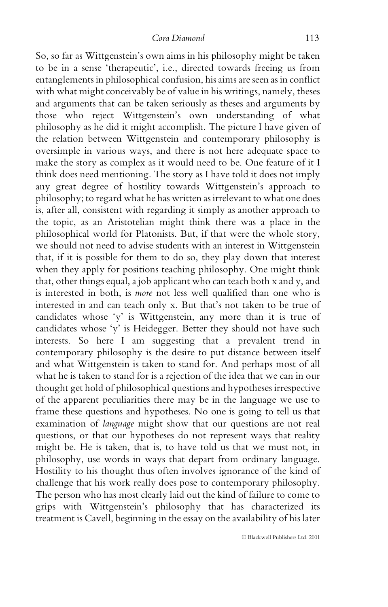So, so far as Wittgenstein's own aims in his philosophy might be taken to be in a sense `therapeutic', i.e., directed towards freeing us from entanglements in philosophical confusion, his aims are seen as in conflict with what might conceivably be of value in his writings, namely, theses and arguments that can be taken seriously as theses and arguments by those who reject Wittgenstein's own understanding of what philosophy as he did it might accomplish. The picture I have given of the relation between Wittgenstein and contemporary philosophy is oversimple in various ways, and there is not here adequate space to make the story as complex as it would need to be. One feature of it I think does need mentioning. The story as I have told it does not imply any great degree of hostility towards Wittgenstein's approach to philosophy; to regard what he has written as irrelevant to what one does is, after all, consistent with regarding it simply as another approach to the topic, as an Aristotelian might think there was a place in the philosophical world for Platonists. But, if that were the whole story, we should not need to advise students with an interest in Wittgenstein that, if it is possible for them to do so, they play down that interest when they apply for positions teaching philosophy. One might think that, other things equal, a job applicant who can teach both x and y, and is interested in both, is more not less well qualified than one who is interested in and can teach only x. But that's not taken to be true of candidates whose `y' is Wittgenstein, any more than it is true of candidates whose 'y' is Heidegger. Better they should not have such interests. So here I am suggesting that a prevalent trend in contemporary philosophy is the desire to put distance between itself and what Wittgenstein is taken to stand for. And perhaps most of all what he is taken to stand for is a rejection of the idea that we can in our thought get hold of philosophical questions and hypotheses irrespective of the apparent peculiarities there may be in the language we use to frame these questions and hypotheses. No one is going to tell us that examination of language might show that our questions are not real questions, or that our hypotheses do not represent ways that reality might be. He is taken, that is, to have told us that we must not, in philosophy, use words in ways that depart from ordinary language. Hostility to his thought thus often involves ignorance of the kind of challenge that his work really does pose to contemporary philosophy. The person who has most clearly laid out the kind of failure to come to grips with Wittgenstein's philosophy that has characterized its treatment is Cavell, beginning in the essay on the availability of his later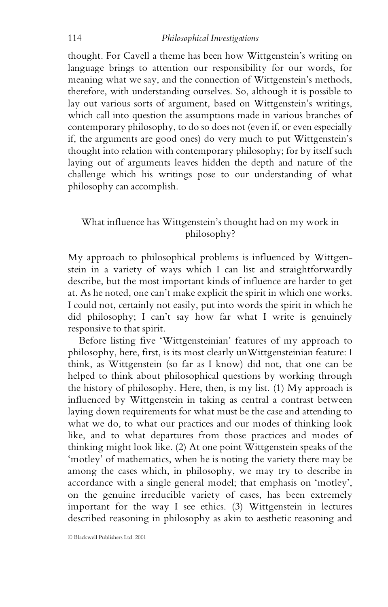thought. For Cavell a theme has been how Wittgenstein's writing on language brings to attention our responsibility for our words, for meaning what we say, and the connection of Wittgenstein's methods, therefore, with understanding ourselves. So, although it is possible to lay out various sorts of argument, based on Wittgenstein's writings, which call into question the assumptions made in various branches of contemporary philosophy, to do so does not (even if, or even especially if, the arguments are good ones) do very much to put Wittgenstein's thought into relation with contemporary philosophy; for by itself such laying out of arguments leaves hidden the depth and nature of the challenge which his writings pose to our understanding of what philosophy can accomplish.

### What influence has Wittgenstein's thought had on my work in philosophy?

My approach to philosophical problems is influenced by Wittgenstein in a variety of ways which I can list and straightforwardly describe, but the most important kinds of influence are harder to get at. As he noted, one can't make explicit the spirit in which one works. I could not, certainly not easily, put into words the spirit in which he did philosophy; I can't say how far what I write is genuinely responsive to that spirit.

Before listing five `Wittgensteinian' features of my approach to philosophy, here, first, is its most clearly unWittgensteinian feature: I think, as Wittgenstein (so far as I know) did not, that one can be helped to think about philosophical questions by working through the history of philosophy. Here, then, is my list. (1) My approach is influenced by Wittgenstein in taking as central a contrast between laying down requirements for what must be the case and attending to what we do, to what our practices and our modes of thinking look like, and to what departures from those practices and modes of thinking might look like. (2) At one point Wittgenstein speaks of the `motley' of mathematics, when he is noting the variety there may be among the cases which, in philosophy, we may try to describe in accordance with a single general model; that emphasis on `motley', on the genuine irreducible variety of cases, has been extremely important for the way I see ethics. (3) Wittgenstein in lectures described reasoning in philosophy as akin to aesthetic reasoning and

ß Blackwell Publishers Ltd. 2001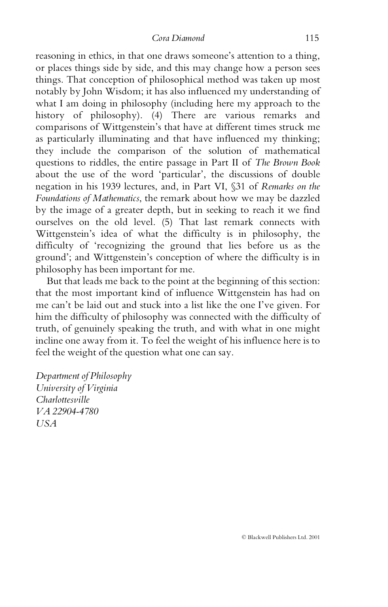reasoning in ethics, in that one draws someone's attention to a thing, or places things side by side, and this may change how a person sees things. That conception of philosophical method was taken up most notably by John Wisdom; it has also influenced my understanding of what I am doing in philosophy (including here my approach to the history of philosophy). (4) There are various remarks and comparisons of Wittgenstein's that have at different times struck me as particularly illuminating and that have influenced my thinking; they include the comparison of the solution of mathematical questions to riddles, the entire passage in Part II of The Brown Book about the use of the word `particular', the discussions of double negation in his 1939 lectures, and, in Part VI, §31 of Remarks on the Foundations of Mathematics, the remark about how we may be dazzled by the image of a greater depth, but in seeking to reach it we find ourselves on the old level. (5) That last remark connects with Wittgenstein's idea of what the difficulty is in philosophy, the difficulty of 'recognizing the ground that lies before us as the ground'; and Wittgenstein's conception of where the difficulty is in philosophy has been important for me.

But that leads me back to the point at the beginning of this section: that the most important kind of influence Wittgenstein has had on me can't be laid out and stuck into a list like the one I've given. For him the difficulty of philosophy was connected with the difficulty of truth, of genuinely speaking the truth, and with what in one might incline one away from it. To feel the weight of his influence here is to feel the weight of the question what one can say.

Department of Philosophy University of Virginia Charlottesville VA 22904-4780 USA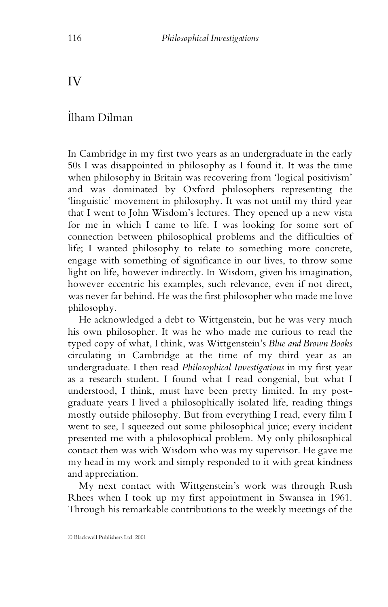# IV

# I \_lham Dilman

In Cambridge in my first two years as an undergraduate in the early 50s I was disappointed in philosophy as I found it. It was the time when philosophy in Britain was recovering from 'logical positivism' and was dominated by Oxford philosophers representing the `linguistic' movement in philosophy. It was not until my third year that I went to John Wisdom's lectures. They opened up a new vista for me in which I came to life. I was looking for some sort of connection between philosophical problems and the difficulties of life; I wanted philosophy to relate to something more concrete, engage with something of significance in our lives, to throw some light on life, however indirectly. In Wisdom, given his imagination, however eccentric his examples, such relevance, even if not direct, was never far behind. He was the first philosopher who made me love philosophy.

He acknowledged a debt to Wittgenstein, but he was very much his own philosopher. It was he who made me curious to read the typed copy of what, I think, was Wittgenstein's Blue and Brown Books circulating in Cambridge at the time of my third year as an undergraduate. I then read Philosophical Investigations in my first year as a research student. I found what I read congenial, but what I understood, I think, must have been pretty limited. In my postgraduate years I lived a philosophically isolated life, reading things mostly outside philosophy. But from everything I read, every film I went to see, I squeezed out some philosophical juice; every incident presented me with a philosophical problem. My only philosophical contact then was with Wisdom who was my supervisor. He gave me my head in my work and simply responded to it with great kindness and appreciation.

My next contact with Wittgenstein's work was through Rush Rhees when I took up my first appointment in Swansea in 1961. Through his remarkable contributions to the weekly meetings of the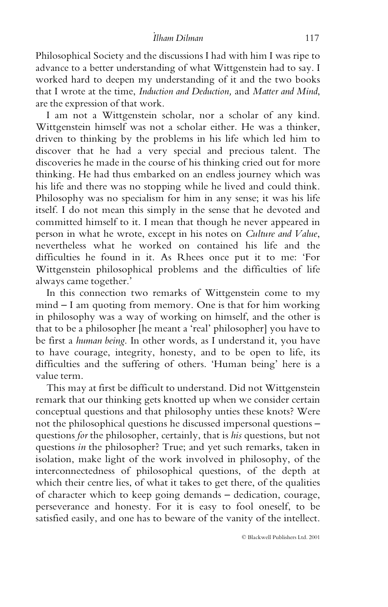Philosophical Society and the discussions I had with him I was ripe to advance to a better understanding of what Wittgenstein had to say. I worked hard to deepen my understanding of it and the two books that I wrote at the time, Induction and Deduction, and Matter and Mind, are the expression of that work.

I am not a Wittgenstein scholar, nor a scholar of any kind. Wittgenstein himself was not a scholar either. He was a thinker, driven to thinking by the problems in his life which led him to discover that he had a very special and precious talent. The discoveries he made in the course of his thinking cried out for more thinking. He had thus embarked on an endless journey which was his life and there was no stopping while he lived and could think. Philosophy was no specialism for him in any sense; it was his life itself. I do not mean this simply in the sense that he devoted and committed himself to it. I mean that though he never appeared in person in what he wrote, except in his notes on Culture and Value, nevertheless what he worked on contained his life and the difficulties he found in it. As Rhees once put it to me: `For Wittgenstein philosophical problems and the difficulties of life always came together.'

In this connection two remarks of Wittgenstein come to my  $mind - I$  am quoting from memory. One is that for him working in philosophy was a way of working on himself, and the other is that to be a philosopher [he meant a 'real' philosopher] you have to be first a human being. In other words, as I understand it, you have to have courage, integrity, honesty, and to be open to life, its difficulties and the suffering of others. `Human being' here is a value term.

This may at first be difficult to understand. Did not Wittgenstein remark that our thinking gets knotted up when we consider certain conceptual questions and that philosophy unties these knots? Were not the philosophical questions he discussed impersonal questions  $$ questions for the philosopher, certainly, that is his questions, but not questions in the philosopher? True; and yet such remarks, taken in isolation, make light of the work involved in philosophy, of the interconnectedness of philosophical questions, of the depth at which their centre lies, of what it takes to get there, of the qualities of character which to keep going demands - dedication, courage, perseverance and honesty. For it is easy to fool oneself, to be satisfied easily, and one has to beware of the vanity of the intellect.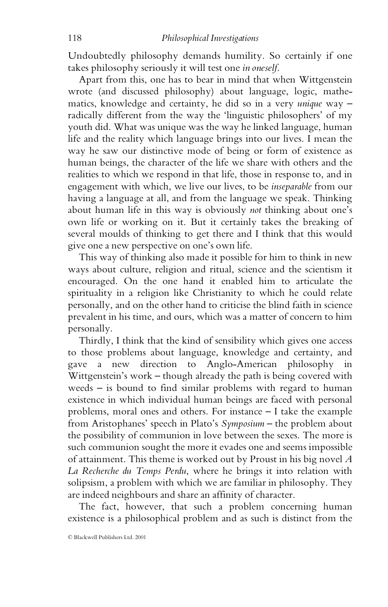Undoubtedly philosophy demands humility. So certainly if one takes philosophy seriously it will test one in oneself.

Apart from this, one has to bear in mind that when Wittgenstein wrote (and discussed philosophy) about language, logic, mathematics, knowledge and certainty, he did so in a very *unique* way  $$ radically different from the way the 'linguistic philosophers' of my youth did. What was unique was the way he linked language, human life and the reality which language brings into our lives. I mean the way he saw our distinctive mode of being or form of existence as human beings, the character of the life we share with others and the realities to which we respond in that life, those in response to, and in engagement with which, we live our lives, to be inseparable from our having a language at all, and from the language we speak. Thinking about human life in this way is obviously not thinking about one's own life or working on it. But it certainly takes the breaking of several moulds of thinking to get there and I think that this would give one a new perspective on one's own life.

This way of thinking also made it possible for him to think in new ways about culture, religion and ritual, science and the scientism it encouraged. On the one hand it enabled him to articulate the spirituality in a religion like Christianity to which he could relate personally, and on the other hand to criticise the blind faith in science prevalent in his time, and ours, which was a matter of concern to him personally.

Thirdly, I think that the kind of sensibility which gives one access to those problems about language, knowledge and certainty, and gave a new direction to Anglo-American philosophy in Wittgenstein's work - though already the path is being covered with weeds - is bound to find similar problems with regard to human existence in which individual human beings are faced with personal problems, moral ones and others. For instance  $-$  I take the example from Aristophanes' speech in Plato's Symposium – the problem about the possibility of communion in love between the sexes. The more is such communion sought the more it evades one and seems impossible of attainment. This theme is worked out by Proust in his big novel A La Recherche du Temps Perdu, where he brings it into relation with solipsism, a problem with which we are familiar in philosophy. They are indeed neighbours and share an affinity of character.

The fact, however, that such a problem concerning human existence is a philosophical problem and as such is distinct from the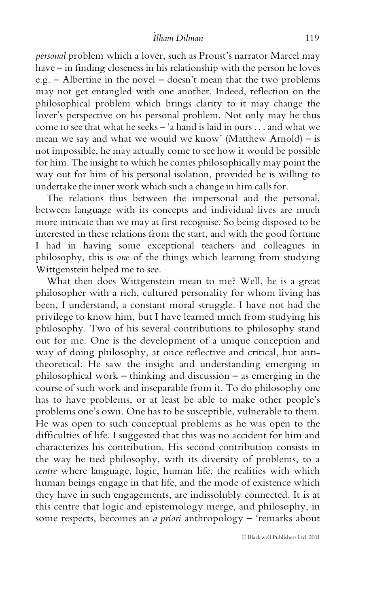personal problem which a lover, such as Proust's narrator Marcel may have - in finding closeness in his relationship with the person he loves e.g.  $-$  Albertine in the novel  $-$  doesn't mean that the two problems may not get entangled with one another. Indeed, reflection on the philosophical problem which brings clarity to it may change the lover's perspective on his personal problem. Not only may he thus come to see that what he seeks  $-$  'a hand is laid in ours . . . and what we mean we say and what we would we know' (Matthew Arnold)  $-$  is not impossible, he may actually come to see how it would be possible for him. The insight to which he comes philosophically may point the way out for him of his personal isolation, provided he is willing to undertake the inner work which such a change in him calls for.

The relations thus between the impersonal and the personal, between language with its concepts and individual lives are much more intricate than we may at first recognise. So being disposed to be interested in these relations from the start, and with the good fortune I had in having some exceptional teachers and colleagues in philosophy, this is one of the things which learning from studying Wittgenstein helped me to see.

What then does Wittgenstein mean to me? Well, he is a great philosopher with a rich, cultured personality for whom living has been, I understand, a constant moral struggle. I have not had the privilege to know him, but I have learned much from studying his philosophy. Two of his several contributions to philosophy stand out for me. One is the development of a unique conception and way of doing philosophy, at once reflective and critical, but antitheoretical. He saw the insight and understanding emerging in philosophical work  $-$  thinking and discussion  $-$  as emerging in the course of such work and inseparable from it. To do philosophy one has to have problems, or at least be able to make other people's problems one's own. One has to be susceptible, vulnerable to them. He was open to such conceptual problems as he was open to the difficulties of life. I suggested that this was no accident for him and characterizes his contribution. His second contribution consists in the way he tied philosophy, with its diversity of problems, to a centre where language, logic, human life, the realities with which human beings engage in that life, and the mode of existence which they have in such engagements, are indissolubly connected. It is at this centre that logic and epistemology merge, and philosophy, in some respects, becomes an *a priori* anthropology  $-$  'remarks about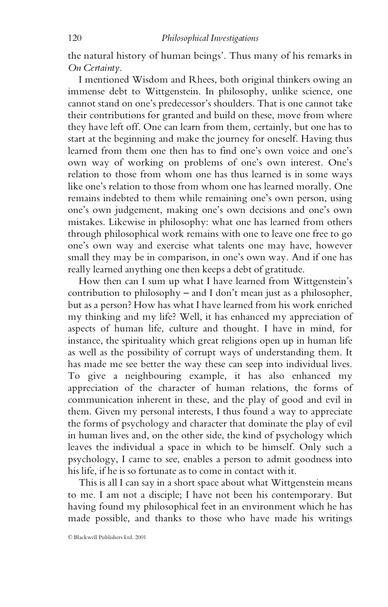the natural history of human beings'. Thus many of his remarks in On Certainty.

I mentioned Wisdom and Rhees, both original thinkers owing an immense debt to Wittgenstein. In philosophy, unlike science, one cannot stand on one's predecessor's shoulders. That is one cannot take their contributions for granted and build on these, move from where they have left off. One can learn from them, certainly, but one has to start at the beginning and make the journey for oneself. Having thus learned from them one then has to find one's own voice and one's own way of working on problems of one's own interest. One's relation to those from whom one has thus learned is in some ways like one's relation to those from whom one has learned morally. One remains indebted to them while remaining one's own person, using one's own judgement, making one's own decisions and one's own mistakes. Likewise in philosophy: what one has learned from others through philosophical work remains with one to leave one free to go one's own way and exercise what talents one may have, however small they may be in comparison, in one's own way. And if one has really learned anything one then keeps a debt of gratitude.

How then can I sum up what I have learned from Wittgenstein's contribution to philosophy  $-$  and I don't mean just as a philosopher, but as a person? How has what I have learned from his work enriched my thinking and my life? Well, it has enhanced my appreciation of aspects of human life, culture and thought. I have in mind, for instance, the spirituality which great religions open up in human life as well as the possibility of corrupt ways of understanding them. It has made me see better the way these can seep into individual lives. To give a neighbouring example, it has also enhanced my appreciation of the character of human relations, the forms of communication inherent in these, and the play of good and evil in them. Given my personal interests, I thus found a way to appreciate the forms of psychology and character that dominate the play of evil in human lives and, on the other side, the kind of psychology which leaves the individual a space in which to be himself. Only such a psychology, I came to see, enables a person to admit goodness into his life, if he is so fortunate as to come in contact with it.

This is all I can say in a short space about what Wittgenstein means to me. I am not a disciple; I have not been his contemporary. But having found my philosophical feet in an environment which he has made possible, and thanks to those who have made his writings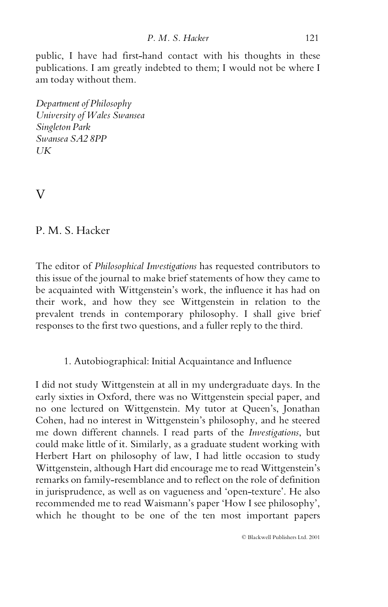P. M. S. Hacker 121

public, I have had first-hand contact with his thoughts in these publications. I am greatly indebted to them; I would not be where I am today without them.

Department of Philosophy University of Wales Swansea Singleton Park Swansea SA2 8PP  $I/K$ 

# V

# P. M. S. Hacker

The editor of Philosophical Investigations has requested contributors to this issue of the journal to make brief statements of how they came to be acquainted with Wittgenstein's work, the influence it has had on their work, and how they see Wittgenstein in relation to the prevalent trends in contemporary philosophy. I shall give brief responses to the first two questions, and a fuller reply to the third.

1. Autobiographical: Initial Acquaintance and Influence

I did not study Wittgenstein at all in my undergraduate days. In the early sixties in Oxford, there was no Wittgenstein special paper, and no one lectured on Wittgenstein. My tutor at Queen's, Jonathan Cohen, had no interest in Wittgenstein's philosophy, and he steered me down different channels. I read parts of the Investigations, but could make little of it. Similarly, as a graduate student working with Herbert Hart on philosophy of law, I had little occasion to study Wittgenstein, although Hart did encourage me to read Wittgenstein's remarks on family-resemblance and to reflect on the role of definition in jurisprudence, as well as on vagueness and `open-texture'. He also recommended me to read Waismann's paper 'How I see philosophy', which he thought to be one of the ten most important papers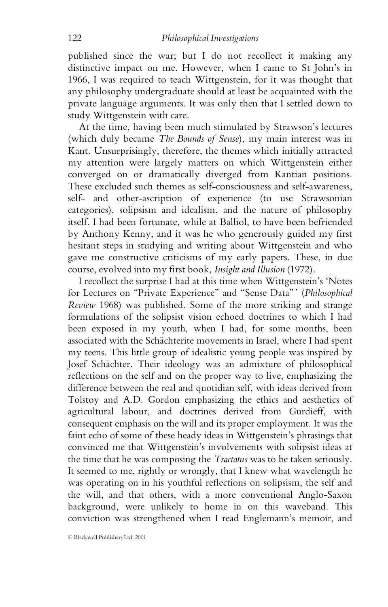published since the war; but I do not recollect it making any distinctive impact on me. However, when I came to St John's in 1966, I was required to teach Wittgenstein, for it was thought that any philosophy undergraduate should at least be acquainted with the private language arguments. It was only then that I settled down to study Wittgenstein with care.

At the time, having been much stimulated by Strawson's lectures (which duly became The Bounds of Sense), my main interest was in Kant. Unsurprisingly, therefore, the themes which initially attracted my attention were largely matters on which Wittgenstein either converged on or dramatically diverged from Kantian positions. These excluded such themes as self-consciousness and self-awareness, self- and other-ascription of experience (to use Strawsonian categories), solipsism and idealism, and the nature of philosophy itself. I had been fortunate, while at Balliol, to have been befriended by Anthony Kenny, and it was he who generously guided my first hesitant steps in studying and writing about Wittgenstein and who gave me constructive criticisms of my early papers. These, in due course, evolved into my first book, Insight and Illusion (1972).

I recollect the surprise I had at this time when Wittgenstein's `Notes for Lectures on "Private Experience" and "Sense Data"' (Philosophical Review 1968) was published. Some of the more striking and strange formulations of the solipsist vision echoed doctrines to which I had been exposed in my youth, when I had, for some months, been associated with the Schächterite movements in Israel, where I had spent my teens. This little group of idealistic young people was inspired by Josef Schächter. Their ideology was an admixture of philosophical reflections on the self and on the proper way to live, emphasizing the difference between the real and quotidian self, with ideas derived from Tolstoy and A.D. Gordon emphasizing the ethics and aesthetics of agricultural labour, and doctrines derived from Gurdieff, with consequent emphasis on the will and its proper employment. It was the faint echo of some of these heady ideas in Wittgenstein's phrasings that convinced me that Wittgenstein's involvements with solipsist ideas at the time that he was composing the Tractatus was to be taken seriously. It seemed to me, rightly or wrongly, that I knew what wavelength he was operating on in his youthful reflections on solipsism, the self and the will, and that others, with a more conventional Anglo-Saxon background, were unlikely to home in on this waveband. This conviction was strengthened when I read Englemann's memoir, and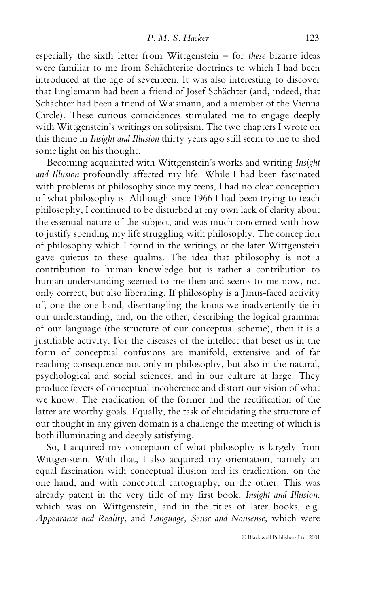especially the sixth letter from Wittgenstein  $-$  for these bizarre ideas were familiar to me from Schächterite doctrines to which I had been introduced at the age of seventeen. It was also interesting to discover that Englemann had been a friend of Josef Schächter (and, indeed, that Schächter had been a friend of Waismann, and a member of the Vienna Circle). These curious coincidences stimulated me to engage deeply with Wittgenstein's writings on solipsism. The two chapters I wrote on this theme in Insight and Illusion thirty years ago still seem to me to shed some light on his thought.

Becoming acquainted with Wittgenstein's works and writing Insight and Illusion profoundly affected my life. While I had been fascinated with problems of philosophy since my teens, I had no clear conception of what philosophy is. Although since 1966 I had been trying to teach philosophy, I continued to be disturbed at my own lack of clarity about the essential nature of the subject, and was much concerned with how to justify spending my life struggling with philosophy. The conception of philosophy which I found in the writings of the later Wittgenstein gave quietus to these qualms. The idea that philosophy is not a contribution to human knowledge but is rather a contribution to human understanding seemed to me then and seems to me now, not only correct, but also liberating. If philosophy is a Janus-faced activity of, one the one hand, disentangling the knots we inadvertently tie in our understanding, and, on the other, describing the logical grammar of our language (the structure of our conceptual scheme), then it is a justifiable activity. For the diseases of the intellect that beset us in the form of conceptual confusions are manifold, extensive and of far reaching consequence not only in philosophy, but also in the natural, psychological and social sciences, and in our culture at large. They produce fevers of conceptual incoherence and distort our vision of what we know. The eradication of the former and the rectification of the latter are worthy goals. Equally, the task of elucidating the structure of our thought in any given domain is a challenge the meeting of which is both illuminating and deeply satisfying.

So, I acquired my conception of what philosophy is largely from Wittgenstein. With that, I also acquired my orientation, namely an equal fascination with conceptual illusion and its eradication, on the one hand, and with conceptual cartography, on the other. This was already patent in the very title of my first book, Insight and Illusion, which was on Wittgenstein, and in the titles of later books, e.g. Appearance and Reality, and Language, Sense and Nonsense, which were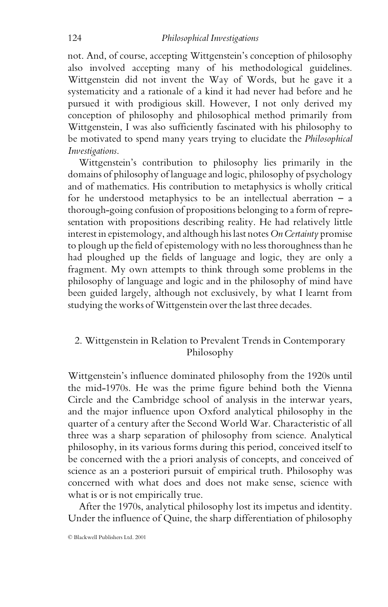not. And, of course, accepting Wittgenstein's conception of philosophy also involved accepting many of his methodological guidelines. Wittgenstein did not invent the Way of Words, but he gave it a systematicity and a rationale of a kind it had never had before and he pursued it with prodigious skill. However, I not only derived my conception of philosophy and philosophical method primarily from Wittgenstein, I was also sufficiently fascinated with his philosophy to be motivated to spend many years trying to elucidate the Philosophical Investigations.

Wittgenstein's contribution to philosophy lies primarily in the domains of philosophy of language and logic, philosophy of psychology and of mathematics. His contribution to metaphysics is wholly critical for he understood metaphysics to be an intellectual aberration  $-$  a thorough-going confusion of propositions belonging to a form of representation with propositions describing reality. He had relatively little interest in epistemology, and although his last notes On Certainty promise to plough up the field of epistemology with no less thoroughness than he had ploughed up the fields of language and logic, they are only a fragment. My own attempts to think through some problems in the philosophy of language and logic and in the philosophy of mind have been guided largely, although not exclusively, by what I learnt from studying the works of Wittgenstein over the last three decades.

# 2. Wittgenstein in Relation to Prevalent Trends in Contemporary Philosophy

Wittgenstein's influence dominated philosophy from the 1920s until the mid-1970s. He was the prime figure behind both the Vienna Circle and the Cambridge school of analysis in the interwar years, and the major influence upon Oxford analytical philosophy in the quarter of a century after the Second World War. Characteristic of all three was a sharp separation of philosophy from science. Analytical philosophy, in its various forms during this period, conceived itself to be concerned with the a priori analysis of concepts, and conceived of science as an a posteriori pursuit of empirical truth. Philosophy was concerned with what does and does not make sense, science with what is or is not empirically true.

After the 1970s, analytical philosophy lost its impetus and identity. Under the influence of Quine, the sharp differentiation of philosophy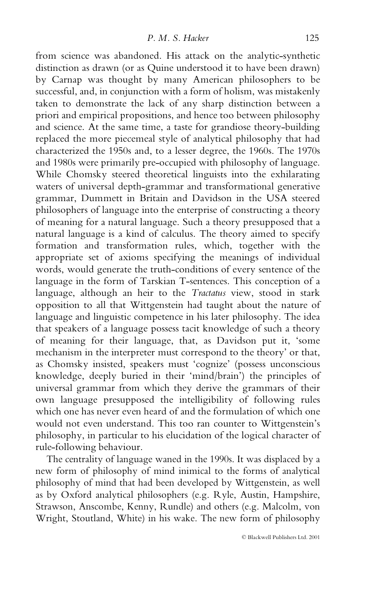from science was abandoned. His attack on the analytic-synthetic distinction as drawn (or as Quine understood it to have been drawn) by Carnap was thought by many American philosophers to be successful, and, in conjunction with a form of holism, was mistakenly taken to demonstrate the lack of any sharp distinction between a priori and empirical propositions, and hence too between philosophy and science. At the same time, a taste for grandiose theory-building replaced the more piecemeal style of analytical philosophy that had characterized the 1950s and, to a lesser degree, the 1960s. The 1970s and 1980s were primarily pre-occupied with philosophy of language. While Chomsky steered theoretical linguists into the exhilarating waters of universal depth-grammar and transformational generative grammar, Dummett in Britain and Davidson in the USA steered philosophers of language into the enterprise of constructing a theory of meaning for a natural language. Such a theory presupposed that a natural language is a kind of calculus. The theory aimed to specify formation and transformation rules, which, together with the appropriate set of axioms specifying the meanings of individual words, would generate the truth-conditions of every sentence of the language in the form of Tarskian T-sentences. This conception of a language, although an heir to the Tractatus view, stood in stark opposition to all that Wittgenstein had taught about the nature of language and linguistic competence in his later philosophy. The idea that speakers of a language possess tacit knowledge of such a theory of meaning for their language, that, as Davidson put it, `some mechanism in the interpreter must correspond to the theory' or that, as Chomsky insisted, speakers must `cognize' (possess unconscious knowledge, deeply buried in their `mind/brain') the principles of universal grammar from which they derive the grammars of their own language presupposed the intelligibility of following rules which one has never even heard of and the formulation of which one would not even understand. This too ran counter to Wittgenstein's philosophy, in particular to his elucidation of the logical character of rule-following behaviour.

The centrality of language waned in the 1990s. It was displaced by a new form of philosophy of mind inimical to the forms of analytical philosophy of mind that had been developed by Wittgenstein, as well as by Oxford analytical philosophers (e.g. Ryle, Austin, Hampshire, Strawson, Anscombe, Kenny, Rundle) and others (e.g. Malcolm, von Wright, Stoutland, White) in his wake. The new form of philosophy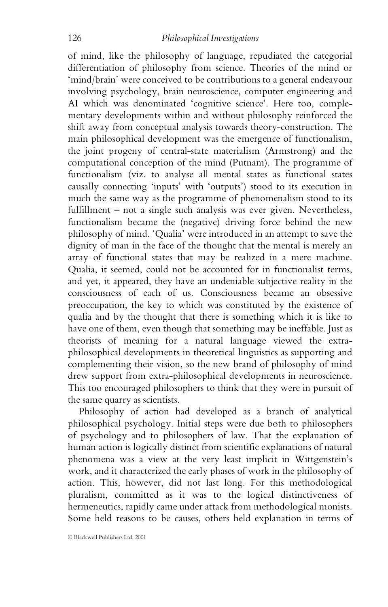of mind, like the philosophy of language, repudiated the categorial differentiation of philosophy from science. Theories of the mind or `mind/brain' were conceived to be contributions to a general endeavour involving psychology, brain neuroscience, computer engineering and AI which was denominated 'cognitive science'. Here too, complementary developments within and without philosophy reinforced the shift away from conceptual analysis towards theory-construction. The main philosophical development was the emergence of functionalism, the joint progeny of central-state materialism (Armstrong) and the computational conception of the mind (Putnam). The programme of functionalism (viz. to analyse all mental states as functional states causally connecting `inputs' with `outputs') stood to its execution in much the same way as the programme of phenomenalism stood to its fulfillment - not a single such analysis was ever given. Nevertheless, functionalism became the (negative) driving force behind the new philosophy of mind. `Qualia' were introduced in an attempt to save the dignity of man in the face of the thought that the mental is merely an array of functional states that may be realized in a mere machine. Qualia, it seemed, could not be accounted for in functionalist terms, and yet, it appeared, they have an undeniable subjective reality in the consciousness of each of us. Consciousness became an obsessive preoccupation, the key to which was constituted by the existence of qualia and by the thought that there is something which it is like to have one of them, even though that something may be ineffable. Just as theorists of meaning for a natural language viewed the extraphilosophical developments in theoretical linguistics as supporting and complementing their vision, so the new brand of philosophy of mind drew support from extra-philosophical developments in neuroscience. This too encouraged philosophers to think that they were in pursuit of the same quarry as scientists.

Philosophy of action had developed as a branch of analytical philosophical psychology. Initial steps were due both to philosophers of psychology and to philosophers of law. That the explanation of human action is logically distinct from scientific explanations of natural phenomena was a view at the very least implicit in Wittgenstein's work, and it characterized the early phases of work in the philosophy of action. This, however, did not last long. For this methodological pluralism, committed as it was to the logical distinctiveness of hermeneutics, rapidly came under attack from methodological monists. Some held reasons to be causes, others held explanation in terms of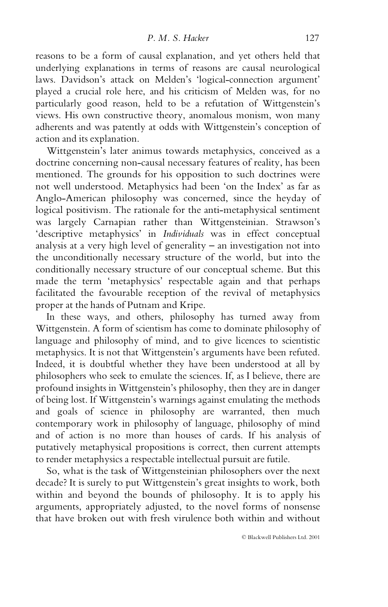reasons to be a form of causal explanation, and yet others held that underlying explanations in terms of reasons are causal neurological laws. Davidson's attack on Melden's 'logical-connection argument' played a crucial role here, and his criticism of Melden was, for no particularly good reason, held to be a refutation of Wittgenstein's views. His own constructive theory, anomalous monism, won many adherents and was patently at odds with Wittgenstein's conception of action and its explanation.

Wittgenstein's later animus towards metaphysics, conceived as a doctrine concerning non-causal necessary features of reality, has been mentioned. The grounds for his opposition to such doctrines were not well understood. Metaphysics had been `on the Index' as far as Anglo-American philosophy was concerned, since the heyday of logical positivism. The rationale for the anti-metaphysical sentiment was largely Carnapian rather than Wittgensteinian. Strawson's `descriptive metaphysics' in Individuals was in effect conceptual analysis at a very high level of generality  $-\pi$  investigation not into the unconditionally necessary structure of the world, but into the conditionally necessary structure of our conceptual scheme. But this made the term `metaphysics' respectable again and that perhaps facilitated the favourable reception of the revival of metaphysics proper at the hands of Putnam and Kripe.

In these ways, and others, philosophy has turned away from Wittgenstein. A form of scientism has come to dominate philosophy of language and philosophy of mind, and to give licences to scientistic metaphysics. It is not that Wittgenstein's arguments have been refuted. Indeed, it is doubtful whether they have been understood at all by philosophers who seek to emulate the sciences. If, as I believe, there are profound insights in Wittgenstein's philosophy, then they are in danger of being lost. If Wittgenstein's warnings against emulating the methods and goals of science in philosophy are warranted, then much contemporary work in philosophy of language, philosophy of mind and of action is no more than houses of cards. If his analysis of putatively metaphysical propositions is correct, then current attempts to render metaphysics a respectable intellectual pursuit are futile.

So, what is the task of Wittgensteinian philosophers over the next decade? It is surely to put Wittgenstein's great insights to work, both within and beyond the bounds of philosophy. It is to apply his arguments, appropriately adjusted, to the novel forms of nonsense that have broken out with fresh virulence both within and without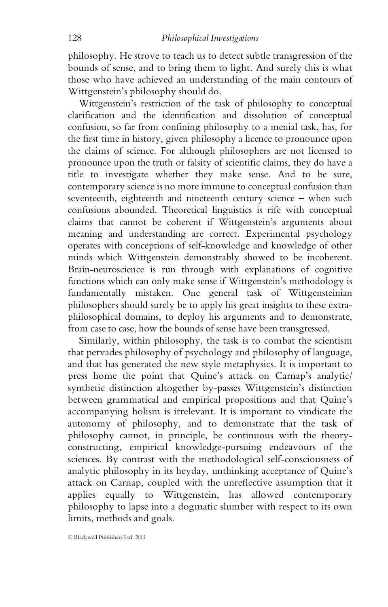philosophy. He strove to teach us to detect subtle transgression of the bounds of sense, and to bring them to light. And surely this is what those who have achieved an understanding of the main contours of Wittgenstein's philosophy should do.

Wittgenstein's restriction of the task of philosophy to conceptual clarification and the identification and dissolution of conceptual confusion, so far from confining philosophy to a menial task, has, for the first time in history, given philosophy a licence to pronounce upon the claims of science. For although philosophers are not licensed to pronounce upon the truth or falsity of scientific claims, they do have a title to investigate whether they make sense. And to be sure, contemporary science is no more immune to conceptual confusion than seventeenth, eighteenth and nineteenth century science - when such confusions abounded. Theoretical linguistics is rife with conceptual claims that cannot be coherent if Wittgenstein's arguments about meaning and understanding are correct. Experimental psychology operates with conceptions of self-knowledge and knowledge of other minds which Wittgenstein demonstrably showed to be incoherent. Brain-neuroscience is run through with explanations of cognitive functions which can only make sense if Wittgenstein's methodology is fundamentally mistaken. One general task of Wittgensteinian philosophers should surely be to apply his great insights to these extraphilosophical domains, to deploy his arguments and to demonstrate, from case to case, how the bounds of sense have been transgressed.

Similarly, within philosophy, the task is to combat the scientism that pervades philosophy of psychology and philosophy of language, and that has generated the new style metaphysics. It is important to press home the point that Quine's attack on Carnap's analytic/ synthetic distinction altogether by-passes Wittgenstein's distinction between grammatical and empirical propositions and that Quine's accompanying holism is irrelevant. It is important to vindicate the autonomy of philosophy, and to demonstrate that the task of philosophy cannot, in principle, be continuous with the theoryconstructing, empirical knowledge-pursuing endeavours of the sciences. By contrast with the methodological self-consciousness of analytic philosophy in its heyday, unthinking acceptance of Quine's attack on Carnap, coupled with the unreflective assumption that it applies equally to Wittgenstein, has allowed contemporary philosophy to lapse into a dogmatic slumber with respect to its own limits, methods and goals.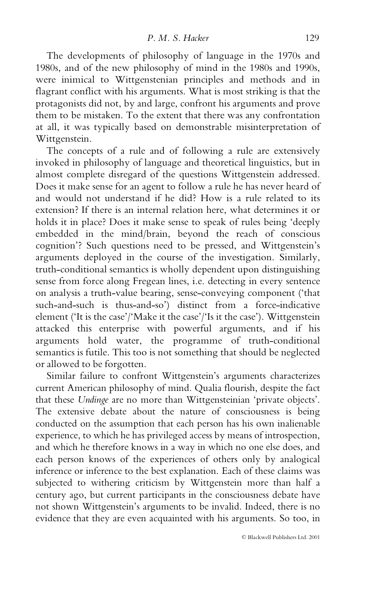The developments of philosophy of language in the 1970s and 1980s, and of the new philosophy of mind in the 1980s and 1990s, were inimical to Wittgenstenian principles and methods and in flagrant conflict with his arguments. What is most striking is that the protagonists did not, by and large, confront his arguments and prove them to be mistaken. To the extent that there was any confrontation at all, it was typically based on demonstrable misinterpretation of Wittgenstein.

The concepts of a rule and of following a rule are extensively invoked in philosophy of language and theoretical linguistics, but in almost complete disregard of the questions Wittgenstein addressed. Does it make sense for an agent to follow a rule he has never heard of and would not understand if he did? How is a rule related to its extension? If there is an internal relation here, what determines it or holds it in place? Does it make sense to speak of rules being `deeply embedded in the mind/brain, beyond the reach of conscious cognition'? Such questions need to be pressed, and Wittgenstein's arguments deployed in the course of the investigation. Similarly, truth-conditional semantics is wholly dependent upon distinguishing sense from force along Fregean lines, i.e. detecting in every sentence on analysis a truth-value bearing, sense-conveying component (`that such-and-such is thus-and-so') distinct from a force-indicative element ('It is the case'/'Make it the case'/'Is it the case'). Wittgenstein attacked this enterprise with powerful arguments, and if his arguments hold water, the programme of truth-conditional semantics is futile. This too is not something that should be neglected or allowed to be forgotten.

Similar failure to confront Wittgenstein's arguments characterizes current American philosophy of mind. Qualia flourish, despite the fact that these Undinge are no more than Wittgensteinian `private objects'. The extensive debate about the nature of consciousness is being conducted on the assumption that each person has his own inalienable experience, to which he has privileged access by means of introspection, and which he therefore knows in a way in which no one else does, and each person knows of the experiences of others only by analogical inference or inference to the best explanation. Each of these claims was subjected to withering criticism by Wittgenstein more than half a century ago, but current participants in the consciousness debate have not shown Wittgenstein's arguments to be invalid. Indeed, there is no evidence that they are even acquainted with his arguments. So too, in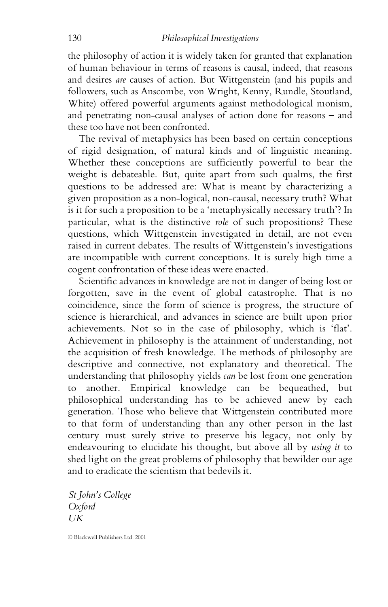the philosophy of action it is widely taken for granted that explanation of human behaviour in terms of reasons is causal, indeed, that reasons and desires are causes of action. But Wittgenstein (and his pupils and followers, such as Anscombe, von Wright, Kenny, Rundle, Stoutland, White) offered powerful arguments against methodological monism, and penetrating non-causal analyses of action done for reasons  $-$  and these too have not been confronted.

The revival of metaphysics has been based on certain conceptions of rigid designation, of natural kinds and of linguistic meaning. Whether these conceptions are sufficiently powerful to bear the weight is debateable. But, quite apart from such qualms, the first questions to be addressed are: What is meant by characterizing a given proposition as a non-logical, non-causal, necessary truth? What is it for such a proposition to be a 'metaphysically necessary truth'? In particular, what is the distinctive role of such propositions? These questions, which Wittgenstein investigated in detail, are not even raised in current debates. The results of Wittgenstein's investigations are incompatible with current conceptions. It is surely high time a cogent confrontation of these ideas were enacted.

Scientific advances in knowledge are not in danger of being lost or forgotten, save in the event of global catastrophe. That is no coincidence, since the form of science is progress, the structure of science is hierarchical, and advances in science are built upon prior achievements. Not so in the case of philosophy, which is `flat'. Achievement in philosophy is the attainment of understanding, not the acquisition of fresh knowledge. The methods of philosophy are descriptive and connective, not explanatory and theoretical. The understanding that philosophy yields can be lost from one generation to another. Empirical knowledge can be bequeathed, but philosophical understanding has to be achieved anew by each generation. Those who believe that Wittgenstein contributed more to that form of understanding than any other person in the last century must surely strive to preserve his legacy, not only by endeavouring to elucidate his thought, but above all by using it to shed light on the great problems of philosophy that bewilder our age and to eradicate the scientism that bedevils it.

St John's College Oxford UK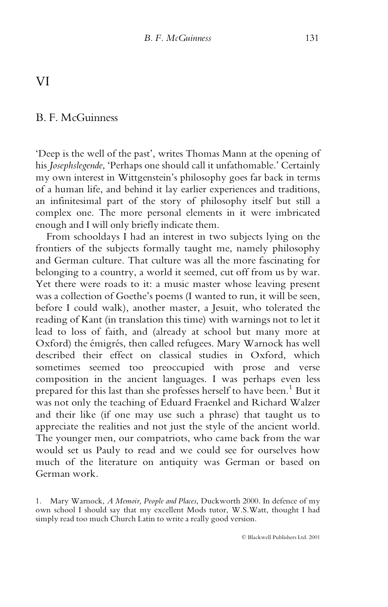# VI

#### B. F. McGuinness

`Deep is the well of the past', writes Thomas Mann at the opening of his Josephslegende, `Perhaps one should call it unfathomable.' Certainly my own interest in Wittgenstein's philosophy goes far back in terms of a human life, and behind it lay earlier experiences and traditions, an infinitesimal part of the story of philosophy itself but still a complex one. The more personal elements in it were imbricated enough and I will only briefly indicate them.

From schooldays I had an interest in two subjects lying on the frontiers of the subjects formally taught me, namely philosophy and German culture. That culture was all the more fascinating for belonging to a country, a world it seemed, cut off from us by war. Yet there were roads to it: a music master whose leaving present was a collection of Goethe's poems (I wanted to run, it will be seen, before I could walk), another master, a Jesuit, who tolerated the reading of Kant (in translation this time) with warnings not to let it lead to loss of faith, and (already at school but many more at Oxford) the émigrés, then called refugees. Mary Warnock has well described their effect on classical studies in Oxford, which sometimes seemed too preoccupied with prose and verse composition in the ancient languages. I was perhaps even less prepared for this last than she professes herself to have been.<sup>1</sup> But it was not only the teaching of Eduard Fraenkel and Richard Walzer and their like (if one may use such a phrase) that taught us to appreciate the realities and not just the style of the ancient world. The younger men, our compatriots, who came back from the war would set us Pauly to read and we could see for ourselves how much of the literature on antiquity was German or based on German work.

<sup>1.</sup> Mary Warnock, A Memoir, People and Places, Duckworth 2000. In defence of my own school I should say that my excellent Mods tutor, W.S.Watt, thought I had simply read too much Church Latin to write a really good version.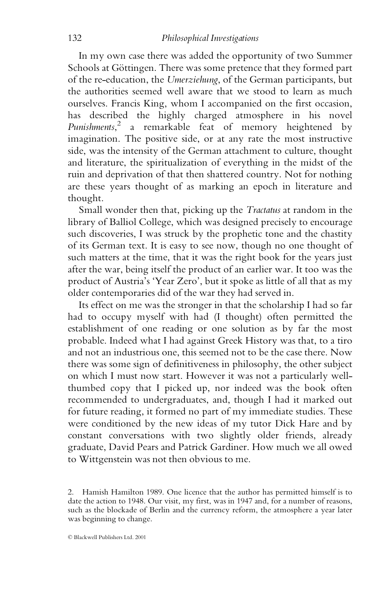In my own case there was added the opportunity of two Summer Schools at Göttingen. There was some pretence that they formed part of the re-education, the Umerziehung, of the German participants, but the authorities seemed well aware that we stood to learn as much ourselves. Francis King, whom I accompanied on the first occasion, has described the highly charged atmosphere in his novel Punishments,<sup>2</sup> a remarkable feat of memory heightened by imagination. The positive side, or at any rate the most instructive side, was the intensity of the German attachment to culture, thought and literature, the spiritualization of everything in the midst of the ruin and deprivation of that then shattered country. Not for nothing are these years thought of as marking an epoch in literature and thought.

Small wonder then that, picking up the Tractatus at random in the library of Balliol College, which was designed precisely to encourage such discoveries, I was struck by the prophetic tone and the chastity of its German text. It is easy to see now, though no one thought of such matters at the time, that it was the right book for the years just after the war, being itself the product of an earlier war. It too was the product of Austria's 'Year Zero', but it spoke as little of all that as my older contemporaries did of the war they had served in.

Its effect on me was the stronger in that the scholarship I had so far had to occupy myself with had (I thought) often permitted the establishment of one reading or one solution as by far the most probable. Indeed what I had against Greek History was that, to a tiro and not an industrious one, this seemed not to be the case there. Now there was some sign of definitiveness in philosophy, the other subject on which I must now start. However it was not a particularly wellthumbed copy that I picked up, nor indeed was the book often recommended to undergraduates, and, though I had it marked out for future reading, it formed no part of my immediate studies. These were conditioned by the new ideas of my tutor Dick Hare and by constant conversations with two slightly older friends, already graduate, David Pears and Patrick Gardiner. How much we all owed to Wittgenstein was not then obvious to me.

<sup>2.</sup> Hamish Hamilton 1989. One licence that the author has permitted himself is to date the action to 1948. Our visit, my first, was in 1947 and, for a number of reasons, such as the blockade of Berlin and the currency reform, the atmosphere a year later was beginning to change.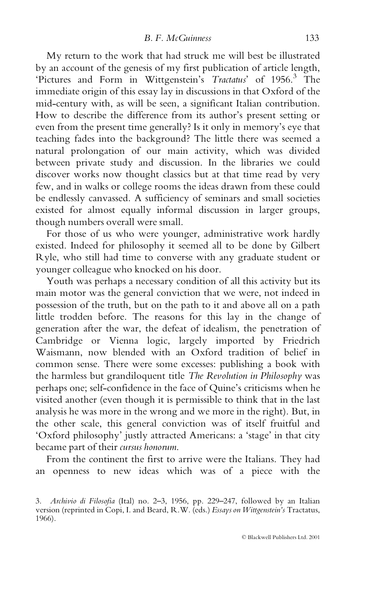My return to the work that had struck me will best be illustrated by an account of the genesis of my first publication of article length, `Pictures and Form in Wittgenstein's Tractatus' of 1956.<sup>3</sup> The immediate origin of this essay lay in discussions in that Oxford of the mid-century with, as will be seen, a significant Italian contribution. How to describe the difference from its author's present setting or even from the present time generally? Is it only in memory's eye that teaching fades into the background? The little there was seemed a natural prolongation of our main activity, which was divided between private study and discussion. In the libraries we could discover works now thought classics but at that time read by very few, and in walks or college rooms the ideas drawn from these could be endlessly canvassed. A sufficiency of seminars and small societies existed for almost equally informal discussion in larger groups, though numbers overall were small.

For those of us who were younger, administrative work hardly existed. Indeed for philosophy it seemed all to be done by Gilbert Ryle, who still had time to converse with any graduate student or younger colleague who knocked on his door.

Youth was perhaps a necessary condition of all this activity but its main motor was the general conviction that we were, not indeed in possession of the truth, but on the path to it and above all on a path little trodden before. The reasons for this lay in the change of generation after the war, the defeat of idealism, the penetration of Cambridge or Vienna logic, largely imported by Friedrich Waismann, now blended with an Oxford tradition of belief in common sense. There were some excesses: publishing a book with the harmless but grandiloquent title The Revolution in Philosophy was perhaps one; self-confidence in the face of Quine's criticisms when he visited another (even though it is permissible to think that in the last analysis he was more in the wrong and we more in the right). But, in the other scale, this general conviction was of itself fruitful and `Oxford philosophy' justly attracted Americans: a `stage' in that city became part of their cursus honorum.

From the continent the first to arrive were the Italians. They had an openness to new ideas which was of a piece with the

<sup>3.</sup> Archivio di Filosofia (Ital) no. 2-3, 1956, pp. 229-247, followed by an Italian version (reprinted in Copi, I. and Beard, R.W. (eds.) Essays on Wittgenstein's Tractatus, 1966).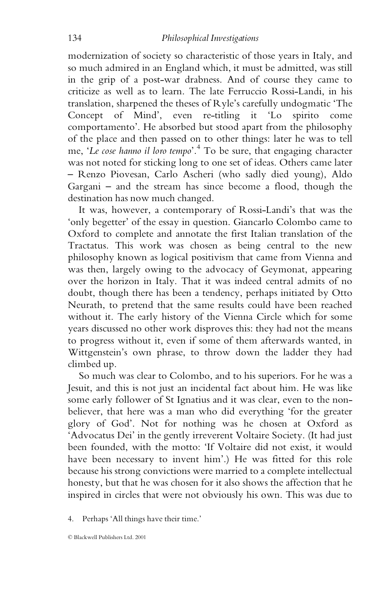modernization of society so characteristic of those years in Italy, and so much admired in an England which, it must be admitted, was still in the grip of a post-war drabness. And of course they came to criticize as well as to learn. The late Ferruccio Rossi-Landi, in his translation, sharpened the theses of Ryle's carefully undogmatic `The Concept of Mind', even re-titling it `Lo spirito come comportamento'. He absorbed but stood apart from the philosophy of the place and then passed on to other things: later he was to tell me, 'Le cose hanno il loro tempo'.<sup>4</sup> To be sure, that engaging character was not noted for sticking long to one set of ideas. Others came later ± Renzo Piovesan, Carlo Ascheri (who sadly died young), Aldo Gargani  $-$  and the stream has since become a flood, though the destination has now much changed.

It was, however, a contemporary of Rossi-Landi's that was the `only begetter' of the essay in question. Giancarlo Colombo came to Oxford to complete and annotate the first Italian translation of the Tractatus. This work was chosen as being central to the new philosophy known as logical positivism that came from Vienna and was then, largely owing to the advocacy of Geymonat, appearing over the horizon in Italy. That it was indeed central admits of no doubt, though there has been a tendency, perhaps initiated by Otto Neurath, to pretend that the same results could have been reached without it. The early history of the Vienna Circle which for some years discussed no other work disproves this: they had not the means to progress without it, even if some of them afterwards wanted, in Wittgenstein's own phrase, to throw down the ladder they had climbed up.

So much was clear to Colombo, and to his superiors. For he was a Jesuit, and this is not just an incidental fact about him. He was like some early follower of St Ignatius and it was clear, even to the nonbeliever, that here was a man who did everything 'for the greater glory of God'. Not for nothing was he chosen at Oxford as `Advocatus Dei' in the gently irreverent Voltaire Society. (It had just been founded, with the motto: 'If Voltaire did not exist, it would have been necessary to invent him'.) He was fitted for this role because his strong convictions were married to a complete intellectual honesty, but that he was chosen for it also shows the affection that he inspired in circles that were not obviously his own. This was due to

4. Perhaps `All things have their time.'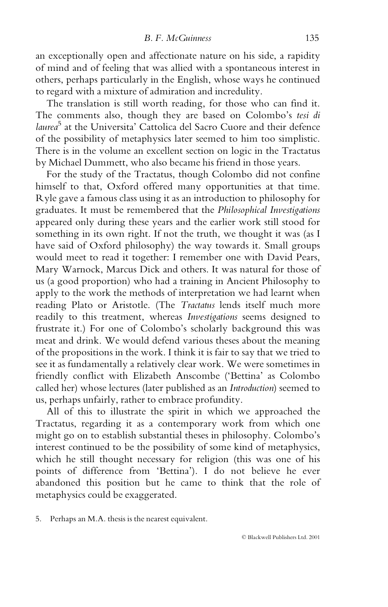an exceptionally open and affectionate nature on his side, a rapidity of mind and of feeling that was allied with a spontaneous interest in others, perhaps particularly in the English, whose ways he continued to regard with a mixture of admiration and incredulity.

The translation is still worth reading, for those who can find it. The comments also, though they are based on Colombo's tesi di laurea<sup>5</sup> at the Universita' Cattolica del Sacro Cuore and their defence of the possibility of metaphysics later seemed to him too simplistic. There is in the volume an excellent section on logic in the Tractatus by Michael Dummett, who also became his friend in those years.

For the study of the Tractatus, though Colombo did not confine himself to that, Oxford offered many opportunities at that time. Ryle gave a famous class using it as an introduction to philosophy for graduates. It must be remembered that the Philosophical Investigations appeared only during these years and the earlier work still stood for something in its own right. If not the truth, we thought it was (as I have said of Oxford philosophy) the way towards it. Small groups would meet to read it together: I remember one with David Pears, Mary Warnock, Marcus Dick and others. It was natural for those of us (a good proportion) who had a training in Ancient Philosophy to apply to the work the methods of interpretation we had learnt when reading Plato or Aristotle. (The Tractatus lends itself much more readily to this treatment, whereas Investigations seems designed to frustrate it.) For one of Colombo's scholarly background this was meat and drink. We would defend various theses about the meaning of the propositions in the work. I think it is fair to say that we tried to see it as fundamentally a relatively clear work. We were sometimes in friendly conflict with Elizabeth Anscombe ('Bettina' as Colombo called her) whose lectures (later published as an Introduction) seemed to us, perhaps unfairly, rather to embrace profundity.

All of this to illustrate the spirit in which we approached the Tractatus, regarding it as a contemporary work from which one might go on to establish substantial theses in philosophy. Colombo's interest continued to be the possibility of some kind of metaphysics, which he still thought necessary for religion (this was one of his points of difference from `Bettina'). I do not believe he ever abandoned this position but he came to think that the role of metaphysics could be exaggerated.

5. Perhaps an M.A. thesis is the nearest equivalent.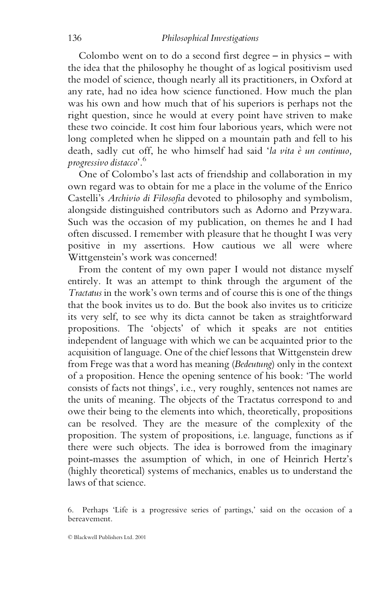Colombo went on to do a second first degree  $-\text{ in physics}$   $-\text{ with}$ the idea that the philosophy he thought of as logical positivism used the model of science, though nearly all its practitioners, in Oxford at any rate, had no idea how science functioned. How much the plan was his own and how much that of his superiors is perhaps not the right question, since he would at every point have striven to make these two coincide. It cost him four laborious years, which were not long completed when he slipped on a mountain path and fell to his death, sadly cut off, he who himself had said 'la vita è un continuo, progressivo distacco'.<sup>6</sup>

One of Colombo's last acts of friendship and collaboration in my own regard was to obtain for me a place in the volume of the Enrico Castelli's Archivio di Filosofia devoted to philosophy and symbolism, alongside distinguished contributors such as Adorno and Przywara. Such was the occasion of my publication, on themes he and I had often discussed. I remember with pleasure that he thought I was very positive in my assertions. How cautious we all were where Wittgenstein's work was concerned!

From the content of my own paper I would not distance myself entirely. It was an attempt to think through the argument of the Tractatus in the work's own terms and of course this is one of the things that the book invites us to do. But the book also invites us to criticize its very self, to see why its dicta cannot be taken as straightforward propositions. The `objects' of which it speaks are not entities independent of language with which we can be acquainted prior to the acquisition of language. One of the chief lessons that Wittgenstein drew from Frege was that a word has meaning (Bedeutung) only in the context of a proposition. Hence the opening sentence of his book: `The world consists of facts not things', i.e., very roughly, sentences not names are the units of meaning. The objects of the Tractatus correspond to and owe their being to the elements into which, theoretically, propositions can be resolved. They are the measure of the complexity of the proposition. The system of propositions, i.e. language, functions as if there were such objects. The idea is borrowed from the imaginary point-masses the assumption of which, in one of Heinrich Hertz's (highly theoretical) systems of mechanics, enables us to understand the laws of that science.

6. Perhaps `Life is a progressive series of partings,' said on the occasion of a bereavement.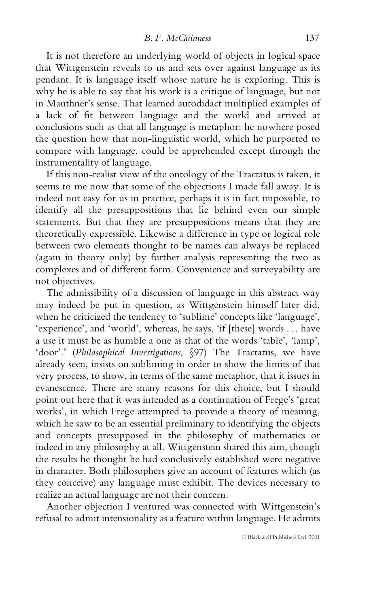It is not therefore an underlying world of objects in logical space that Wittgenstein reveals to us and sets over against language as its pendant. It is language itself whose nature he is exploring. This is why he is able to say that his work is a critique of language, but not in Mauthner's sense. That learned autodidact multiplied examples of a lack of fit between language and the world and arrived at conclusions such as that all language is metaphor: he nowhere posed the question how that non-linguistic world, which he purported to compare with language, could be apprehended except through the instrumentality of language.

If this non-realist view of the ontology of the Tractatus is taken, it seems to me now that some of the objections I made fall away. It is indeed not easy for us in practice, perhaps it is in fact impossible, to identify all the presuppositions that lie behind even our simple statements. But that they are presuppositions means that they are theoretically expressible. Likewise a difference in type or logical role between two elements thought to be names can always be replaced (again in theory only) by further analysis representing the two as complexes and of different form. Convenience and surveyability are not objectives.

The admissibility of a discussion of language in this abstract way may indeed be put in question, as Wittgenstein himself later did, when he criticized the tendency to 'sublime' concepts like 'language', `experience', and `world', whereas, he says, `if [these] words . . . have a use it must be as humble a one as that of the words `table', `lamp', 'door'.' (Philosophical Investigations, §97) The Tractatus, we have already seen, insists on subliming in order to show the limits of that very process, to show, in terms of the same metaphor, that it issues in evanescence. There are many reasons for this choice, but I should point out here that it was intended as a continuation of Frege's `great works', in which Frege attempted to provide a theory of meaning, which he saw to be an essential preliminary to identifying the objects and concepts presupposed in the philosophy of mathematics or indeed in any philosophy at all. Wittgenstein shared this aim, though the results he thought he had conclusively established were negative in character. Both philosophers give an account of features which (as they conceive) any language must exhibit. The devices necessary to realize an actual language are not their concern.

Another objection I ventured was connected with Wittgenstein's refusal to admit intensionality as a feature within language. He admits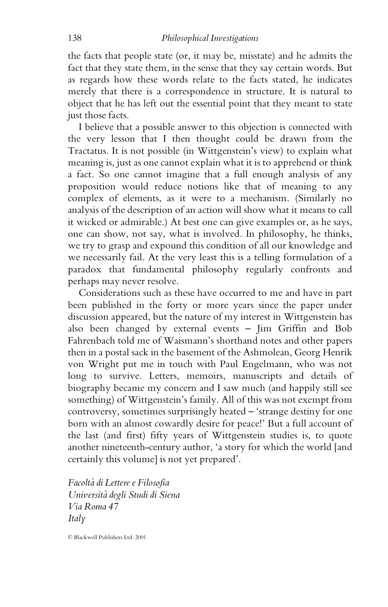the facts that people state (or, it may be, misstate) and he admits the fact that they state them, in the sense that they say certain words. But as regards how these words relate to the facts stated, he indicates merely that there is a correspondence in structure. It is natural to object that he has left out the essential point that they meant to state just those facts.

I believe that a possible answer to this objection is connected with the very lesson that I then thought could be drawn from the Tractatus. It is not possible (in Wittgenstein's view) to explain what meaning is, just as one cannot explain what it is to apprehend or think a fact. So one cannot imagine that a full enough analysis of any proposition would reduce notions like that of meaning to any complex of elements, as it were to a mechanism. (Similarly no analysis of the description of an action will show what it means to call it wicked or admirable.) At best one can give examples or, as he says, one can show, not say, what is involved. In philosophy, he thinks, we try to grasp and expound this condition of all our knowledge and we necessarily fail. At the very least this is a telling formulation of a paradox that fundamental philosophy regularly confronts and perhaps may never resolve.

Considerations such as these have occurred to me and have in part been published in the forty or more years since the paper under discussion appeared, but the nature of my interest in Wittgenstein has also been changed by external events  $-$  Jim Griffin and Bob Fahrenbach told me of Waismann's shorthand notes and other papers then in a postal sack in the basement of the Ashmolean, Georg Henrik von Wright put me in touch with Paul Engelmann, who was not long to survive. Letters, memoirs, manuscripts and details of biography became my concern and I saw much (and happily still see something) of Wittgenstein's family. All of this was not exempt from controversy, sometimes surprisingly heated - 'strange destiny for one born with an almost cowardly desire for peace!' But a full account of the last (and first) fifty years of Wittgenstein studies is, to quote another nineteenth-century author, `a story for which the world [and certainly this volume] is not yet prepared'.

Facoltà di Lettere e Filosofia Università degli Studi di Siena Via Roma 47 Italy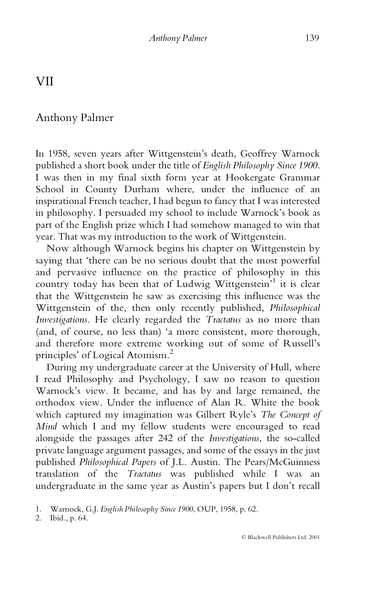# VII

### Anthony Palmer

In 1958, seven years after Wittgenstein's death, Geoffrey Warnock published a short book under the title of English Philosophy Since 1900. I was then in my final sixth form year at Hookergate Grammar School in County Durham where, under the influence of an inspirational French teacher, I had begun to fancy that I was interested in philosophy. I persuaded my school to include Warnock's book as part of the English prize which I had somehow managed to win that year. That was my introduction to the work of Wittgenstein.

Now although Warnock begins his chapter on Wittgenstein by saying that 'there can be no serious doubt that the most powerful and pervasive influence on the practice of philosophy in this country today has been that of Ludwig Wittgenstein'<sup>1</sup> it is clear that the Wittgenstein he saw as exercising this influence was the Wittgenstein of the, then only recently published, Philosophical Investigations. He clearly regarded the Tractatus as no more than (and, of course, no less than) `a more consistent, more thorough, and therefore more extreme working out of some of Russell's principles' of Logical Atomism.2

During my undergraduate career at the University of Hull, where I read Philosophy and Psychology, I saw no reason to question Warnock's view. It became, and has by and large remained, the orthodox view. Under the influence of Alan R. White the book which captured my imagination was Gilbert Ryle's The Concept of Mind which I and my fellow students were encouraged to read alongside the passages after 242 of the Investigations, the so-called private language argument passages, and some of the essays in the just published Philosophical Papers of J.L. Austin. The Pears/McGuinness translation of the Tractatus was published while I was an undergraduate in the same year as Austin's papers but I don't recall

2. Ibid., p. 64.

<sup>1.</sup> Warnock, G.J. English Philosophy Since 1900, OUP, 1958, p. 62.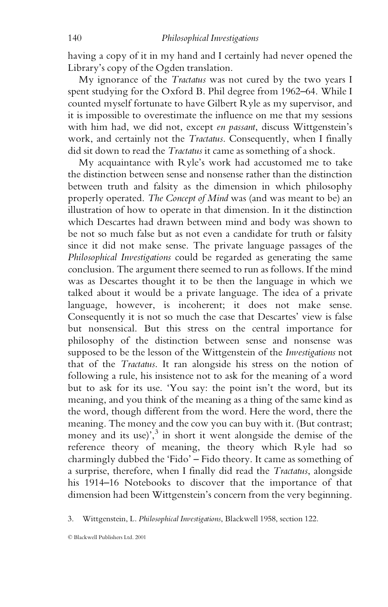having a copy of it in my hand and I certainly had never opened the Library's copy of the Ogden translation.

My ignorance of the Tractatus was not cured by the two years I spent studying for the Oxford B. Phil degree from 1962-64. While I counted myself fortunate to have Gilbert Ryle as my supervisor, and it is impossible to overestimate the influence on me that my sessions with him had, we did not, except en passant, discuss Wittgenstein's work, and certainly not the Tractatus. Consequently, when I finally did sit down to read the Tractatus it came as something of a shock.

My acquaintance with Ryle's work had accustomed me to take the distinction between sense and nonsense rather than the distinction between truth and falsity as the dimension in which philosophy properly operated. The Concept of Mind was (and was meant to be) an illustration of how to operate in that dimension. In it the distinction which Descartes had drawn between mind and body was shown to be not so much false but as not even a candidate for truth or falsity since it did not make sense. The private language passages of the Philosophical Investigations could be regarded as generating the same conclusion. The argument there seemed to run as follows. If the mind was as Descartes thought it to be then the language in which we talked about it would be a private language. The idea of a private language, however, is incoherent; it does not make sense. Consequently it is not so much the case that Descartes' view is false but nonsensical. But this stress on the central importance for philosophy of the distinction between sense and nonsense was supposed to be the lesson of the Wittgenstein of the Investigations not that of the Tractatus. It ran alongside his stress on the notion of following a rule, his insistence not to ask for the meaning of a word but to ask for its use. `You say: the point isn't the word, but its meaning, and you think of the meaning as a thing of the same kind as the word, though different from the word. Here the word, there the meaning. The money and the cow you can buy with it. (But contrast; money and its use) $\frac{3}{2}$  in short it went alongside the demise of the reference theory of meaning, the theory which Ryle had so charmingly dubbed the 'Fido' - Fido theory. It came as something of a surprise, therefore, when I finally did read the Tractatus, alongside his 1914–16 Notebooks to discover that the importance of that dimension had been Wittgenstein's concern from the very beginning.

<sup>3.</sup> Wittgenstein, L. Philosophical Investigations, Blackwell 1958, section 122.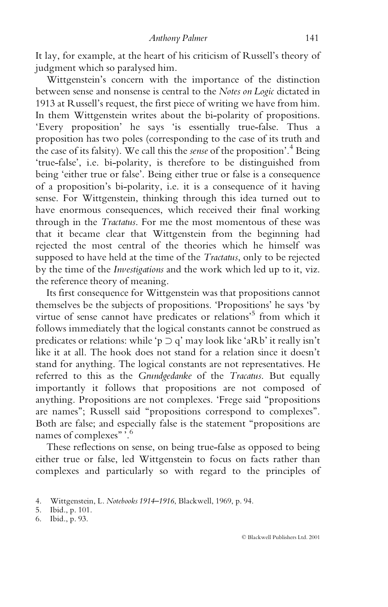It lay, for example, at the heart of his criticism of Russell's theory of judgment which so paralysed him.

Wittgenstein's concern with the importance of the distinction between sense and nonsense is central to the Notes on Logic dictated in 1913 at Russell's request, the first piece of writing we have from him. In them Wittgenstein writes about the bi-polarity of propositions. `Every proposition' he says `is essentially true-false. Thus a proposition has two poles (corresponding to the case of its truth and the case of its falsity). We call this the *sense* of the proposition'.<sup>4</sup> Being `true-false', i.e. bi-polarity, is therefore to be distinguished from being 'either true or false'. Being either true or false is a consequence of a proposition's bi-polarity, i.e. it is a consequence of it having sense. For Wittgenstein, thinking through this idea turned out to have enormous consequences, which received their final working through in the Tractatus. For me the most momentous of these was that it became clear that Wittgenstein from the beginning had rejected the most central of the theories which he himself was supposed to have held at the time of the Tractatus, only to be rejected by the time of the Investigations and the work which led up to it, viz. the reference theory of meaning.

Its first consequence for Wittgenstein was that propositions cannot themselves be the subjects of propositions. `Propositions' he says `by virtue of sense cannot have predicates or relations'<sup>5</sup> from which it follows immediately that the logical constants cannot be construed as predicates or relations: while 'p  $\supset q$ ' may look like 'aRb' it really isn't like it at all. The hook does not stand for a relation since it doesn't stand for anything. The logical constants are not representatives. He referred to this as the Grundgedanke of the Tracatus. But equally importantly it follows that propositions are not composed of anything. Propositions are not complexes. 'Frege said "propositions are names"; Russell said "propositions correspond to complexes". Both are false; and especially false is the statement "propositions are names of complexes".<sup>56</sup>

These reflections on sense, on being true-false as opposed to being either true or false, led Wittgenstein to focus on facts rather than complexes and particularly so with regard to the principles of

<sup>4.</sup> Wittgenstein, L. Notebooks 1914-1916, Blackwell, 1969, p. 94.

<sup>5.</sup> Ibid., p. 101.

<sup>6.</sup> Ibid., p. 93.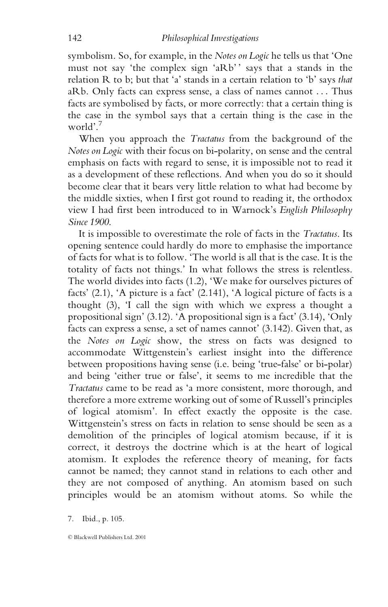symbolism. So, for example, in the Notes on Logic he tells us that 'One must not say `the complex sign `aRb' ' says that a stands in the relation R to b; but that 'a' stands in a certain relation to 'b' says that aRb. Only facts can express sense, a class of names cannot ... Thus facts are symbolised by facts, or more correctly: that a certain thing is the case in the symbol says that a certain thing is the case in the world'.<sup>7</sup>

When you approach the *Tractatus* from the background of the Notes on Logic with their focus on bi-polarity, on sense and the central emphasis on facts with regard to sense, it is impossible not to read it as a development of these reflections. And when you do so it should become clear that it bears very little relation to what had become by the middle sixties, when I first got round to reading it, the orthodox view I had first been introduced to in Warnock's English Philosophy Since 1900.

It is impossible to overestimate the role of facts in the Tractatus. Its opening sentence could hardly do more to emphasise the importance of facts for what is to follow. `The world is all that is the case. It is the totality of facts not things.' In what follows the stress is relentless. The world divides into facts (1.2), 'We make for ourselves pictures of facts' (2.1), `A picture is a fact' (2.141), `A logical picture of facts is a thought  $(3)$ , 'I call the sign with which we express a thought a propositional sign' (3.12). `A propositional sign is a fact' (3.14), `Only facts can express a sense, a set of names cannot' (3.142). Given that, as the Notes on Logic show, the stress on facts was designed to accommodate Wittgenstein's earliest insight into the difference between propositions having sense (i.e. being 'true-false' or bi-polar) and being 'either true or false', it seems to me incredible that the Tractatus came to be read as `a more consistent, more thorough, and therefore a more extreme working out of some of Russell's principles of logical atomism'. In effect exactly the opposite is the case. Wittgenstein's stress on facts in relation to sense should be seen as a demolition of the principles of logical atomism because, if it is correct, it destroys the doctrine which is at the heart of logical atomism. It explodes the reference theory of meaning, for facts cannot be named; they cannot stand in relations to each other and they are not composed of anything. An atomism based on such principles would be an atomism without atoms. So while the

7. Ibid., p. 105.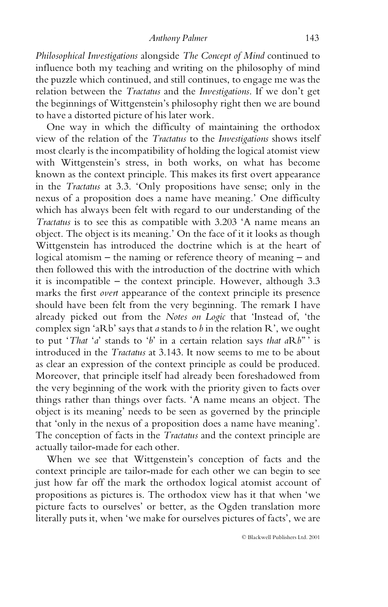Philosophical Investigations alongside The Concept of Mind continued to influence both my teaching and writing on the philosophy of mind the puzzle which continued, and still continues, to engage me was the relation between the Tractatus and the Investigations. If we don't get the beginnings of Wittgenstein's philosophy right then we are bound to have a distorted picture of his later work.

One way in which the difficulty of maintaining the orthodox view of the relation of the Tractatus to the Investigations shows itself most clearly is the incompatibility of holding the logical atomist view with Wittgenstein's stress, in both works, on what has become known as the context principle. This makes its first overt appearance in the Tractatus at 3.3. `Only propositions have sense; only in the nexus of a proposition does a name have meaning.' One difficulty which has always been felt with regard to our understanding of the Tractatus is to see this as compatible with 3.203 `A name means an object. The object is its meaning.' On the face of it it looks as though Wittgenstein has introduced the doctrine which is at the heart of logical atomism  $-$  the naming or reference theory of meaning  $-$  and then followed this with the introduction of the doctrine with which it is incompatible  $-$  the context principle. However, although  $3.3$ marks the first overt appearance of the context principle its presence should have been felt from the very beginning. The remark I have already picked out from the Notes on Logic that 'Instead of, 'the complex sign 'aRb' says that a stands to  $b$  in the relation R', we ought to put 'That 'a' stands to 'b' in a certain relation says that  $aRb$ "' is introduced in the Tractatus at 3.143. It now seems to me to be about as clear an expression of the context principle as could be produced. Moreover, that principle itself had already been foreshadowed from the very beginning of the work with the priority given to facts over things rather than things over facts. `A name means an object. The object is its meaning' needs to be seen as governed by the principle that `only in the nexus of a proposition does a name have meaning'. The conception of facts in the Tractatus and the context principle are actually tailor-made for each other.

When we see that Wittgenstein's conception of facts and the context principle are tailor-made for each other we can begin to see just how far off the mark the orthodox logical atomist account of propositions as pictures is. The orthodox view has it that when `we picture facts to ourselves' or better, as the Ogden translation more literally puts it, when `we make for ourselves pictures of facts', we are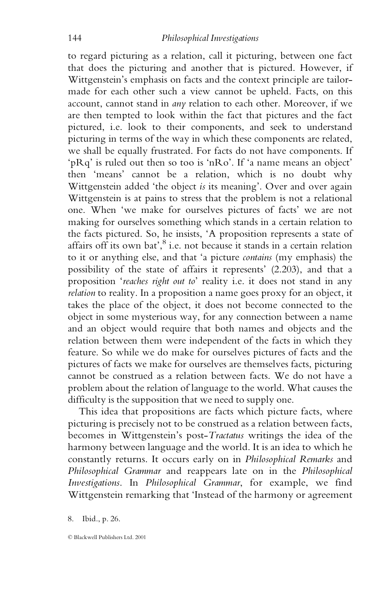to regard picturing as a relation, call it picturing, between one fact that does the picturing and another that is pictured. However, if Wittgenstein's emphasis on facts and the context principle are tailormade for each other such a view cannot be upheld. Facts, on this account, cannot stand in any relation to each other. Moreover, if we are then tempted to look within the fact that pictures and the fact pictured, i.e. look to their components, and seek to understand picturing in terms of the way in which these components are related, we shall be equally frustrated. For facts do not have components. If `pRq' is ruled out then so too is `nRo'. If `a name means an object' then `means' cannot be a relation, which is no doubt why Wittgenstein added 'the object is its meaning'. Over and over again Wittgenstein is at pains to stress that the problem is not a relational one. When `we make for ourselves pictures of facts' we are not making for ourselves something which stands in a certain relation to the facts pictured. So, he insists, `A proposition represents a state of affairs off its own bat',  $8$  i.e. not because it stands in a certain relation to it or anything else, and that `a picture contains (my emphasis) the possibility of the state of affairs it represents' (2.203), and that a proposition 'reaches right out to' reality i.e. it does not stand in any relation to reality. In a proposition a name goes proxy for an object, it takes the place of the object, it does not become connected to the object in some mysterious way, for any connection between a name and an object would require that both names and objects and the relation between them were independent of the facts in which they feature. So while we do make for ourselves pictures of facts and the pictures of facts we make for ourselves are themselves facts, picturing cannot be construed as a relation between facts. We do not have a problem about the relation of language to the world. What causes the difficulty is the supposition that we need to supply one.

This idea that propositions are facts which picture facts, where picturing is precisely not to be construed as a relation between facts, becomes in Wittgenstein's post-Tractatus writings the idea of the harmony between language and the world. It is an idea to which he constantly returns. It occurs early on in Philosophical Remarks and Philosophical Grammar and reappears late on in the Philosophical Investigations. In Philosophical Grammar, for example, we find Wittgenstein remarking that `Instead of the harmony or agreement

8. Ibid., p. 26.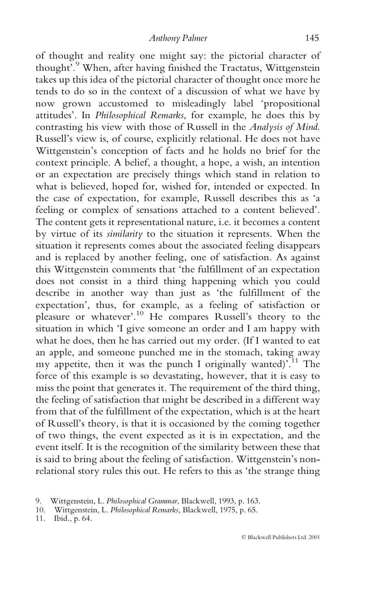of thought and reality one might say: the pictorial character of thought'.<sup>9</sup> When, after having finished the Tractatus, Wittgenstein takes up this idea of the pictorial character of thought once more he tends to do so in the context of a discussion of what we have by now grown accustomed to misleadingly label `propositional attitudes'. In Philosophical Remarks, for example, he does this by contrasting his view with those of Russell in the Analysis of Mind. Russell's view is, of course, explicitly relational. He does not have Wittgenstein's conception of facts and he holds no brief for the context principle. A belief, a thought, a hope, a wish, an intention or an expectation are precisely things which stand in relation to what is believed, hoped for, wished for, intended or expected. In the case of expectation, for example, Russell describes this as `a feeling or complex of sensations attached to a content believed'. The content gets it representational nature, i.e. it becomes a content by virtue of its similarity to the situation it represents. When the situation it represents comes about the associated feeling disappears and is replaced by another feeling, one of satisfaction. As against this Wittgenstein comments that `the fulfillment of an expectation does not consist in a third thing happening which you could describe in another way than just as `the fulfillment of the expectation', thus, for example, as a feeling of satisfaction or pleasure or whatever'.10 He compares Russell's theory to the situation in which `I give someone an order and I am happy with what he does, then he has carried out my order. (If I wanted to eat an apple, and someone punched me in the stomach, taking away my appetite, then it was the punch I originally wanted)<sup> $11$ </sup> The force of this example is so devastating, however, that it is easy to miss the point that generates it. The requirement of the third thing, the feeling of satisfaction that might be described in a different way from that of the fulfillment of the expectation, which is at the heart of Russell's theory, is that it is occasioned by the coming together of two things, the event expected as it is in expectation, and the event itself. It is the recognition of the similarity between these that is said to bring about the feeling of satisfaction. Wittgenstein's nonrelational story rules this out. He refers to this as 'the strange thing

11. Ibid., p. 64.

<sup>9.</sup> Wittgenstein, L. Philosophical Grammar, Blackwell, 1993, p. 163.

<sup>10.</sup> Wittgenstein, L. Philosophical Remarks, Blackwell, 1975, p. 65.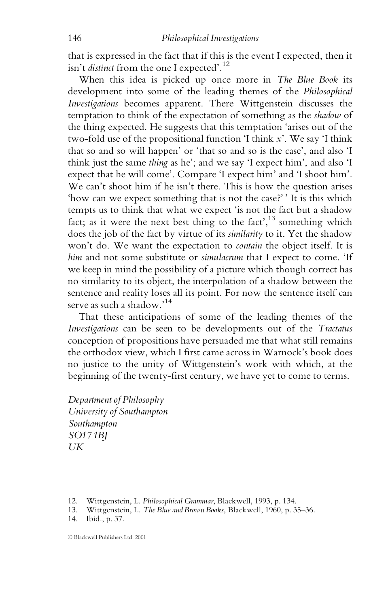that is expressed in the fact that if this is the event I expected, then it isn't *distinct* from the one I expected'.<sup>12</sup>

When this idea is picked up once more in The Blue Book its development into some of the leading themes of the Philosophical Investigations becomes apparent. There Wittgenstein discusses the temptation to think of the expectation of something as the shadow of the thing expected. He suggests that this temptation `arises out of the two-fold use of the propositional function 'I think  $x'$ . We say 'I think that so and so will happen' or `that so and so is the case', and also `I think just the same thing as he'; and we say 'I expect him', and also 'I expect that he will come'. Compare `I expect him' and `I shoot him'. We can't shoot him if he isn't there. This is how the question arises `how can we expect something that is not the case?' ' It is this which tempts us to think that what we expect `is not the fact but a shadow fact; as it were the next best thing to the fact',<sup>13</sup> something which does the job of the fact by virtue of its similarity to it. Yet the shadow won't do. We want the expectation to contain the object itself. It is him and not some substitute or simulacrum that I expect to come. 'If we keep in mind the possibility of a picture which though correct has no similarity to its object, the interpolation of a shadow between the sentence and reality loses all its point. For now the sentence itself can serve as such a shadow.'<sup>14</sup>

That these anticipations of some of the leading themes of the Investigations can be seen to be developments out of the Tractatus conception of propositions have persuaded me that what still remains the orthodox view, which I first came across in Warnock's book does no justice to the unity of Wittgenstein's work with which, at the beginning of the twenty-first century, we have yet to come to terms.

Department of Philosophy University of Southampton Southampton SO17 1BJ UK

- 12. Wittgenstein, L. Philosophical Grammar, Blackwell, 1993, p. 134.<br>13. Wittgenstein, L. The Blue and Brown Books, Blackwell, 1960, p. 3
- Wittgenstein, L. The Blue and Brown Books, Blackwell, 1960, p. 35-36.
- 14. Ibid., p. 37.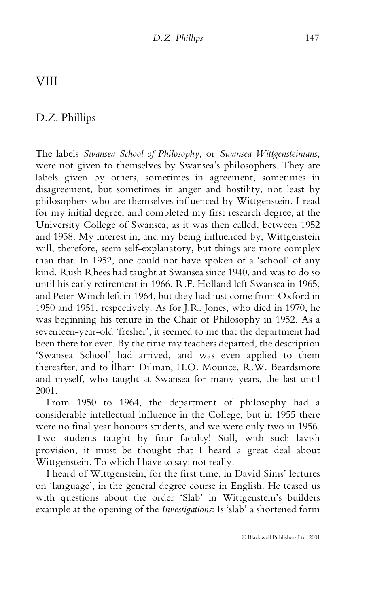# VIII

### D.Z. Phillips

The labels Swansea School of Philosophy, or Swansea Wittgensteinians, were not given to themselves by Swansea's philosophers. They are labels given by others, sometimes in agreement, sometimes in disagreement, but sometimes in anger and hostility, not least by philosophers who are themselves influenced by Wittgenstein. I read for my initial degree, and completed my first research degree, at the University College of Swansea, as it was then called, between 1952 and 1958. My interest in, and my being influenced by, Wittgenstein will, therefore, seem self-explanatory, but things are more complex than that. In 1952, one could not have spoken of a 'school' of any kind. Rush Rhees had taught at Swansea since 1940, and was to do so until his early retirement in 1966. R.F. Holland left Swansea in 1965, and Peter Winch left in 1964, but they had just come from Oxford in 1950 and 1951, respectively. As for J.R. Jones, who died in 1970, he was beginning his tenure in the Chair of Philosophy in 1952. As a seventeen-year-old 'fresher', it seemed to me that the department had been there for ever. By the time my teachers departed, the description `Swansea School' had arrived, and was even applied to them thereafter, and to Ilham Dilman, H.O. Mounce, R.W. Beardsmore and myself, who taught at Swansea for many years, the last until 2001.

From 1950 to 1964, the department of philosophy had a considerable intellectual influence in the College, but in 1955 there were no final year honours students, and we were only two in 1956. Two students taught by four faculty! Still, with such lavish provision, it must be thought that I heard a great deal about Wittgenstein. To which I have to say: not really.

I heard of Wittgenstein, for the first time, in David Sims' lectures on `language', in the general degree course in English. He teased us with questions about the order 'Slab' in Wittgenstein's builders example at the opening of the *Investigations*: Is 'slab' a shortened form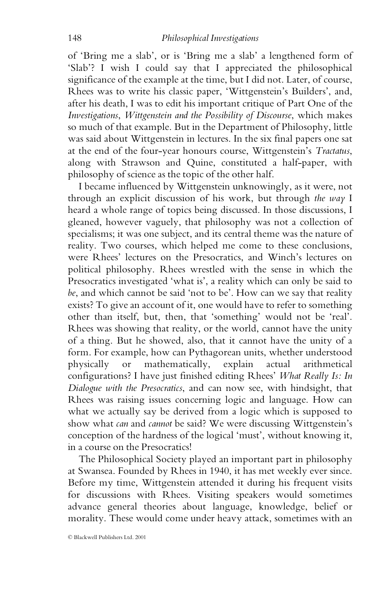of `Bring me a slab', or is `Bring me a slab' a lengthened form of `Slab'? I wish I could say that I appreciated the philosophical significance of the example at the time, but I did not. Later, of course, Rhees was to write his classic paper, `Wittgenstein's Builders', and, after his death, I was to edit his important critique of Part One of the Investigations, Wittgenstein and the Possibility of Discourse, which makes so much of that example. But in the Department of Philosophy, little was said about Wittgenstein in lectures. In the six final papers one sat at the end of the four-year honours course, Wittgenstein's Tractatus, along with Strawson and Quine, constituted a half-paper, with philosophy of science as the topic of the other half.

I became influenced by Wittgenstein unknowingly, as it were, not through an explicit discussion of his work, but through the way I heard a whole range of topics being discussed. In those discussions, I gleaned, however vaguely, that philosophy was not a collection of specialisms; it was one subject, and its central theme was the nature of reality. Two courses, which helped me come to these conclusions, were Rhees' lectures on the Presocratics, and Winch's lectures on political philosophy. Rhees wrestled with the sense in which the Presocratics investigated 'what is', a reality which can only be said to be, and which cannot be said 'not to be'. How can we say that reality exists? To give an account of it, one would have to refer to something other than itself, but, then, that `something' would not be `real'. Rhees was showing that reality, or the world, cannot have the unity of a thing. But he showed, also, that it cannot have the unity of a form. For example, how can Pythagorean units, whether understood physically or mathematically, explain actual arithmetical configurations? I have just finished editing Rhees' What Really Is: In Dialogue with the Presocratics, and can now see, with hindsight, that Rhees was raising issues concerning logic and language. How can what we actually say be derived from a logic which is supposed to show what can and cannot be said? We were discussing Wittgenstein's conception of the hardness of the logical `must', without knowing it, in a course on the Presocratics!

The Philosophical Society played an important part in philosophy at Swansea. Founded by Rhees in 1940, it has met weekly ever since. Before my time, Wittgenstein attended it during his frequent visits for discussions with Rhees. Visiting speakers would sometimes advance general theories about language, knowledge, belief or morality. These would come under heavy attack, sometimes with an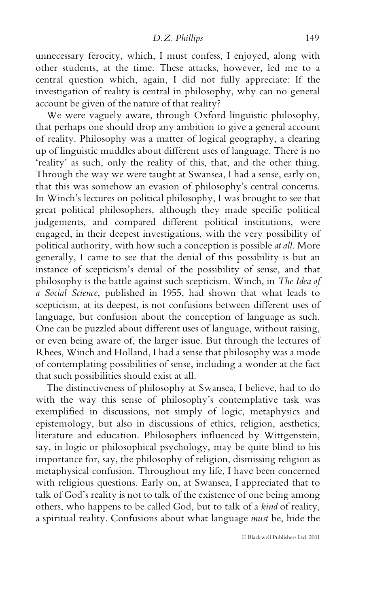unnecessary ferocity, which, I must confess, I enjoyed, along with other students, at the time. These attacks, however, led me to a central question which, again, I did not fully appreciate: If the investigation of reality is central in philosophy, why can no general account be given of the nature of that reality?

We were vaguely aware, through Oxford linguistic philosophy, that perhaps one should drop any ambition to give a general account of reality. Philosophy was a matter of logical geography, a clearing up of linguistic muddles about different uses of language. There is no `reality' as such, only the reality of this, that, and the other thing. Through the way we were taught at Swansea, I had a sense, early on, that this was somehow an evasion of philosophy's central concerns. In Winch's lectures on political philosophy, I was brought to see that great political philosophers, although they made specific political judgements, and compared different political institutions, were engaged, in their deepest investigations, with the very possibility of political authority, with how such a conception is possible at all. More generally, I came to see that the denial of this possibility is but an instance of scepticism's denial of the possibility of sense, and that philosophy is the battle against such scepticism. Winch, in The Idea of a Social Science, published in 1955, had shown that what leads to scepticism, at its deepest, is not confusions between different uses of language, but confusion about the conception of language as such. One can be puzzled about different uses of language, without raising, or even being aware of, the larger issue. But through the lectures of Rhees, Winch and Holland, I had a sense that philosophy was a mode of contemplating possibilities of sense, including a wonder at the fact that such possibilities should exist at all.

The distinctiveness of philosophy at Swansea, I believe, had to do with the way this sense of philosophy's contemplative task was exemplified in discussions, not simply of logic, metaphysics and epistemology, but also in discussions of ethics, religion, aesthetics, literature and education. Philosophers influenced by Wittgenstein, say, in logic or philosophical psychology, may be quite blind to his importance for, say, the philosophy of religion, dismissing religion as metaphysical confusion. Throughout my life, I have been concerned with religious questions. Early on, at Swansea, I appreciated that to talk of God's reality is not to talk of the existence of one being among others, who happens to be called God, but to talk of a kind of reality, a spiritual reality. Confusions about what language must be, hide the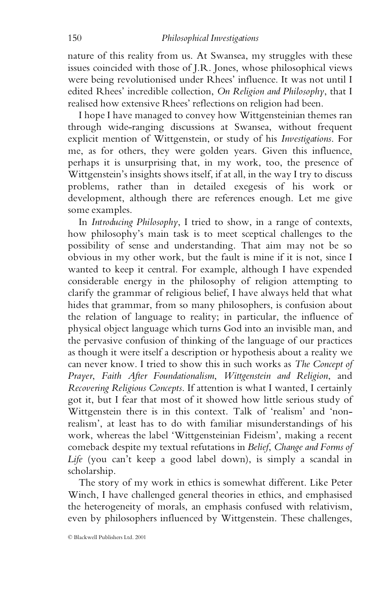nature of this reality from us. At Swansea, my struggles with these issues coincided with those of J.R. Jones, whose philosophical views were being revolutionised under Rhees' influence. It was not until I edited Rhees' incredible collection, On Religion and Philosophy, that I realised how extensive Rhees' reflections on religion had been.

I hope I have managed to convey how Wittgensteinian themes ran through wide-ranging discussions at Swansea, without frequent explicit mention of Wittgenstein, or study of his Investigations. For me, as for others, they were golden years. Given this influence, perhaps it is unsurprising that, in my work, too, the presence of Wittgenstein's insights shows itself, if at all, in the way I try to discuss problems, rather than in detailed exegesis of his work or development, although there are references enough. Let me give some examples.

In Introducing Philosophy, I tried to show, in a range of contexts, how philosophy's main task is to meet sceptical challenges to the possibility of sense and understanding. That aim may not be so obvious in my other work, but the fault is mine if it is not, since I wanted to keep it central. For example, although I have expended considerable energy in the philosophy of religion attempting to clarify the grammar of religious belief, I have always held that what hides that grammar, from so many philosophers, is confusion about the relation of language to reality; in particular, the influence of physical object language which turns God into an invisible man, and the pervasive confusion of thinking of the language of our practices as though it were itself a description or hypothesis about a reality we can never know. I tried to show this in such works as The Concept of Prayer, Faith After Foundationalism, Wittgenstein and Religion, and Recovering Religious Concepts. If attention is what I wanted, I certainly got it, but I fear that most of it showed how little serious study of Wittgenstein there is in this context. Talk of 'realism' and 'nonrealism', at least has to do with familiar misunderstandings of his work, whereas the label `Wittgensteinian Fideism', making a recent comeback despite my textual refutations in Belief, Change and Forms of Life (you can't keep a good label down), is simply a scandal in scholarship.

The story of my work in ethics is somewhat different. Like Peter Winch, I have challenged general theories in ethics, and emphasised the heterogeneity of morals, an emphasis confused with relativism, even by philosophers influenced by Wittgenstein. These challenges,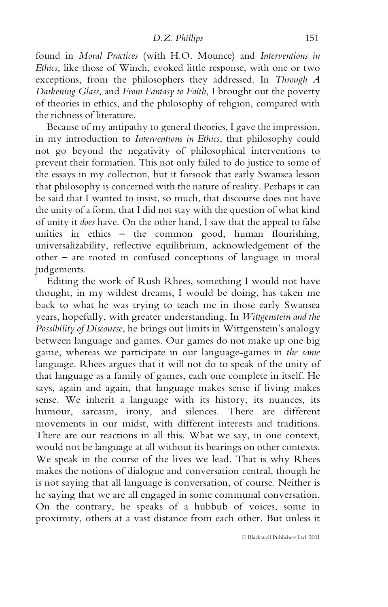found in Moral Practices (with H.O. Mounce) and Interventions in Ethics, like those of Winch, evoked little response, with one or two exceptions, from the philosophers they addressed. In Through A Darkening Glass, and From Fantasy to Faith, I brought out the poverty of theories in ethics, and the philosophy of religion, compared with the richness of literature.

Because of my antipathy to general theories, I gave the impression, in my introduction to Interventions in Ethics, that philosophy could not go beyond the negativity of philosophical interventions to prevent their formation. This not only failed to do justice to some of the essays in my collection, but it forsook that early Swansea lesson that philosophy is concerned with the nature of reality. Perhaps it can be said that I wanted to insist, so much, that discourse does not have the unity of a form, that I did not stay with the question of what kind of unity it does have. On the other hand, I saw that the appeal to false unities in ethics  $-$  the common good, human flourishing, universalizability, reflective equilibrium, acknowledgement of the other – are rooted in confused conceptions of language in moral judgements.

Editing the work of Rush Rhees, something I would not have thought, in my wildest dreams, I would be doing, has taken me back to what he was trying to teach me in those early Swansea years, hopefully, with greater understanding. In Wittgenstein and the Possibility of Discourse, he brings out limits in Wittgenstein's analogy between language and games. Our games do not make up one big game, whereas we participate in our language-games in the same language. Rhees argues that it will not do to speak of the unity of that language as a family of games, each one complete in itself. He says, again and again, that language makes sense if living makes sense. We inherit a language with its history, its nuances, its humour, sarcasm, irony, and silences. There are different movements in our midst, with different interests and traditions. There are our reactions in all this. What we say, in one context, would not be language at all without its bearings on other contexts. We speak in the course of the lives we lead. That is why Rhees makes the notions of dialogue and conversation central, though he is not saying that all language is conversation, of course. Neither is he saying that we are all engaged in some communal conversation. On the contrary, he speaks of a hubbub of voices, some in proximity, others at a vast distance from each other. But unless it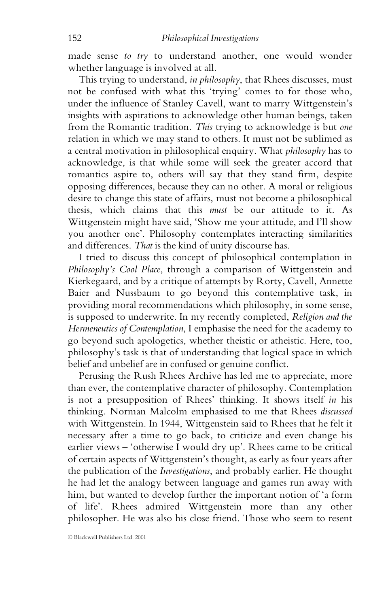made sense to try to understand another, one would wonder whether language is involved at all.

This trying to understand, in philosophy, that Rhees discusses, must not be confused with what this `trying' comes to for those who, under the influence of Stanley Cavell, want to marry Wittgenstein's insights with aspirations to acknowledge other human beings, taken from the Romantic tradition. This trying to acknowledge is but one relation in which we may stand to others. It must not be sublimed as a central motivation in philosophical enquiry. What philosophy has to acknowledge, is that while some will seek the greater accord that romantics aspire to, others will say that they stand firm, despite opposing differences, because they can no other. A moral or religious desire to change this state of affairs, must not become a philosophical thesis, which claims that this must be our attitude to it. As Wittgenstein might have said, `Show me your attitude, and I'll show you another one'. Philosophy contemplates interacting similarities and differences. That is the kind of unity discourse has.

I tried to discuss this concept of philosophical contemplation in Philosophy's Cool Place, through a comparison of Wittgenstein and Kierkegaard, and by a critique of attempts by Rorty, Cavell, Annette Baier and Nussbaum to go beyond this contemplative task, in providing moral recommendations which philosophy, in some sense, is supposed to underwrite. In my recently completed, Religion and the Hermeneutics of Contemplation, I emphasise the need for the academy to go beyond such apologetics, whether theistic or atheistic. Here, too, philosophy's task is that of understanding that logical space in which belief and unbelief are in confused or genuine conflict.

Perusing the Rush Rhees Archive has led me to appreciate, more than ever, the contemplative character of philosophy. Contemplation is not a presupposition of Rhees' thinking. It shows itself in his thinking. Norman Malcolm emphasised to me that Rhees discussed with Wittgenstein. In 1944, Wittgenstein said to Rhees that he felt it necessary after a time to go back, to criticize and even change his earlier views - 'otherwise I would dry up'. Rhees came to be critical of certain aspects of Wittgenstein's thought, as early as four years after the publication of the Investigations, and probably earlier. He thought he had let the analogy between language and games run away with him, but wanted to develop further the important notion of `a form of life'. Rhees admired Wittgenstein more than any other philosopher. He was also his close friend. Those who seem to resent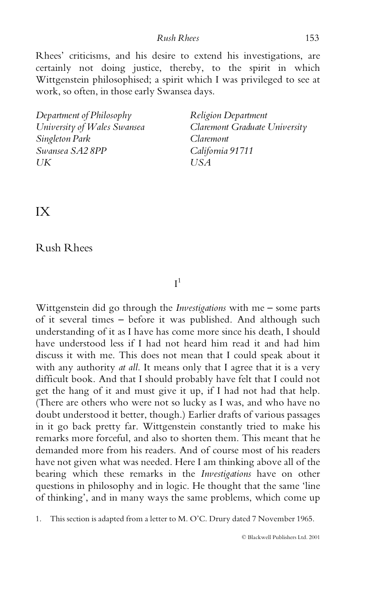Rush Rhees 153

Rhees' criticisms, and his desire to extend his investigations, are certainly not doing justice, thereby, to the spirit in which Wittgenstein philosophised; a spirit which I was privileged to see at work, so often, in those early Swansea days.

Department of Philosophy Religion Department Singleton Park Claremont Swansea SA2 8PP California 91711 UK USA

University of Wales Swansea Claremont Graduate University

IX

Rush Rhees

 $I^1$ 

Wittgenstein did go through the *Investigations* with  $me$  - some parts of it several times - before it was published. And although such understanding of it as I have has come more since his death, I should have understood less if I had not heard him read it and had him discuss it with me. This does not mean that I could speak about it with any authority *at all*. It means only that I agree that it is a very difficult book. And that I should probably have felt that I could not get the hang of it and must give it up, if I had not had that help. (There are others who were not so lucky as I was, and who have no doubt understood it better, though.) Earlier drafts of various passages in it go back pretty far. Wittgenstein constantly tried to make his remarks more forceful, and also to shorten them. This meant that he demanded more from his readers. And of course most of his readers have not given what was needed. Here I am thinking above all of the bearing which these remarks in the Investigations have on other questions in philosophy and in logic. He thought that the same 'line of thinking', and in many ways the same problems, which come up

<sup>1.</sup> This section is adapted from a letter to M. O'C. Drury dated 7 November 1965.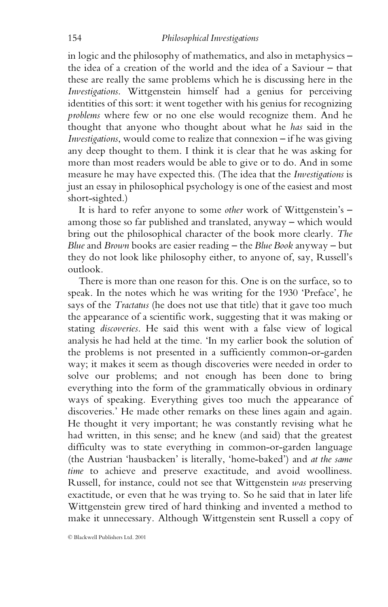in logic and the philosophy of mathematics, and also in metaphysics  $$ the idea of a creation of the world and the idea of a Saviour  $-$  that these are really the same problems which he is discussing here in the Investigations. Wittgenstein himself had a genius for perceiving identities of this sort: it went together with his genius for recognizing problems where few or no one else would recognize them. And he thought that anyone who thought about what he has said in the  $Investigations, would come to realize that connexion – if he was giving$ any deep thought to them. I think it is clear that he was asking for more than most readers would be able to give or to do. And in some measure he may have expected this. (The idea that the Investigations is just an essay in philosophical psychology is one of the easiest and most short-sighted.)

It is hard to refer anyone to some other work of Wittgenstein's  $$ among those so far published and translated, anyway  $-\text{ which would}$ bring out the philosophical character of the book more clearly. The Blue and Brown books are easier reading  $-$  the Blue Book anyway  $-$  but they do not look like philosophy either, to anyone of, say, Russell's outlook.

There is more than one reason for this. One is on the surface, so to speak. In the notes which he was writing for the 1930 'Preface', he says of the Tractatus (he does not use that title) that it gave too much the appearance of a scientific work, suggesting that it was making or stating discoveries. He said this went with a false view of logical analysis he had held at the time. `In my earlier book the solution of the problems is not presented in a sufficiently common-or-garden way; it makes it seem as though discoveries were needed in order to solve our problems; and not enough has been done to bring everything into the form of the grammatically obvious in ordinary ways of speaking. Everything gives too much the appearance of discoveries.' He made other remarks on these lines again and again. He thought it very important; he was constantly revising what he had written, in this sense; and he knew (and said) that the greatest difficulty was to state everything in common-or-garden language (the Austrian 'hausbacken' is literally, 'home-baked') and at the same time to achieve and preserve exactitude, and avoid woolliness. Russell, for instance, could not see that Wittgenstein was preserving exactitude, or even that he was trying to. So he said that in later life Wittgenstein grew tired of hard thinking and invented a method to make it unnecessary. Although Wittgenstein sent Russell a copy of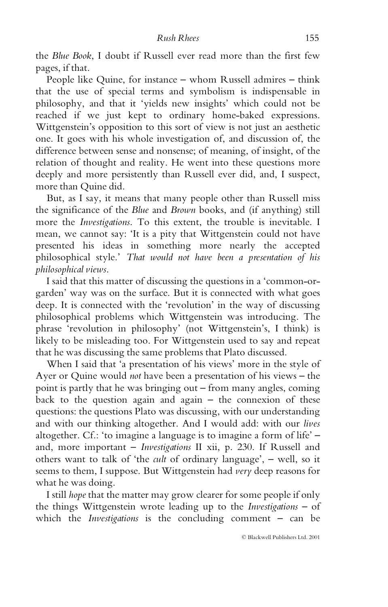the Blue Book, I doubt if Russell ever read more than the first few pages, if that.

People like Quine, for instance  $-\text{ whom Russell admires} - \text{think}$ that the use of special terms and symbolism is indispensable in philosophy, and that it `yields new insights' which could not be reached if we just kept to ordinary home-baked expressions. Wittgenstein's opposition to this sort of view is not just an aesthetic one. It goes with his whole investigation of, and discussion of, the difference between sense and nonsense; of meaning, of insight, of the relation of thought and reality. He went into these questions more deeply and more persistently than Russell ever did, and, I suspect, more than Quine did.

But, as I say, it means that many people other than Russell miss the significance of the Blue and Brown books, and (if anything) still more the Investigations. To this extent, the trouble is inevitable. I mean, we cannot say: 'It is a pity that Wittgenstein could not have presented his ideas in something more nearly the accepted philosophical style.' That would not have been a presentation of his philosophical views.

I said that this matter of discussing the questions in a `common-orgarden' way was on the surface. But it is connected with what goes deep. It is connected with the `revolution' in the way of discussing philosophical problems which Wittgenstein was introducing. The phrase `revolution in philosophy' (not Wittgenstein's, I think) is likely to be misleading too. For Wittgenstein used to say and repeat that he was discussing the same problems that Plato discussed.

When I said that `a presentation of his views' more in the style of Ayer or Quine would *not* have been a presentation of his views  $-$  the point is partly that he was bringing out - from many angles, coming back to the question again and again  $-$  the connexion of these questions: the questions Plato was discussing, with our understanding and with our thinking altogether. And I would add: with our lives altogether. Cf.: 'to imagine a language is to imagine a form of life'  $$ and, more important  $-$  *Investigations* II xii, p. 230. If Russell and others want to talk of 'the *cult* of ordinary language',  $-$  well, so it seems to them, I suppose. But Wittgenstein had very deep reasons for what he was doing.

I still hope that the matter may grow clearer for some people if only the things Wittgenstein wrote leading up to the *Investigations*  $-$  of which the *Investigations* is the concluding comment  $-$  can be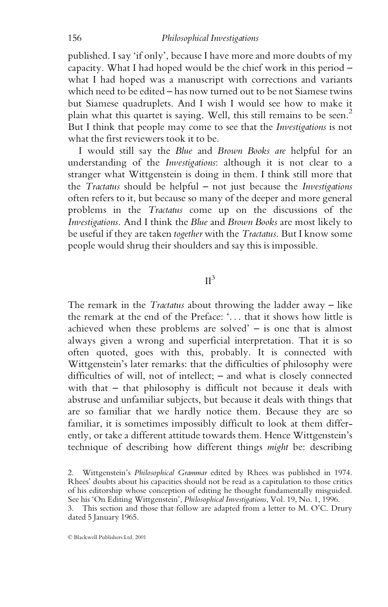published. I say `if only', because I have more and more doubts of my capacity. What I had hoped would be the chief work in this period  $\overline{\phantom{a}}$ what I had hoped was a manuscript with corrections and variants which need to be edited - has now turned out to be not Siamese twins but Siamese quadruplets. And I wish I would see how to make it plain what this quartet is saying. Well, this still remains to be seen.<sup>2</sup> But I think that people may come to see that the Investigations is not what the first reviewers took it to be.

I would still say the Blue and Brown Books are helpful for an understanding of the Investigations: although it is not clear to a stranger what Wittgenstein is doing in them. I think still more that the Tractatus should be helpful  $-$  not just because the Investigations often refers to it, but because so many of the deeper and more general problems in the Tractatus come up on the discussions of the Investigations. And I think the Blue and Brown Books are most likely to be useful if they are taken together with the Tractatus. But I know some people would shrug their shoulders and say this is impossible.

 $II^3$ 

The remark in the *Tractatus* about throwing the ladder away  $-$  like the remark at the end of the Preface: `. . . that it shows how little is achieved when these problems are solved' $-$  is one that is almost always given a wrong and superficial interpretation. That it is so often quoted, goes with this, probably. It is connected with Wittgenstein's later remarks: that the difficulties of philosophy were difficulties of will, not of intellect; - and what is closely connected with that  $-$  that philosophy is difficult not because it deals with abstruse and unfamiliar subjects, but because it deals with things that are so familiar that we hardly notice them. Because they are so familiar, it is sometimes impossibly difficult to look at them differently, or take a different attitude towards them. Hence Wittgenstein's technique of describing how different things might be: describing

2. Wittgenstein's Philosophical Grammar edited by Rhees was published in 1974. Rhees' doubts about his capacities should not be read as a capitulation to those critics of his editorship whose conception of editing he thought fundamentally misguided. See his 'On Editing Wittgenstein', Philosophical Investigations, Vol. 19, No. 1, 1996.

3. This section and those that follow are adapted from a letter to M. O'C. Drury dated 5 January 1965.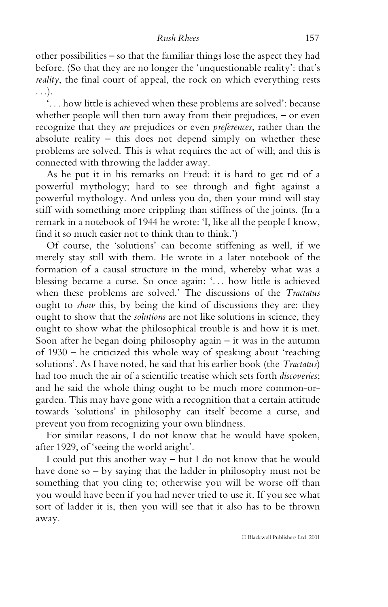other possibilities - so that the familiar things lose the aspect they had before. (So that they are no longer the `unquestionable reality': that's reality, the final court of appeal, the rock on which everything rests . . .).

`. . . how little is achieved when these problems are solved': because whether people will then turn away from their prejudices,  $-$  or even recognize that they are prejudices or even preferences, rather than the absolute reality  $-$  this does not depend simply on whether these problems are solved. This is what requires the act of will; and this is connected with throwing the ladder away.

As he put it in his remarks on Freud: it is hard to get rid of a powerful mythology; hard to see through and fight against a powerful mythology. And unless you do, then your mind will stay stiff with something more crippling than stiffness of the joints. (In a remark in a notebook of 1944 he wrote: `I, like all the people I know, find it so much easier not to think than to think.')

Of course, the `solutions' can become stiffening as well, if we merely stay still with them. He wrote in a later notebook of the formation of a causal structure in the mind, whereby what was a blessing became a curse. So once again: '... how little is achieved when these problems are solved.' The discussions of the Tractatus ought to show this, by being the kind of discussions they are: they ought to show that the solutions are not like solutions in science, they ought to show what the philosophical trouble is and how it is met. Soon after he began doing philosophy again  $-$  it was in the autumn of 1930 - he criticized this whole way of speaking about 'reaching solutions'. As I have noted, he said that his earlier book (the Tractatus) had too much the air of a scientific treatise which sets forth discoveries; and he said the whole thing ought to be much more common-orgarden. This may have gone with a recognition that a certain attitude towards `solutions' in philosophy can itself become a curse, and prevent you from recognizing your own blindness.

For similar reasons, I do not know that he would have spoken, after 1929, of `seeing the world aright'.

I could put this another way  $-$  but I do not know that he would have done so  $-$  by saying that the ladder in philosophy must not be something that you cling to; otherwise you will be worse off than you would have been if you had never tried to use it. If you see what sort of ladder it is, then you will see that it also has to be thrown away.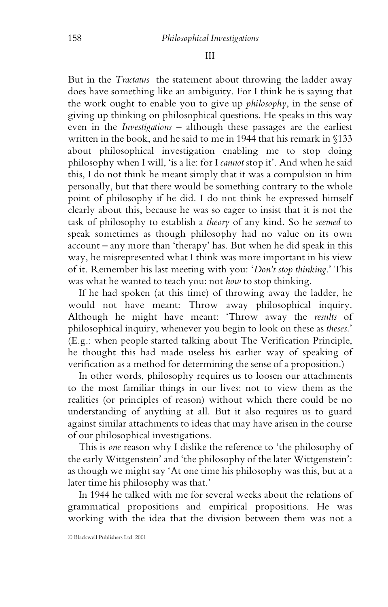But in the *Tractatus* the statement about throwing the ladder away does have something like an ambiguity. For I think he is saying that the work ought to enable you to give up philosophy, in the sense of giving up thinking on philosophical questions. He speaks in this way even in the *Investigations*  $-$  although these passages are the earliest written in the book, and he said to me in 1944 that his remark in §133 about philosophical investigation enabling me to stop doing philosophy when I will, 'is a lie: for I cannot stop it'. And when he said this, I do not think he meant simply that it was a compulsion in him personally, but that there would be something contrary to the whole point of philosophy if he did. I do not think he expressed himself clearly about this, because he was so eager to insist that it is not the task of philosophy to establish a theory of any kind. So he seemed to speak sometimes as though philosophy had no value on its own  $account - any more than 'theory' has. But when he did speak in this$ way, he misrepresented what I think was more important in his view of it. Remember his last meeting with you: 'Don't stop thinking.' This was what he wanted to teach you: not how to stop thinking.

If he had spoken (at this time) of throwing away the ladder, he would not have meant: Throw away philosophical inquiry. Although he might have meant: 'Throw away the results of philosophical inquiry, whenever you begin to look on these as theses.' (E.g.: when people started talking about The Verification Principle, he thought this had made useless his earlier way of speaking of verification as a method for determining the sense of a proposition.)

In other words, philosophy requires us to loosen our attachments to the most familiar things in our lives: not to view them as the realities (or principles of reason) without which there could be no understanding of anything at all. But it also requires us to guard against similar attachments to ideas that may have arisen in the course of our philosophical investigations.

This is one reason why I dislike the reference to 'the philosophy of the early Wittgenstein' and `the philosophy of the later Wittgenstein': as though we might say `At one time his philosophy was this, but at a later time his philosophy was that.'

In 1944 he talked with me for several weeks about the relations of grammatical propositions and empirical propositions. He was working with the idea that the division between them was not a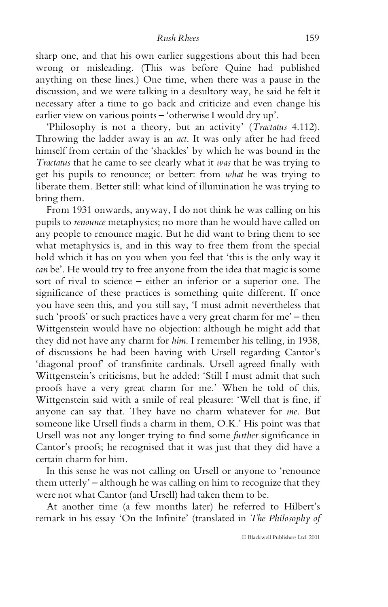sharp one, and that his own earlier suggestions about this had been wrong or misleading. (This was before Quine had published anything on these lines.) One time, when there was a pause in the discussion, and we were talking in a desultory way, he said he felt it necessary after a time to go back and criticize and even change his earlier view on various points - 'otherwise I would dry up'.

`Philosophy is not a theory, but an activity' (Tractatus 4.112). Throwing the ladder away is an act. It was only after he had freed himself from certain of the `shackles' by which he was bound in the Tractatus that he came to see clearly what it was that he was trying to get his pupils to renounce; or better: from what he was trying to liberate them. Better still: what kind of illumination he was trying to bring them.

From 1931 onwards, anyway, I do not think he was calling on his pupils to renounce metaphysics; no more than he would have called on any people to renounce magic. But he did want to bring them to see what metaphysics is, and in this way to free them from the special hold which it has on you when you feel that 'this is the only way it can be'. He would try to free anyone from the idea that magic is some sort of rival to science - either an inferior or a superior one. The significance of these practices is something quite different. If once you have seen this, and you still say, `I must admit nevertheless that such 'proofs' or such practices have a very great charm for me' – then Wittgenstein would have no objection: although he might add that they did not have any charm for him. I remember his telling, in 1938, of discussions he had been having with Ursell regarding Cantor's `diagonal proof' of transfinite cardinals. Ursell agreed finally with Wittgenstein's criticisms, but he added: 'Still I must admit that such proofs have a very great charm for me.' When he told of this, Wittgenstein said with a smile of real pleasure: `Well that is fine, if anyone can say that. They have no charm whatever for me. But someone like Ursell finds a charm in them, O.K.' His point was that Ursell was not any longer trying to find some further significance in Cantor's proofs; he recognised that it was just that they did have a certain charm for him.

In this sense he was not calling on Ursell or anyone to `renounce them utterly' - although he was calling on him to recognize that they were not what Cantor (and Ursell) had taken them to be.

At another time (a few months later) he referred to Hilbert's remark in his essay 'On the Infinite' (translated in The Philosophy of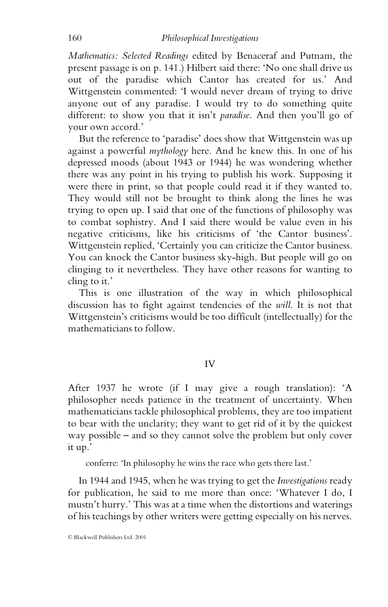Mathematics: Selected Readings edited by Benaceraf and Putnam, the present passage is on p. 141.) Hilbert said there: `No one shall drive us out of the paradise which Cantor has created for us.' And Wittgenstein commented: 'I would never dream of trying to drive anyone out of any paradise. I would try to do something quite different: to show you that it isn't paradise. And then you'll go of your own accord.'

But the reference to 'paradise' does show that Wittgenstein was up against a powerful mythology here. And he knew this. In one of his depressed moods (about 1943 or 1944) he was wondering whether there was any point in his trying to publish his work. Supposing it were there in print, so that people could read it if they wanted to. They would still not be brought to think along the lines he was trying to open up. I said that one of the functions of philosophy was to combat sophistry. And I said there would be value even in his negative criticisms, like his criticisms of `the Cantor business'. Wittgenstein replied, 'Certainly you can criticize the Cantor business. You can knock the Cantor business sky-high. But people will go on clinging to it nevertheless. They have other reasons for wanting to cling to it.'

This is one illustration of the way in which philosophical discussion has to fight against tendencies of the will. It is not that Wittgenstein's criticisms would be too difficult (intellectually) for the mathematicians to follow.

#### IV

After 1937 he wrote (if I may give a rough translation): `A philosopher needs patience in the treatment of uncertainty. When mathematicians tackle philosophical problems, they are too impatient to bear with the unclarity; they want to get rid of it by the quickest way possible – and so they cannot solve the problem but only cover it up.'

conferre: 'In philosophy he wins the race who gets there last.'

In 1944 and 1945, when he was trying to get the Investigations ready for publication, he said to me more than once: `Whatever I do, I mustn't hurry.' This was at a time when the distortions and waterings of his teachings by other writers were getting especially on his nerves.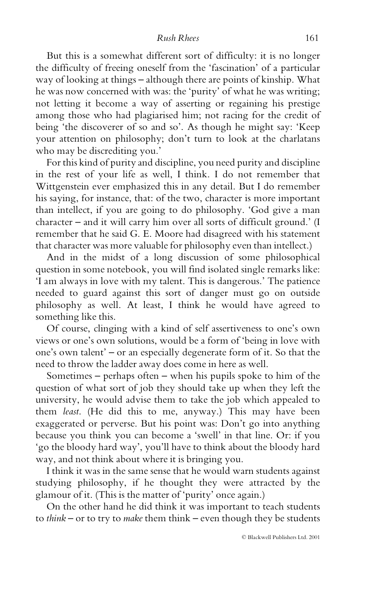But this is a somewhat different sort of difficulty: it is no longer the difficulty of freeing oneself from the 'fascination' of a particular way of looking at things - although there are points of kinship. What he was now concerned with was: the 'purity' of what he was writing; not letting it become a way of asserting or regaining his prestige among those who had plagiarised him; not racing for the credit of being 'the discoverer of so and so'. As though he might say: 'Keep your attention on philosophy; don't turn to look at the charlatans who may be discrediting you.'

For this kind of purity and discipline, you need purity and discipline in the rest of your life as well, I think. I do not remember that Wittgenstein ever emphasized this in any detail. But I do remember his saying, for instance, that: of the two, character is more important than intellect, if you are going to do philosophy. `God give a man  $character - and it will carry him over all sorts of difficult ground.$  (I remember that he said G. E. Moore had disagreed with his statement that character was more valuable for philosophy even than intellect.)

And in the midst of a long discussion of some philosophical question in some notebook, you will find isolated single remarks like: `I am always in love with my talent. This is dangerous.' The patience needed to guard against this sort of danger must go on outside philosophy as well. At least, I think he would have agreed to something like this.

Of course, clinging with a kind of self assertiveness to one's own views or one's own solutions, would be a form of 'being in love with one's own talent' - or an especially degenerate form of it. So that the need to throw the ladder away does come in here as well.

Sometimes  $-$  perhaps often  $-$  when his pupils spoke to him of the question of what sort of job they should take up when they left the university, he would advise them to take the job which appealed to them least. (He did this to me, anyway.) This may have been exaggerated or perverse. But his point was: Don't go into anything because you think you can become a 'swell' in that line. Or: if you `go the bloody hard way', you'll have to think about the bloody hard way, and not think about where it is bringing you.

I think it was in the same sense that he would warn students against studying philosophy, if he thought they were attracted by the glamour of it. (This is the matter of `purity' once again.)

On the other hand he did think it was important to teach students to think  $-$  or to try to make them think  $-$  even though they be students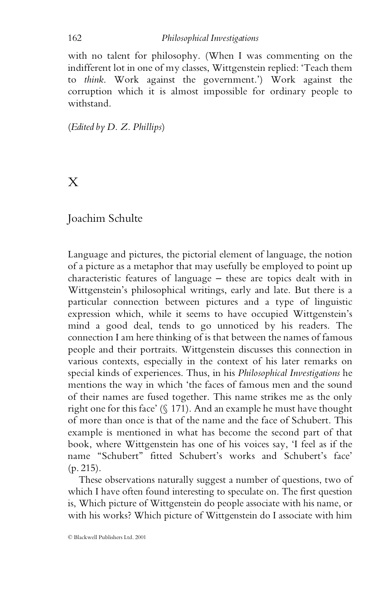with no talent for philosophy. (When I was commenting on the indifferent lot in one of my classes, Wittgenstein replied: `Teach them to think. Work against the government.') Work against the corruption which it is almost impossible for ordinary people to withstand.

(Edited by D. Z. Phillips)

### X

#### Joachim Schulte

Language and pictures, the pictorial element of language, the notion of a picture as a metaphor that may usefully be employed to point up characteristic features of language  $-$  these are topics dealt with in Wittgenstein's philosophical writings, early and late. But there is a particular connection between pictures and a type of linguistic expression which, while it seems to have occupied Wittgenstein's mind a good deal, tends to go unnoticed by his readers. The connection I am here thinking of is that between the names of famous people and their portraits. Wittgenstein discusses this connection in various contexts, especially in the context of his later remarks on special kinds of experiences. Thus, in his Philosophical Investigations he mentions the way in which `the faces of famous men and the sound of their names are fused together. This name strikes me as the only right one for this face'  $(\S 171)$ . And an example he must have thought of more than once is that of the name and the face of Schubert. This example is mentioned in what has become the second part of that book, where Wittgenstein has one of his voices say, `I feel as if the name "Schubert" fitted Schubert's works and Schubert's face' (p. 215).

These observations naturally suggest a number of questions, two of which I have often found interesting to speculate on. The first question is, Which picture of Wittgenstein do people associate with his name, or with his works? Which picture of Wittgenstein do I associate with him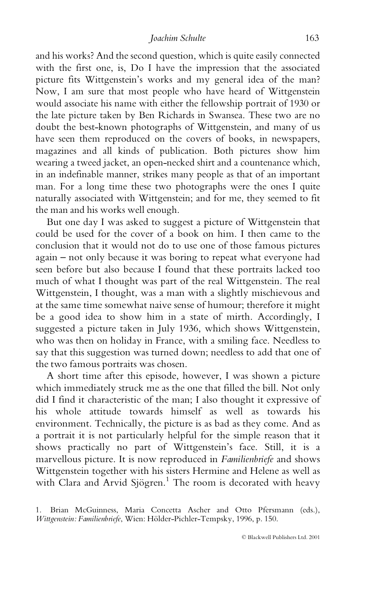and his works? And the second question, which is quite easily connected with the first one, is, Do I have the impression that the associated picture fits Wittgenstein's works and my general idea of the man? Now, I am sure that most people who have heard of Wittgenstein would associate his name with either the fellowship portrait of 1930 or the late picture taken by Ben Richards in Swansea. These two are no doubt the best-known photographs of Wittgenstein, and many of us have seen them reproduced on the covers of books, in newspapers, magazines and all kinds of publication. Both pictures show him wearing a tweed jacket, an open-necked shirt and a countenance which, in an indefinable manner, strikes many people as that of an important man. For a long time these two photographs were the ones I quite naturally associated with Wittgenstein; and for me, they seemed to fit the man and his works well enough.

But one day I was asked to suggest a picture of Wittgenstein that could be used for the cover of a book on him. I then came to the conclusion that it would not do to use one of those famous pictures again - not only because it was boring to repeat what everyone had seen before but also because I found that these portraits lacked too much of what I thought was part of the real Wittgenstein. The real Wittgenstein, I thought, was a man with a slightly mischievous and at the same time somewhat naive sense of humour; therefore it might be a good idea to show him in a state of mirth. Accordingly, I suggested a picture taken in July 1936, which shows Wittgenstein, who was then on holiday in France, with a smiling face. Needless to say that this suggestion was turned down; needless to add that one of the two famous portraits was chosen.

A short time after this episode, however, I was shown a picture which immediately struck me as the one that filled the bill. Not only did I find it characteristic of the man; I also thought it expressive of his whole attitude towards himself as well as towards his environment. Technically, the picture is as bad as they come. And as a portrait it is not particularly helpful for the simple reason that it shows practically no part of Wittgenstein's face. Still, it is a marvellous picture. It is now reproduced in Familienbriefe and shows Wittgenstein together with his sisters Hermine and Helene as well as with Clara and Arvid Sjögren.<sup>1</sup> The room is decorated with heavy

<sup>1.</sup> Brian McGuinness, Maria Concetta Ascher and Otto Pfersmann (eds.), Wittgenstein: Familienbriefe, Wien: Hölder-Pichler-Tempsky, 1996, p. 150.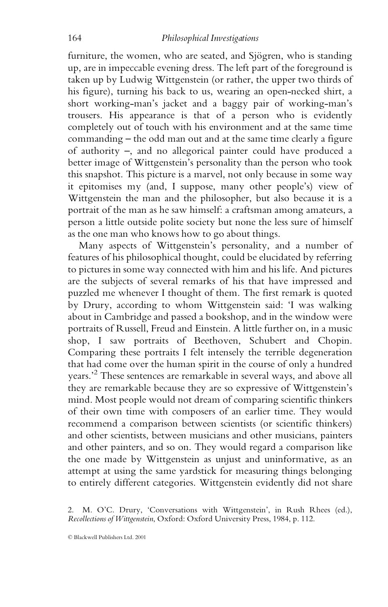furniture, the women, who are seated, and Sjögren, who is standing up, are in impeccable evening dress. The left part of the foreground is taken up by Ludwig Wittgenstein (or rather, the upper two thirds of his figure), turning his back to us, wearing an open-necked shirt, a short working-man's jacket and a baggy pair of working-man's trousers. His appearance is that of a person who is evidently completely out of touch with his environment and at the same time commanding  $-$  the odd man out and at the same time clearly a figure of authority -, and no allegorical painter could have produced a better image of Wittgenstein's personality than the person who took this snapshot. This picture is a marvel, not only because in some way it epitomises my (and, I suppose, many other people's) view of Wittgenstein the man and the philosopher, but also because it is a portrait of the man as he saw himself: a craftsman among amateurs, a person a little outside polite society but none the less sure of himself as the one man who knows how to go about things.

Many aspects of Wittgenstein's personality, and a number of features of his philosophical thought, could be elucidated by referring to pictures in some way connected with him and his life. And pictures are the subjects of several remarks of his that have impressed and puzzled me whenever I thought of them. The first remark is quoted by Drury, according to whom Wittgenstein said: `I was walking about in Cambridge and passed a bookshop, and in the window were portraits of Russell, Freud and Einstein. A little further on, in a music shop, I saw portraits of Beethoven, Schubert and Chopin. Comparing these portraits I felt intensely the terrible degeneration that had come over the human spirit in the course of only a hundred years.'<sup>2</sup> These sentences are remarkable in several ways, and above all they are remarkable because they are so expressive of Wittgenstein's mind. Most people would not dream of comparing scientific thinkers of their own time with composers of an earlier time. They would recommend a comparison between scientists (or scientific thinkers) and other scientists, between musicians and other musicians, painters and other painters, and so on. They would regard a comparison like the one made by Wittgenstein as unjust and uninformative, as an attempt at using the same yardstick for measuring things belonging to entirely different categories. Wittgenstein evidently did not share

<sup>2.</sup> M. O'C. Drury, 'Conversations with Wittgenstein', in Rush Rhees (ed.), Recollections of Wittgenstein, Oxford: Oxford University Press, 1984, p. 112.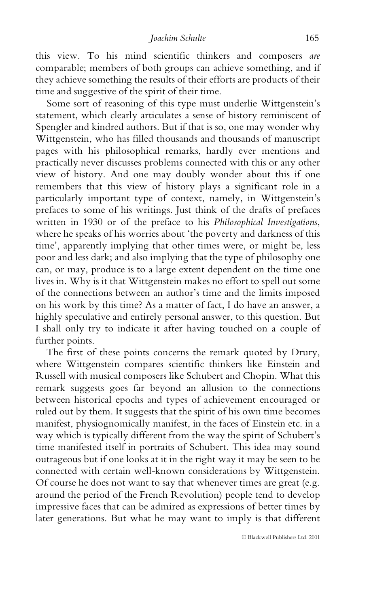this view. To his mind scientific thinkers and composers are comparable; members of both groups can achieve something, and if they achieve something the results of their efforts are products of their time and suggestive of the spirit of their time.

Some sort of reasoning of this type must underlie Wittgenstein's statement, which clearly articulates a sense of history reminiscent of Spengler and kindred authors. But if that is so, one may wonder why Wittgenstein, who has filled thousands and thousands of manuscript pages with his philosophical remarks, hardly ever mentions and practically never discusses problems connected with this or any other view of history. And one may doubly wonder about this if one remembers that this view of history plays a significant role in a particularly important type of context, namely, in Wittgenstein's prefaces to some of his writings. Just think of the drafts of prefaces written in 1930 or of the preface to his Philosophical Investigations, where he speaks of his worries about 'the poverty and darkness of this time', apparently implying that other times were, or might be, less poor and less dark; and also implying that the type of philosophy one can, or may, produce is to a large extent dependent on the time one lives in. Why is it that Wittgenstein makes no effort to spell out some of the connections between an author's time and the limits imposed on his work by this time? As a matter of fact, I do have an answer, a highly speculative and entirely personal answer, to this question. But I shall only try to indicate it after having touched on a couple of further points.

The first of these points concerns the remark quoted by Drury, where Wittgenstein compares scientific thinkers like Einstein and Russell with musical composers like Schubert and Chopin. What this remark suggests goes far beyond an allusion to the connections between historical epochs and types of achievement encouraged or ruled out by them. It suggests that the spirit of his own time becomes manifest, physiognomically manifest, in the faces of Einstein etc. in a way which is typically different from the way the spirit of Schubert's time manifested itself in portraits of Schubert. This idea may sound outrageous but if one looks at it in the right way it may be seen to be connected with certain well-known considerations by Wittgenstein. Of course he does not want to say that whenever times are great (e.g. around the period of the French Revolution) people tend to develop impressive faces that can be admired as expressions of better times by later generations. But what he may want to imply is that different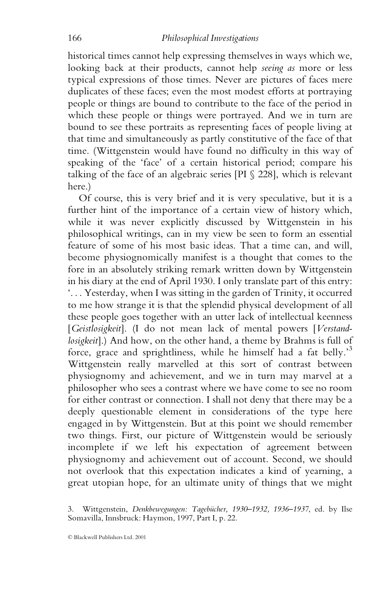historical times cannot help expressing themselves in ways which we, looking back at their products, cannot help seeing as more or less typical expressions of those times. Never are pictures of faces mere duplicates of these faces; even the most modest efforts at portraying people or things are bound to contribute to the face of the period in which these people or things were portrayed. And we in turn are bound to see these portraits as representing faces of people living at that time and simultaneously as partly constitutive of the face of that time. (Wittgenstein would have found no difficulty in this way of speaking of the `face' of a certain historical period; compare his talking of the face of an algebraic series [PI  $\%$  228], which is relevant here.)

Of course, this is very brief and it is very speculative, but it is a further hint of the importance of a certain view of history which, while it was never explicitly discussed by Wittgenstein in his philosophical writings, can in my view be seen to form an essential feature of some of his most basic ideas. That a time can, and will, become physiognomically manifest is a thought that comes to the fore in an absolutely striking remark written down by Wittgenstein in his diary at the end of April 1930. I only translate part of this entry: `. . . Yesterday, when I was sitting in the garden of Trinity, it occurred to me how strange it is that the splendid physical development of all these people goes together with an utter lack of intellectual keenness [Geistlosigkeit]. (I do not mean lack of mental powers [Verstandlosigkeit].) And how, on the other hand, a theme by Brahms is full of force, grace and sprightliness, while he himself had a fat belly.'<sup>3</sup> Wittgenstein really marvelled at this sort of contrast between physiognomy and achievement, and we in turn may marvel at a philosopher who sees a contrast where we have come to see no room for either contrast or connection. I shall not deny that there may be a deeply questionable element in considerations of the type here engaged in by Wittgenstein. But at this point we should remember two things. First, our picture of Wittgenstein would be seriously incomplete if we left his expectation of agreement between physiognomy and achievement out of account. Second, we should not overlook that this expectation indicates a kind of yearning, a great utopian hope, for an ultimate unity of things that we might

<sup>3.</sup> Wittgenstein, Denkbewegungen: Tagebücher, 1930-1932, 1936-1937, ed. by Ilse Somavilla, Innsbruck: Haymon, 1997, Part I, p. 22.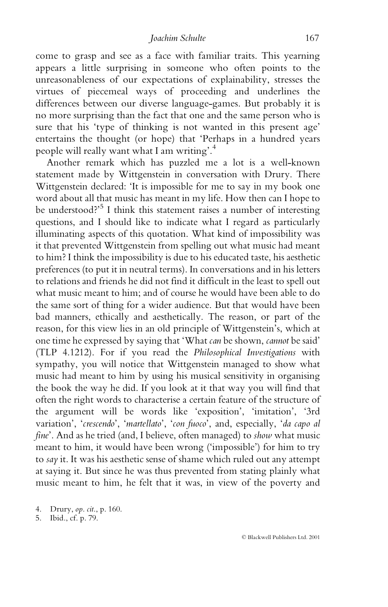come to grasp and see as a face with familiar traits. This yearning appears a little surprising in someone who often points to the unreasonableness of our expectations of explainability, stresses the virtues of piecemeal ways of proceeding and underlines the differences between our diverse language-games. But probably it is no more surprising than the fact that one and the same person who is sure that his 'type of thinking is not wanted in this present age' entertains the thought (or hope) that `Perhaps in a hundred years people will really want what I am writing'.<sup>4</sup>

Another remark which has puzzled me a lot is a well-known statement made by Wittgenstein in conversation with Drury. There Wittgenstein declared: 'It is impossible for me to say in my book one word about all that music has meant in my life. How then can I hope to be understood?'<sup>5</sup> I think this statement raises a number of interesting questions, and I should like to indicate what I regard as particularly illuminating aspects of this quotation. What kind of impossibility was it that prevented Wittgenstein from spelling out what music had meant to him? I think the impossibility is due to his educated taste, his aesthetic preferences (to put it in neutral terms). In conversations and in his letters to relations and friends he did not find it difficult in the least to spell out what music meant to him; and of course he would have been able to do the same sort of thing for a wider audience. But that would have been bad manners, ethically and aesthetically. The reason, or part of the reason, for this view lies in an old principle of Wittgenstein's, which at one time he expressed by saying that `What can be shown, cannot be said' (TLP 4.1212). For if you read the Philosophical Investigations with sympathy, you will notice that Wittgenstein managed to show what music had meant to him by using his musical sensitivity in organising the book the way he did. If you look at it that way you will find that often the right words to characterise a certain feature of the structure of the argument will be words like 'exposition', 'imitation', '3rd variation', 'crescendo', 'martellato', 'con fuoco', and, especially, 'da capo al fine'. And as he tried (and, I believe, often managed) to show what music meant to him, it would have been wrong ('impossible') for him to try to say it. It was his aesthetic sense of shame which ruled out any attempt at saying it. But since he was thus prevented from stating plainly what music meant to him, he felt that it was, in view of the poverty and

- 4. Drury, op. cit., p. 160.
- 5. Ibid., cf. p. 79.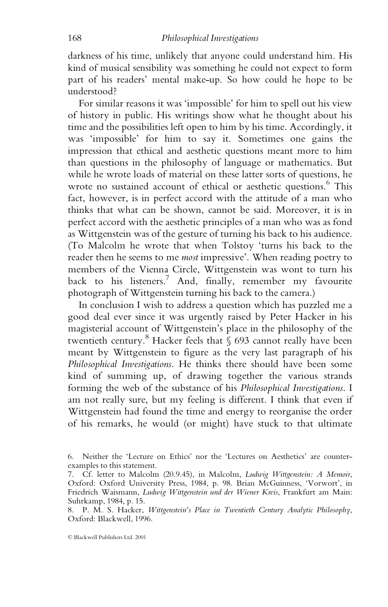darkness of his time, unlikely that anyone could understand him. His kind of musical sensibility was something he could not expect to form part of his readers' mental make-up. So how could he hope to be understood?

For similar reasons it was `impossible' for him to spell out his view of history in public. His writings show what he thought about his time and the possibilities left open to him by his time. Accordingly, it was `impossible' for him to say it. Sometimes one gains the impression that ethical and aesthetic questions meant more to him than questions in the philosophy of language or mathematics. But while he wrote loads of material on these latter sorts of questions, he wrote no sustained account of ethical or aesthetic questions.<sup>6</sup> This fact, however, is in perfect accord with the attitude of a man who thinks that what can be shown, cannot be said. Moreover, it is in perfect accord with the aesthetic principles of a man who was as fond as Wittgenstein was of the gesture of turning his back to his audience. (To Malcolm he wrote that when Tolstoy `turns his back to the reader then he seems to me most impressive'. When reading poetry to members of the Vienna Circle, Wittgenstein was wont to turn his back to his listeners.<sup>7</sup> And, finally, remember my favourite photograph of Wittgenstein turning his back to the camera.)

In conclusion I wish to address a question which has puzzled me a good deal ever since it was urgently raised by Peter Hacker in his magisterial account of Wittgenstein's place in the philosophy of the twentieth century.<sup>8</sup> Hacker feels that  $\sqrt[6]{693}$  cannot really have been meant by Wittgenstein to figure as the very last paragraph of his Philosophical Investigations. He thinks there should have been some kind of summing up, of drawing together the various strands forming the web of the substance of his Philosophical Investigations. I am not really sure, but my feeling is different. I think that even if Wittgenstein had found the time and energy to reorganise the order of his remarks, he would (or might) have stuck to that ultimate

<sup>6.</sup> Neither the `Lecture on Ethics' nor the `Lectures on Aesthetics' are counterexamples to this statement.

<sup>7.</sup> Cf. letter to Malcolm (20.9.45), in Malcolm, Ludwig Wittgenstein: A Memoir, Oxford: Oxford University Press, 1984, p. 98. Brian McGuinness, `Vorwort', in Friedrich Waismann, Ludwig Wittgenstein und der Wiener Kreis, Frankfurt am Main: Suhrkamp, 1984, p. 15.

<sup>8.</sup> P. M. S. Hacker, Wittgenstein's Place in Twentieth Century Analytic Philosophy, Oxford: Blackwell, 1996.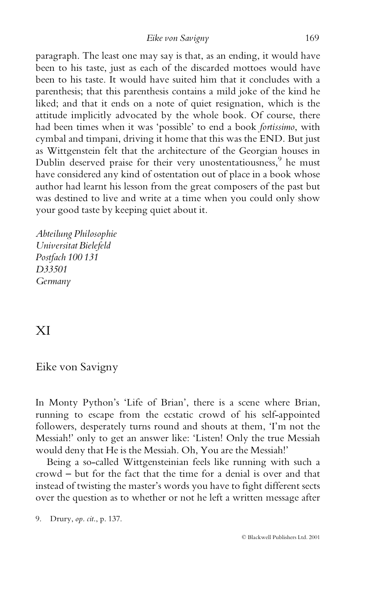paragraph. The least one may say is that, as an ending, it would have been to his taste, just as each of the discarded mottoes would have been to his taste. It would have suited him that it concludes with a parenthesis; that this parenthesis contains a mild joke of the kind he liked; and that it ends on a note of quiet resignation, which is the attitude implicitly advocated by the whole book. Of course, there had been times when it was 'possible' to end a book *fortissimo*, with cymbal and timpani, driving it home that this was the END. But just as Wittgenstein felt that the architecture of the Georgian houses in Dublin deserved praise for their very unostentatiousness,<sup>9</sup> he must have considered any kind of ostentation out of place in a book whose author had learnt his lesson from the great composers of the past but was destined to live and write at a time when you could only show your good taste by keeping quiet about it.

Abteilung Philosophie Universitat Bielefeld Postfach 100 131 D33501 Germany

# XI

### Eike von Savigny

In Monty Python's `Life of Brian', there is a scene where Brian, running to escape from the ecstatic crowd of his self-appointed followers, desperately turns round and shouts at them, 'I'm not the Messiah!' only to get an answer like: 'Listen! Only the true Messiah would deny that He is the Messiah. Oh, You are the Messiah!'

Being a so-called Wittgensteinian feels like running with such a  $crowd - but for the fact that the time for a denial is over and that$ instead of twisting the master's words you have to fight different sects over the question as to whether or not he left a written message after

9. Drury, op. cit., p. 137.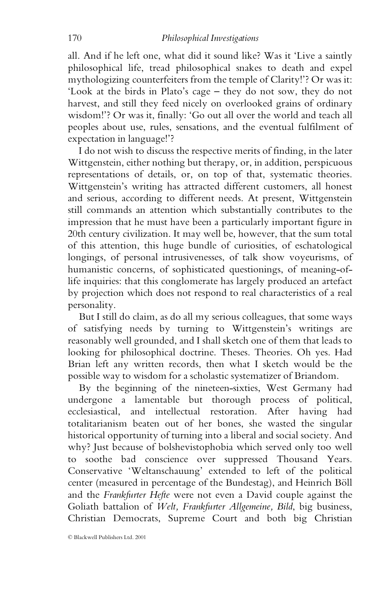all. And if he left one, what did it sound like? Was it `Live a saintly philosophical life, tread philosophical snakes to death and expel mythologizing counterfeiters from the temple of Clarity!'? Or was it: 'Look at the birds in Plato's cage - they do not sow, they do not harvest, and still they feed nicely on overlooked grains of ordinary wisdom!'? Or was it, finally: 'Go out all over the world and teach all peoples about use, rules, sensations, and the eventual fulfilment of expectation in language!'?

I do not wish to discuss the respective merits of finding, in the later Wittgenstein, either nothing but therapy, or, in addition, perspicuous representations of details, or, on top of that, systematic theories. Wittgenstein's writing has attracted different customers, all honest and serious, according to different needs. At present, Wittgenstein still commands an attention which substantially contributes to the impression that he must have been a particularly important figure in 20th century civilization. It may well be, however, that the sum total of this attention, this huge bundle of curiosities, of eschatological longings, of personal intrusivenesses, of talk show voyeurisms, of humanistic concerns, of sophisticated questionings, of meaning-oflife inquiries: that this conglomerate has largely produced an artefact by projection which does not respond to real characteristics of a real personality.

But I still do claim, as do all my serious colleagues, that some ways of satisfying needs by turning to Wittgenstein's writings are reasonably well grounded, and I shall sketch one of them that leads to looking for philosophical doctrine. Theses. Theories. Oh yes. Had Brian left any written records, then what I sketch would be the possible way to wisdom for a scholastic systematizer of Briandom.

By the beginning of the nineteen-sixties, West Germany had undergone a lamentable but thorough process of political, ecclesiastical, and intellectual restoration. After having had totalitarianism beaten out of her bones, she wasted the singular historical opportunity of turning into a liberal and social society. And why? Just because of bolshevistophobia which served only too well to soothe bad conscience over suppressed Thousand Years. Conservative `Weltanschauung' extended to left of the political center (measured in percentage of the Bundestag), and Heinrich Böll and the Frankfurter Hefte were not even a David couple against the Goliath battalion of Welt, Frankfurter Allgemeine, Bild, big business, Christian Democrats, Supreme Court and both big Christian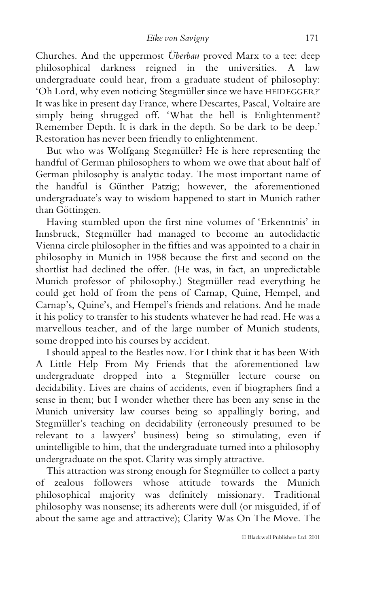Churches. And the uppermost Ûberbau proved Marx to a tee: deep philosophical darkness reigned in the universities. A law undergraduate could hear, from a graduate student of philosophy: 'Oh Lord, why even noticing Stegmüller since we have HEIDEGGER?' It was like in present day France, where Descartes, Pascal, Voltaire are simply being shrugged off. 'What the hell is Enlightenment? Remember Depth. It is dark in the depth. So be dark to be deep.' Restoration has never been friendly to enlightenment.

But who was Wolfgang Stegmüller? He is here representing the handful of German philosophers to whom we owe that about half of German philosophy is analytic today. The most important name of the handful is Günther Patzig; however, the aforementioned undergraduate's way to wisdom happened to start in Munich rather than Göttingen.

Having stumbled upon the first nine volumes of `Erkenntnis' in Innsbruck, Stegmüller had managed to become an autodidactic Vienna circle philosopher in the fifties and was appointed to a chair in philosophy in Munich in 1958 because the first and second on the shortlist had declined the offer. (He was, in fact, an unpredictable Munich professor of philosophy.) Stegmüller read everything he could get hold of from the pens of Carnap, Quine, Hempel, and Carnap's, Quine's, and Hempel's friends and relations. And he made it his policy to transfer to his students whatever he had read. He was a marvellous teacher, and of the large number of Munich students, some dropped into his courses by accident.

I should appeal to the Beatles now. For I think that it has been With A Little Help From My Friends that the aforementioned law undergraduate dropped into a Stegmüller lecture course on decidability. Lives are chains of accidents, even if biographers find a sense in them; but I wonder whether there has been any sense in the Munich university law courses being so appallingly boring, and Stegmüller's teaching on decidability (erroneously presumed to be relevant to a lawyers' business) being so stimulating, even if unintelligible to him, that the undergraduate turned into a philosophy undergraduate on the spot. Clarity was simply attractive.

This attraction was strong enough for Stegmüller to collect a party of zealous followers whose attitude towards the Munich philosophical majority was definitely missionary. Traditional philosophy was nonsense; its adherents were dull (or misguided, if of about the same age and attractive); Clarity Was On The Move. The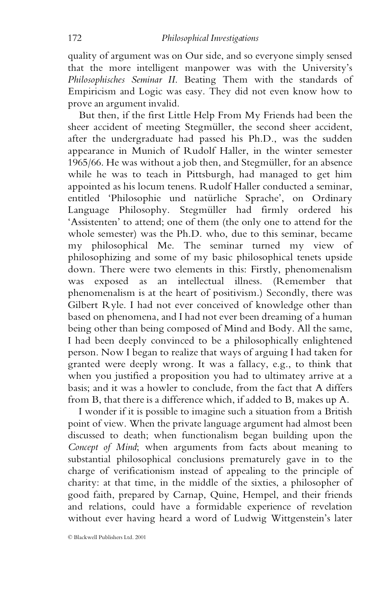quality of argument was on Our side, and so everyone simply sensed that the more intelligent manpower was with the University's Philosophisches Seminar II. Beating Them with the standards of Empiricism and Logic was easy. They did not even know how to prove an argument invalid.

But then, if the first Little Help From My Friends had been the sheer accident of meeting Stegmüller, the second sheer accident, after the undergraduate had passed his Ph.D., was the sudden appearance in Munich of Rudolf Haller, in the winter semester 1965/66. He was without a job then, and Stegmüller, for an absence while he was to teach in Pittsburgh, had managed to get him appointed as his locum tenens. Rudolf Haller conducted a seminar, entitled 'Philosophie und natürliche Sprache', on Ordinary Language Philosophy. Stegmüller had firmly ordered his `Assistenten' to attend; one of them (the only one to attend for the whole semester) was the Ph.D. who, due to this seminar, became my philosophical Me. The seminar turned my view of philosophizing and some of my basic philosophical tenets upside down. There were two elements in this: Firstly, phenomenalism was exposed as an intellectual illness. (Remember that phenomenalism is at the heart of positivism.) Secondly, there was Gilbert Ryle. I had not ever conceived of knowledge other than based on phenomena, and I had not ever been dreaming of a human being other than being composed of Mind and Body. All the same, I had been deeply convinced to be a philosophically enlightened person. Now I began to realize that ways of arguing I had taken for granted were deeply wrong. It was a fallacy, e.g., to think that when you justified a proposition you had to ultimatey arrive at a basis; and it was a howler to conclude, from the fact that A differs from B, that there is a difference which, if added to B, makes up A.

I wonder if it is possible to imagine such a situation from a British point of view. When the private language argument had almost been discussed to death; when functionalism began building upon the Concept of Mind; when arguments from facts about meaning to substantial philosophical conclusions prematurely gave in to the charge of verificationism instead of appealing to the principle of charity: at that time, in the middle of the sixties, a philosopher of good faith, prepared by Carnap, Quine, Hempel, and their friends and relations, could have a formidable experience of revelation without ever having heard a word of Ludwig Wittgenstein's later

ß Blackwell Publishers Ltd. 2001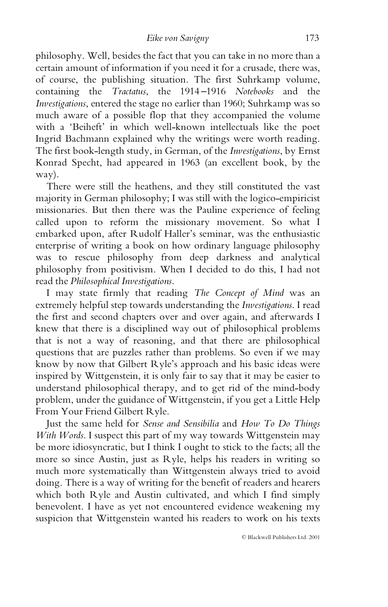philosophy. Well, besides the fact that you can take in no more than a certain amount of information if you need it for a crusade, there was, of course, the publishing situation. The first Suhrkamp volume, containing the *Tractatus*, the 1914–1916 Notebooks and the Investigations, entered the stage no earlier than 1960; Suhrkamp was so much aware of a possible flop that they accompanied the volume with a 'Beiheft' in which well-known intellectuals like the poet Ingrid Bachmann explained why the writings were worth reading. The first book-length study, in German, of the Investigations, by Ernst Konrad Specht, had appeared in 1963 (an excellent book, by the way).

There were still the heathens, and they still constituted the vast majority in German philosophy; I was still with the logico-empiricist missionaries. But then there was the Pauline experience of feeling called upon to reform the missionary movement. So what I embarked upon, after Rudolf Haller's seminar, was the enthusiastic enterprise of writing a book on how ordinary language philosophy was to rescue philosophy from deep darkness and analytical philosophy from positivism. When I decided to do this, I had not read the Philosophical Investigations.

I may state firmly that reading The Concept of Mind was an extremely helpful step towards understanding the Investigations. I read the first and second chapters over and over again, and afterwards I knew that there is a disciplined way out of philosophical problems that is not a way of reasoning, and that there are philosophical questions that are puzzles rather than problems. So even if we may know by now that Gilbert Ryle's approach and his basic ideas were inspired by Wittgenstein, it is only fair to say that it may be easier to understand philosophical therapy, and to get rid of the mind-body problem, under the guidance of Wittgenstein, if you get a Little Help From Your Friend Gilbert Ryle.

Just the same held for Sense and Sensibilia and How To Do Things With Words. I suspect this part of my way towards Wittgenstein may be more idiosyncratic, but I think I ought to stick to the facts; all the more so since Austin, just as Ryle, helps his readers in writing so much more systematically than Wittgenstein always tried to avoid doing. There is a way of writing for the benefit of readers and hearers which both Ryle and Austin cultivated, and which I find simply benevolent. I have as yet not encountered evidence weakening my suspicion that Wittgenstein wanted his readers to work on his texts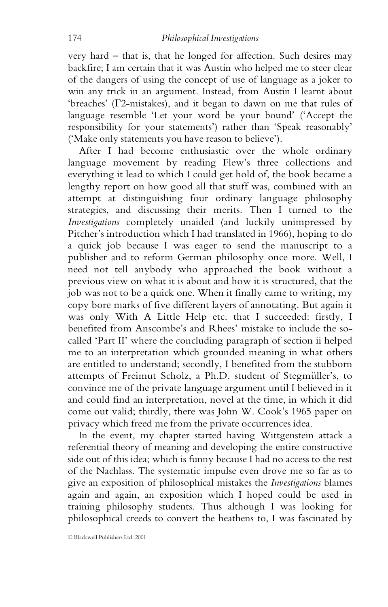very hard – that is, that he longed for affection. Such desires may backfire; I am certain that it was Austin who helped me to steer clear of the dangers of using the concept of use of language as a joker to win any trick in an argument. Instead, from Austin I learnt about 'breaches' ( $\Gamma$ 2-mistakes), and it began to dawn on me that rules of language resemble `Let your word be your bound' (`Accept the responsibility for your statements') rather than 'Speak reasonably' (`Make only statements you have reason to believe').

After I had become enthusiastic over the whole ordinary language movement by reading Flew's three collections and everything it lead to which I could get hold of, the book became a lengthy report on how good all that stuff was, combined with an attempt at distinguishing four ordinary language philosophy strategies, and discussing their merits. Then I turned to the Investigations completely unaided (and luckily unimpressed by Pitcher's introduction which I had translated in 1966), hoping to do a quick job because I was eager to send the manuscript to a publisher and to reform German philosophy once more. Well, I need not tell anybody who approached the book without a previous view on what it is about and how it is structured, that the job was not to be a quick one. When it finally came to writing, my copy bore marks of five different layers of annotating. But again it was only With A Little Help etc. that I succeeded: firstly, I benefited from Anscombe's and Rhees' mistake to include the socalled `Part II' where the concluding paragraph of section ii helped me to an interpretation which grounded meaning in what others are entitled to understand; secondly, I benefited from the stubborn attempts of Freimut Scholz, a Ph.D. student of Stegmüller's, to convince me of the private language argument until I believed in it and could find an interpretation, novel at the time, in which it did come out valid; thirdly, there was John W. Cook's 1965 paper on privacy which freed me from the private occurrences idea.

In the event, my chapter started having Wittgenstein attack a referential theory of meaning and developing the entire constructive side out of this idea; which is funny because I had no access to the rest of the Nachlass. The systematic impulse even drove me so far as to give an exposition of philosophical mistakes the Investigations blames again and again, an exposition which I hoped could be used in training philosophy students. Thus although I was looking for philosophical creeds to convert the heathens to, I was fascinated by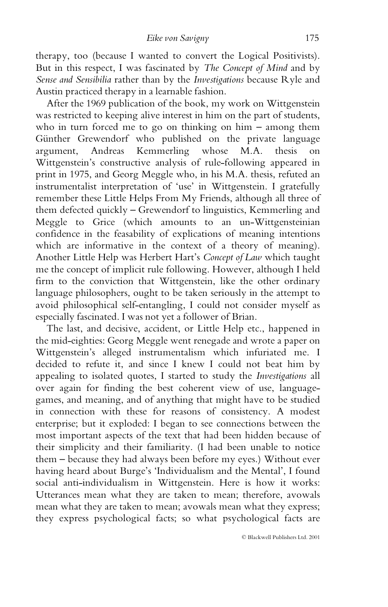therapy, too (because I wanted to convert the Logical Positivists). But in this respect, I was fascinated by The Concept of Mind and by Sense and Sensibilia rather than by the Investigations because Ryle and Austin practiced therapy in a learnable fashion.

After the 1969 publication of the book, my work on Wittgenstein was restricted to keeping alive interest in him on the part of students, who in turn forced me to go on thinking on  $him - among them$ Günther Grewendorf who published on the private language argument, Andreas Kemmerling whose M.A. thesis on Wittgenstein's constructive analysis of rule-following appeared in print in 1975, and Georg Meggle who, in his M.A. thesis, refuted an instrumentalist interpretation of 'use' in Wittgenstein. I gratefully remember these Little Helps From My Friends, although all three of them defected quickly - Grewendorf to linguistics, Kemmerling and Meggle to Grice (which amounts to an un-Wittgensteinian confidence in the feasability of explications of meaning intentions which are informative in the context of a theory of meaning). Another Little Help was Herbert Hart's Concept of Law which taught me the concept of implicit rule following. However, although I held firm to the conviction that Wittgenstein, like the other ordinary language philosophers, ought to be taken seriously in the attempt to avoid philosophical self-entangling, I could not consider myself as especially fascinated. I was not yet a follower of Brian.

The last, and decisive, accident, or Little Help etc., happened in the mid-eighties: Georg Meggle went renegade and wrote a paper on Wittgenstein's alleged instrumentalism which infuriated me. I decided to refute it, and since I knew I could not beat him by appealing to isolated quotes, I started to study the Investigations all over again for finding the best coherent view of use, languagegames, and meaning, and of anything that might have to be studied in connection with these for reasons of consistency. A modest enterprise; but it exploded: I began to see connections between the most important aspects of the text that had been hidden because of their simplicity and their familiarity. (I had been unable to notice them – because they had always been before my eyes.) Without ever having heard about Burge's 'Individualism and the Mental', I found social anti-individualism in Wittgenstein. Here is how it works: Utterances mean what they are taken to mean; therefore, avowals mean what they are taken to mean; avowals mean what they express; they express psychological facts; so what psychological facts are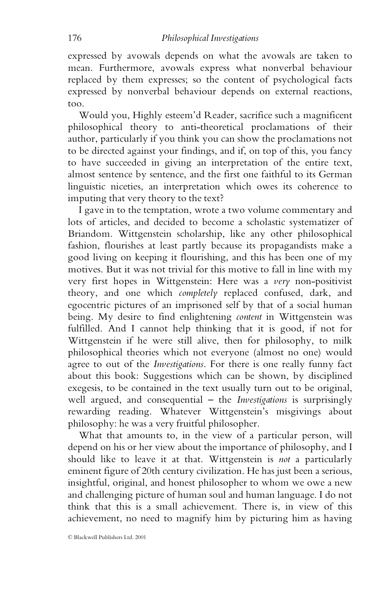expressed by avowals depends on what the avowals are taken to mean. Furthermore, avowals express what nonverbal behaviour replaced by them expresses; so the content of psychological facts expressed by nonverbal behaviour depends on external reactions, too.

Would you, Highly esteem'd Reader, sacrifice such a magnificent philosophical theory to anti-theoretical proclamations of their author, particularly if you think you can show the proclamations not to be directed against your findings, and if, on top of this, you fancy to have succeeded in giving an interpretation of the entire text, almost sentence by sentence, and the first one faithful to its German linguistic niceties, an interpretation which owes its coherence to imputing that very theory to the text?

I gave in to the temptation, wrote a two volume commentary and lots of articles, and decided to become a scholastic systematizer of Briandom. Wittgenstein scholarship, like any other philosophical fashion, flourishes at least partly because its propagandists make a good living on keeping it flourishing, and this has been one of my motives. But it was not trivial for this motive to fall in line with my very first hopes in Wittgenstein: Here was a very non-positivist theory, and one which completely replaced confused, dark, and egocentric pictures of an imprisoned self by that of a social human being. My desire to find enlightening content in Wittgenstein was fulfilled. And I cannot help thinking that it is good, if not for Wittgenstein if he were still alive, then for philosophy, to milk philosophical theories which not everyone (almost no one) would agree to out of the *Investigations*. For there is one really funny fact about this book: Suggestions which can be shown, by disciplined exegesis, to be contained in the text usually turn out to be original, well argued, and consequential  $-$  the *Investigations* is surprisingly rewarding reading. Whatever Wittgenstein's misgivings about philosophy: he was a very fruitful philosopher.

What that amounts to, in the view of a particular person, will depend on his or her view about the importance of philosophy, and I should like to leave it at that. Wittgenstein is *not* a particularly eminent figure of 20th century civilization. He has just been a serious, insightful, original, and honest philosopher to whom we owe a new and challenging picture of human soul and human language. I do not think that this is a small achievement. There is, in view of this achievement, no need to magnify him by picturing him as having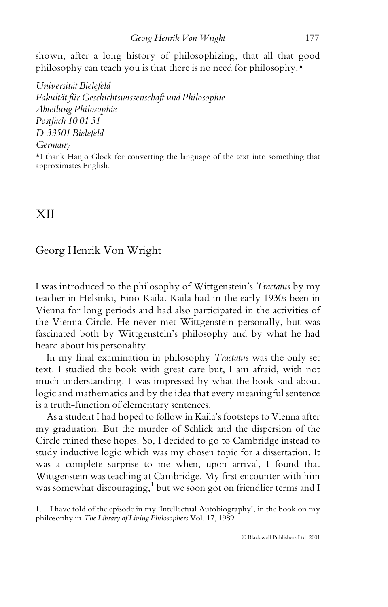shown, after a long history of philosophizing, that all that good philosophy can teach you is that there is no need for philosophy.\*

Universität Bielefeld Fakultät für Geschichtswissenschaft und Philosophie Abteilung Philosophie Postfach 10 01 31 D-33501 Bielefeld Germany \*I thank Hanjo Glock for converting the language of the text into something that approximates English.

# XII

### Georg Henrik Von Wright

I was introduced to the philosophy of Wittgenstein's Tractatus by my teacher in Helsinki, Eino Kaila. Kaila had in the early 1930s been in Vienna for long periods and had also participated in the activities of the Vienna Circle. He never met Wittgenstein personally, but was fascinated both by Wittgenstein's philosophy and by what he had heard about his personality.

In my final examination in philosophy Tractatus was the only set text. I studied the book with great care but, I am afraid, with not much understanding. I was impressed by what the book said about logic and mathematics and by the idea that every meaningful sentence is a truth-function of elementary sentences.

As a student I had hoped to follow in Kaila's footsteps to Vienna after my graduation. But the murder of Schlick and the dispersion of the Circle ruined these hopes. So, I decided to go to Cambridge instead to study inductive logic which was my chosen topic for a dissertation. It was a complete surprise to me when, upon arrival, I found that Wittgenstein was teaching at Cambridge. My first encounter with him was somewhat discouraging,<sup>1</sup> but we soon got on friendlier terms and I

1. I have told of the episode in my `Intellectual Autobiography', in the book on my philosophy in The Library of Living Philosophers Vol. 17, 1989.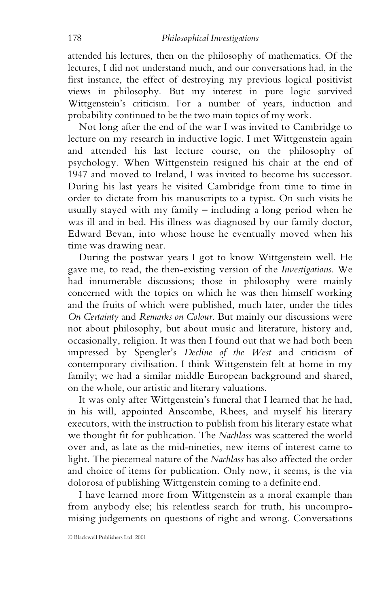attended his lectures, then on the philosophy of mathematics. Of the lectures, I did not understand much, and our conversations had, in the first instance, the effect of destroying my previous logical positivist views in philosophy. But my interest in pure logic survived Wittgenstein's criticism. For a number of years, induction and probability continued to be the two main topics of my work.

Not long after the end of the war I was invited to Cambridge to lecture on my research in inductive logic. I met Wittgenstein again and attended his last lecture course, on the philosophy of psychology. When Wittgenstein resigned his chair at the end of 1947 and moved to Ireland, I was invited to become his successor. During his last years he visited Cambridge from time to time in order to dictate from his manuscripts to a typist. On such visits he usually stayed with my family - including a long period when he was ill and in bed. His illness was diagnosed by our family doctor, Edward Bevan, into whose house he eventually moved when his time was drawing near.

During the postwar years I got to know Wittgenstein well. He gave me, to read, the then-existing version of the Investigations. We had innumerable discussions; those in philosophy were mainly concerned with the topics on which he was then himself working and the fruits of which were published, much later, under the titles On Certainty and Remarks on Colour. But mainly our discussions were not about philosophy, but about music and literature, history and, occasionally, religion. It was then I found out that we had both been impressed by Spengler's Decline of the West and criticism of contemporary civilisation. I think Wittgenstein felt at home in my family; we had a similar middle European background and shared, on the whole, our artistic and literary valuations.

It was only after Wittgenstein's funeral that I learned that he had, in his will, appointed Anscombe, Rhees, and myself his literary executors, with the instruction to publish from his literary estate what we thought fit for publication. The Nachlass was scattered the world over and, as late as the mid-nineties, new items of interest came to light. The piecemeal nature of the Nachlass has also affected the order and choice of items for publication. Only now, it seems, is the via dolorosa of publishing Wittgenstein coming to a definite end.

I have learned more from Wittgenstein as a moral example than from anybody else; his relentless search for truth, his uncompromising judgements on questions of right and wrong. Conversations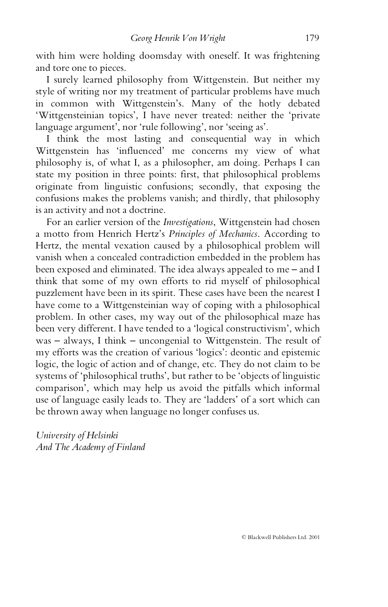with him were holding doomsday with oneself. It was frightening and tore one to pieces.

I surely learned philosophy from Wittgenstein. But neither my style of writing nor my treatment of particular problems have much in common with Wittgenstein's. Many of the hotly debated `Wittgensteinian topics', I have never treated: neither the `private language argument', nor 'rule following', nor 'seeing as'.

I think the most lasting and consequential way in which Wittgenstein has 'influenced' me concerns my view of what philosophy is, of what I, as a philosopher, am doing. Perhaps I can state my position in three points: first, that philosophical problems originate from linguistic confusions; secondly, that exposing the confusions makes the problems vanish; and thirdly, that philosophy is an activity and not a doctrine.

For an earlier version of the *Investigations*, Wittgenstein had chosen a motto from Henrich Hertz's Principles of Mechanics. According to Hertz, the mental vexation caused by a philosophical problem will vanish when a concealed contradiction embedded in the problem has been exposed and eliminated. The idea always appealed to me  $-$  and I think that some of my own efforts to rid myself of philosophical puzzlement have been in its spirit. These cases have been the nearest I have come to a Wittgensteinian way of coping with a philosophical problem. In other cases, my way out of the philosophical maze has been very different. I have tended to a 'logical constructivism', which  $was - always$ , I think  $-$  uncongenial to Wittgenstein. The result of my efforts was the creation of various 'logics': deontic and epistemic logic, the logic of action and of change, etc. They do not claim to be systems of 'philosophical truths', but rather to be 'objects of linguistic comparison', which may help us avoid the pitfalls which informal use of language easily leads to. They are 'ladders' of a sort which can be thrown away when language no longer confuses us.

University of Helsinki And The Academy of Finland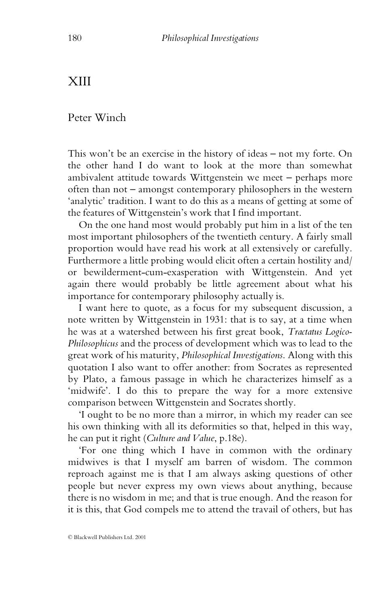# XIII

#### Peter Winch

This won't be an exercise in the history of ideas  $-$  not my forte. On the other hand I do want to look at the more than somewhat ambivalent attitude towards Wittgenstein we meet  $-$  perhaps more often than not - amongst contemporary philosophers in the western `analytic' tradition. I want to do this as a means of getting at some of the features of Wittgenstein's work that I find important.

On the one hand most would probably put him in a list of the ten most important philosophers of the twentieth century. A fairly small proportion would have read his work at all extensively or carefully. Furthermore a little probing would elicit often a certain hostility and/ or bewilderment-cum-exasperation with Wittgenstein. And yet again there would probably be little agreement about what his importance for contemporary philosophy actually is.

I want here to quote, as a focus for my subsequent discussion, a note written by Wittgenstein in 1931: that is to say, at a time when he was at a watershed between his first great book, Tractatus Logico-Philosophicus and the process of development which was to lead to the great work of his maturity, Philosophical Investigations. Along with this quotation I also want to offer another: from Socrates as represented by Plato, a famous passage in which he characterizes himself as a `midwife'. I do this to prepare the way for a more extensive comparison between Wittgenstein and Socrates shortly.

`I ought to be no more than a mirror, in which my reader can see his own thinking with all its deformities so that, helped in this way, he can put it right (Culture and Value, p.18e).

`For one thing which I have in common with the ordinary midwives is that I myself am barren of wisdom. The common reproach against me is that I am always asking questions of other people but never express my own views about anything, because there is no wisdom in me; and that is true enough. And the reason for it is this, that God compels me to attend the travail of others, but has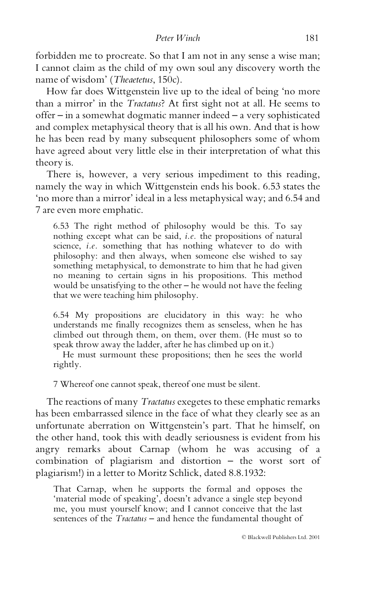forbidden me to procreate. So that I am not in any sense a wise man; I cannot claim as the child of my own soul any discovery worth the name of wisdom' (Theaetetus, 150c).

How far does Wittgenstein live up to the ideal of being `no more than a mirror' in the Tractatus? At first sight not at all. He seems to offer - in a somewhat dogmatic manner indeed - a very sophisticated and complex metaphysical theory that is all his own. And that is how he has been read by many subsequent philosophers some of whom have agreed about very little else in their interpretation of what this theory is.

There is, however, a very serious impediment to this reading, namely the way in which Wittgenstein ends his book. 6.53 states the `no more than a mirror' ideal in a less metaphysical way; and 6.54 and 7 are even more emphatic.

6.53 The right method of philosophy would be this. To say nothing except what can be said, i.e. the propositions of natural science, i.e. something that has nothing whatever to do with philosophy: and then always, when someone else wished to say something metaphysical, to demonstrate to him that he had given no meaning to certain signs in his propositions. This method would be unsatisfying to the other  $-\text{ he}$  would not have the feeling that we were teaching him philosophy.

6.54 My propositions are elucidatory in this way: he who understands me finally recognizes them as senseless, when he has climbed out through them, on them, over them. (He must so to speak throw away the ladder, after he has climbed up on it.)

He must surmount these propositions; then he sees the world rightly.

7 Whereof one cannot speak, thereof one must be silent.

The reactions of many *Tractatus* exegetes to these emphatic remarks has been embarrassed silence in the face of what they clearly see as an unfortunate aberration on Wittgenstein's part. That he himself, on the other hand, took this with deadly seriousness is evident from his angry remarks about Carnap (whom he was accusing of a combination of plagiarism and distortion  $-$  the worst sort of plagiarism!) in a letter to Moritz Schlick, dated 8.8.1932:

That Carnap, when he supports the formal and opposes the `material mode of speaking', doesn't advance a single step beyond me, you must yourself know; and I cannot conceive that the last sentences of the  $Tractatus -$  and hence the fundamental thought of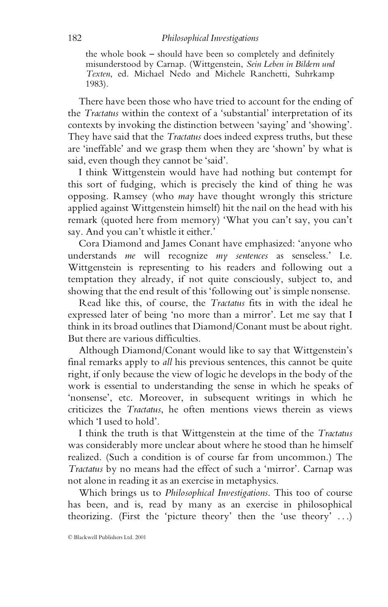the whole book  $-$  should have been so completely and definitely misunderstood by Carnap. (Wittgenstein, Sein Leben in Bildern und Texten, ed. Michael Nedo and Michele Ranchetti, Suhrkamp 1983).

There have been those who have tried to account for the ending of the Tractatus within the context of a `substantial' interpretation of its contexts by invoking the distinction between `saying' and `showing'. They have said that the *Tractatus* does indeed express truths, but these are 'ineffable' and we grasp them when they are 'shown' by what is said, even though they cannot be 'said'.

I think Wittgenstein would have had nothing but contempt for this sort of fudging, which is precisely the kind of thing he was opposing. Ramsey (who may have thought wrongly this stricture applied against Wittgenstein himself) hit the nail on the head with his remark (quoted here from memory) `What you can't say, you can't say. And you can't whistle it either.'

Cora Diamond and James Conant have emphasized: `anyone who understands me will recognize my sentences as senseless.' I.e. Wittgenstein is representing to his readers and following out a temptation they already, if not quite consciously, subject to, and showing that the end result of this 'following out' is simple nonsense.

Read like this, of course, the Tractatus fits in with the ideal he expressed later of being `no more than a mirror'. Let me say that I think in its broad outlines that Diamond/Conant must be about right. But there are various difficulties.

Although Diamond/Conant would like to say that Wittgenstein's final remarks apply to all his previous sentences, this cannot be quite right, if only because the view of logic he develops in the body of the work is essential to understanding the sense in which he speaks of `nonsense', etc. Moreover, in subsequent writings in which he criticizes the Tractatus, he often mentions views therein as views which 'I used to hold'.

I think the truth is that Wittgenstein at the time of the Tractatus was considerably more unclear about where he stood than he himself realized. (Such a condition is of course far from uncommon.) The Tractatus by no means had the effect of such a `mirror'. Carnap was not alone in reading it as an exercise in metaphysics.

Which brings us to Philosophical Investigations. This too of course has been, and is, read by many as an exercise in philosophical theorizing. (First the 'picture theory' then the 'use theory'  $\ldots$ )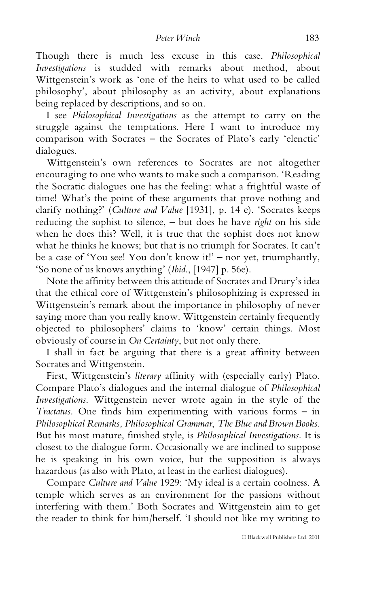Though there is much less excuse in this case. Philosophical Investigations is studded with remarks about method, about Wittgenstein's work as 'one of the heirs to what used to be called philosophy', about philosophy as an activity, about explanations being replaced by descriptions, and so on.

I see Philosophical Investigations as the attempt to carry on the struggle against the temptations. Here I want to introduce my comparison with Socrates - the Socrates of Plato's early 'elenctic' dialogues.

Wittgenstein's own references to Socrates are not altogether encouraging to one who wants to make such a comparison. `Reading the Socratic dialogues one has the feeling: what a frightful waste of time! What's the point of these arguments that prove nothing and clarify nothing?' (Culture and Value [1931], p. 14 e). `Socrates keeps reducing the sophist to silence,  $-$  but does he have right on his side when he does this? Well, it is true that the sophist does not know what he thinks he knows; but that is no triumph for Socrates. It can't be a case of 'You see! You don't know it!' - nor yet, triumphantly, `So none of us knows anything' (Ibid., [1947] p. 56e).

Note the affinity between this attitude of Socrates and Drury's idea that the ethical core of Wittgenstein's philosophizing is expressed in Wittgenstein's remark about the importance in philosophy of never saying more than you really know. Wittgenstein certainly frequently objected to philosophers' claims to `know' certain things. Most obviously of course in On Certainty, but not only there.

I shall in fact be arguing that there is a great affinity between Socrates and Wittgenstein.

First, Wittgenstein's literary affinity with (especially early) Plato. Compare Plato's dialogues and the internal dialogue of Philosophical Investigations. Wittgenstein never wrote again in the style of the Tractatus. One finds him experimenting with various forms  $-$  in Philosophical Remarks, Philosophical Grammar, The Blue and Brown Books. But his most mature, finished style, is Philosophical Investigations. It is closest to the dialogue form. Occasionally we are inclined to suppose he is speaking in his own voice, but the supposition is always hazardous (as also with Plato, at least in the earliest dialogues).

Compare Culture and Value 1929: `My ideal is a certain coolness. A temple which serves as an environment for the passions without interfering with them.' Both Socrates and Wittgenstein aim to get the reader to think for him/herself. `I should not like my writing to